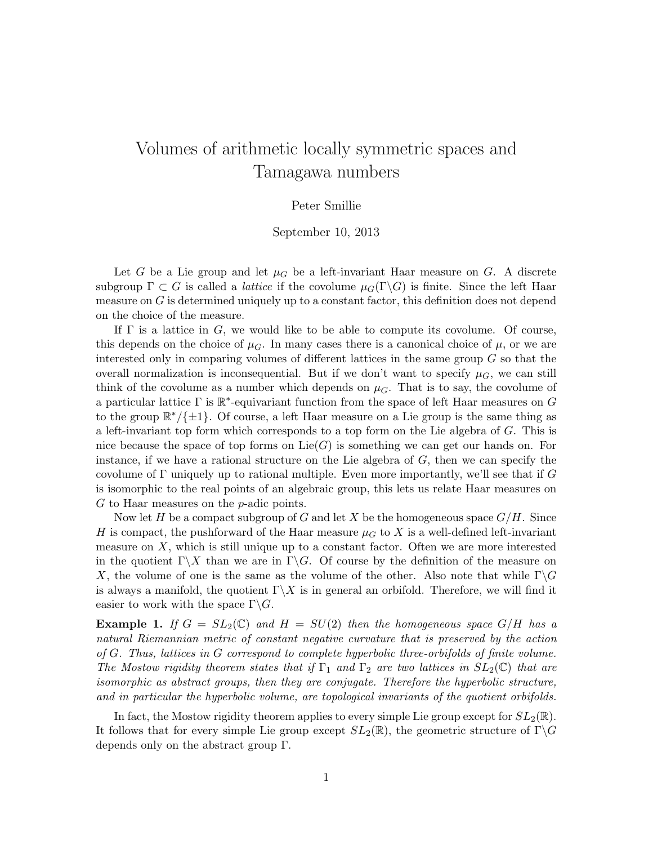# Volumes of arithmetic locally symmetric spaces and Tamagawa numbers

### Peter Smillie

### September 10, 2013

Let G be a Lie group and let  $\mu$  be a left-invariant Haar measure on G. A discrete subgroup  $\Gamma \subset G$  is called a *lattice* if the covolume  $\mu_G(\Gamma \backslash G)$  is finite. Since the left Haar measure on  $G$  is determined uniquely up to a constant factor, this definition does not depend on the choice of the measure.

If  $\Gamma$  is a lattice in G, we would like to be able to compute its covolume. Of course, this depends on the choice of  $\mu$ <sub>G</sub>. In many cases there is a canonical choice of  $\mu$ , or we are interested only in comparing volumes of different lattices in the same group G so that the overall normalization is inconsequential. But if we don't want to specify  $\mu_G$ , we can still think of the covolume as a number which depends on  $\mu$ <sub>G</sub>. That is to say, the covolume of a particular lattice  $\Gamma$  is  $\mathbb{R}^*$ -equivariant function from the space of left Haar measures on G to the group  $\mathbb{R}^*/\{\pm 1\}$ . Of course, a left Haar measure on a Lie group is the same thing as a left-invariant top form which corresponds to a top form on the Lie algebra of G. This is nice because the space of top forms on  $Lie(G)$  is something we can get our hands on. For instance, if we have a rational structure on the Lie algebra of  $G$ , then we can specify the covolume of  $\Gamma$  uniquely up to rational multiple. Even more importantly, we'll see that if G is isomorphic to the real points of an algebraic group, this lets us relate Haar measures on G to Haar measures on the p-adic points.

Now let H be a compact subgroup of G and let X be the homogeneous space  $G/H$ . Since H is compact, the pushforward of the Haar measure  $\mu$  to X is a well-defined left-invariant measure on  $X$ , which is still unique up to a constant factor. Often we are more interested in the quotient  $\Gamma \backslash X$  than we are in  $\Gamma \backslash G$ . Of course by the definition of the measure on X, the volume of one is the same as the volume of the other. Also note that while  $\Gamma \backslash G$ is always a manifold, the quotient  $\Gamma \backslash X$  is in general an orbifold. Therefore, we will find it easier to work with the space  $\Gamma \backslash G$ .

**Example 1.** If  $G = SL_2(\mathbb{C})$  and  $H = SU(2)$  then the homogeneous space  $G/H$  has a natural Riemannian metric of constant negative curvature that is preserved by the action of G. Thus, lattices in G correspond to complete hyperbolic three-orbifolds of finite volume. The Mostow rigidity theorem states that if  $\Gamma_1$  and  $\Gamma_2$  are two lattices in  $SL_2(\mathbb{C})$  that are isomorphic as abstract groups, then they are conjugate. Therefore the hyperbolic structure, and in particular the hyperbolic volume, are topological invariants of the quotient orbifolds.

In fact, the Mostow rigidity theorem applies to every simple Lie group except for  $SL_2(\mathbb{R})$ . It follows that for every simple Lie group except  $SL_2(\mathbb{R})$ , the geometric structure of  $\Gamma \backslash G$ depends only on the abstract group Γ.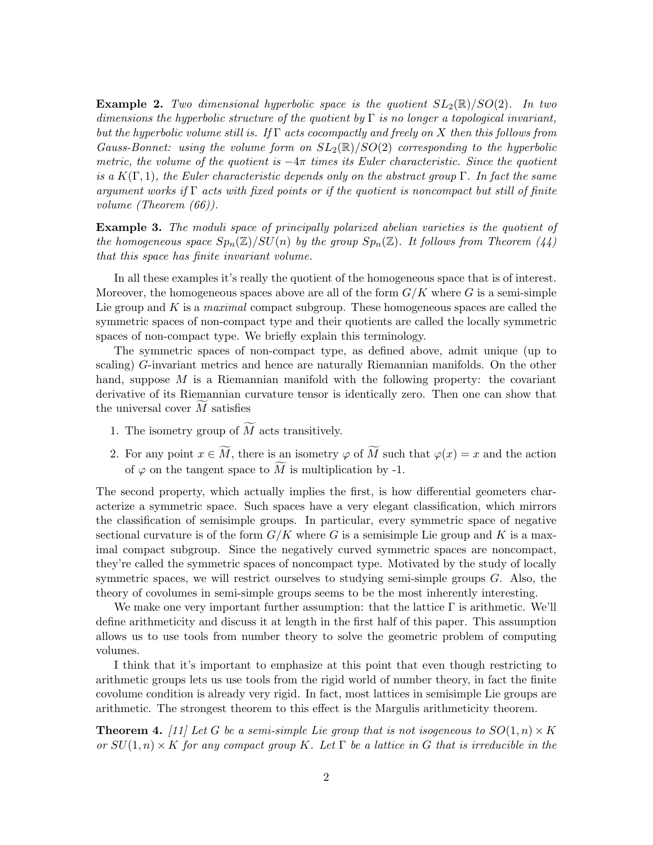**Example 2.** Two dimensional hyperbolic space is the quotient  $SL_2(\mathbb{R})/SO(2)$ . In two dimensions the hyperbolic structure of the quotient by  $\Gamma$  is no longer a topological invariant, but the hyperbolic volume still is. If  $\Gamma$  acts cocompactly and freely on X then this follows from Gauss-Bonnet: using the volume form on  $SL_2(\mathbb{R})/SO(2)$  corresponding to the hyperbolic metric, the volume of the quotient is  $-4\pi$  times its Euler characteristic. Since the quotient is a  $K(\Gamma, 1)$ , the Euler characteristic depends only on the abstract group  $\Gamma$ . In fact the same argument works if  $\Gamma$  acts with fixed points or if the quotient is noncompact but still of finite volume (Theorem (66)).

**Example 3.** The moduli space of principally polarized abelian varieties is the quotient of the homogeneous space  $Sp_n(\mathbb{Z})/SU(n)$  by the group  $Sp_n(\mathbb{Z})$ . It follows from Theorem (44) that this space has finite invariant volume.

In all these examples it's really the quotient of the homogeneous space that is of interest. Moreover, the homogeneous spaces above are all of the form  $G/K$  where G is a semi-simple Lie group and K is a *maximal* compact subgroup. These homogeneous spaces are called the symmetric spaces of non-compact type and their quotients are called the locally symmetric spaces of non-compact type. We briefly explain this terminology.

The symmetric spaces of non-compact type, as defined above, admit unique (up to scaling) G-invariant metrics and hence are naturally Riemannian manifolds. On the other hand, suppose  $M$  is a Riemannian manifold with the following property: the covariant derivative of its Riemannian curvature tensor is identically zero. Then one can show that the universal cover  $M$  satisfies

- 1. The isometry group of  $\widetilde{M}$  acts transitively.
- 2. For any point  $x \in \widetilde{M}$ , there is an isometry  $\varphi$  of  $\widetilde{M}$  such that  $\varphi(x) = x$  and the action of  $\varphi$  on the tangent space to  $\widetilde{M}$  is multiplication by -1.

The second property, which actually implies the first, is how differential geometers characterize a symmetric space. Such spaces have a very elegant classification, which mirrors the classification of semisimple groups. In particular, every symmetric space of negative sectional curvature is of the form  $G/K$  where G is a semisimple Lie group and K is a maximal compact subgroup. Since the negatively curved symmetric spaces are noncompact, they're called the symmetric spaces of noncompact type. Motivated by the study of locally symmetric spaces, we will restrict ourselves to studying semi-simple groups G. Also, the theory of covolumes in semi-simple groups seems to be the most inherently interesting.

We make one very important further assumption: that the lattice  $\Gamma$  is arithmetic. We'll define arithmeticity and discuss it at length in the first half of this paper. This assumption allows us to use tools from number theory to solve the geometric problem of computing volumes.

I think that it's important to emphasize at this point that even though restricting to arithmetic groups lets us use tools from the rigid world of number theory, in fact the finite covolume condition is already very rigid. In fact, most lattices in semisimple Lie groups are arithmetic. The strongest theorem to this effect is the Margulis arithmeticity theorem.

**Theorem 4.** [11] Let G be a semi-simple Lie group that is not isogeneous to  $SO(1,n) \times K$ or  $SU(1,n)\times K$  for any compact group K. Let  $\Gamma$  be a lattice in G that is irreducible in the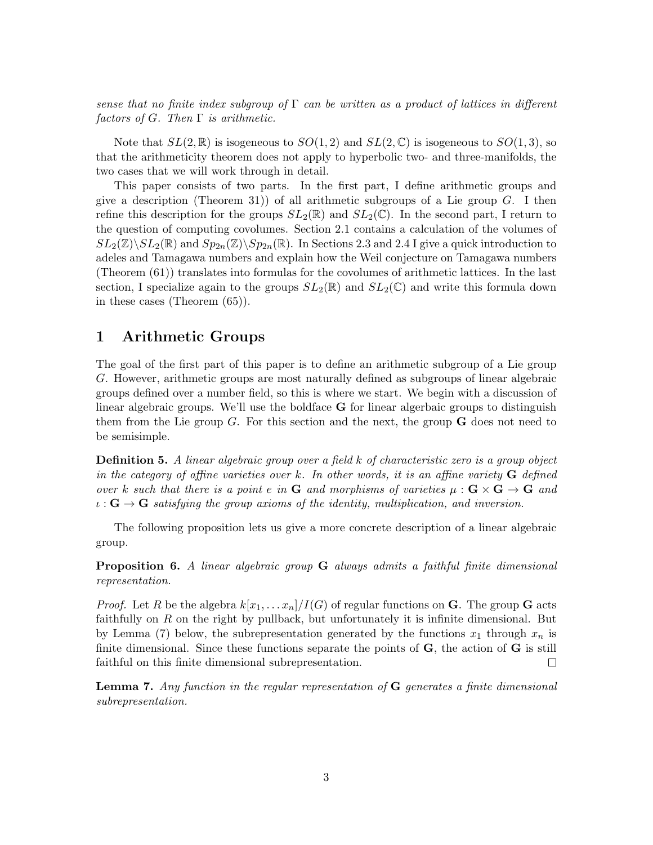sense that no finite index subgroup of  $\Gamma$  can be written as a product of lattices in different factors of G. Then  $\Gamma$  is arithmetic.

Note that  $SL(2,\mathbb{R})$  is isogeneous to  $SO(1,2)$  and  $SL(2,\mathbb{C})$  is isogeneous to  $SO(1,3)$ , so that the arithmeticity theorem does not apply to hyperbolic two- and three-manifolds, the two cases that we will work through in detail.

This paper consists of two parts. In the first part, I define arithmetic groups and give a description (Theorem 31)) of all arithmetic subgroups of a Lie group  $G$ . I then refine this description for the groups  $SL_2(\mathbb{R})$  and  $SL_2(\mathbb{C})$ . In the second part, I return to the question of computing covolumes. Section 2.1 contains a calculation of the volumes of  $SL_2(\mathbb{Z})\backslash SL_2(\mathbb{R})$  and  $Sp_{2n}(\mathbb{Z})\backslash Sp_{2n}(\mathbb{R})$ . In Sections 2.3 and 2.4 I give a quick introduction to adeles and Tamagawa numbers and explain how the Weil conjecture on Tamagawa numbers (Theorem (61)) translates into formulas for the covolumes of arithmetic lattices. In the last section, I specialize again to the groups  $SL_2(\mathbb{R})$  and  $SL_2(\mathbb{C})$  and write this formula down in these cases (Theorem (65)).

### 1 Arithmetic Groups

The goal of the first part of this paper is to define an arithmetic subgroup of a Lie group G. However, arithmetic groups are most naturally defined as subgroups of linear algebraic groups defined over a number field, so this is where we start. We begin with a discussion of linear algebraic groups. We'll use the boldface G for linear algerbaic groups to distinguish them from the Lie group  $G$ . For this section and the next, the group  $\bf{G}$  does not need to be semisimple.

**Definition 5.** A linear algebraic group over a field k of characteristic zero is a group object in the category of affine varieties over k. In other words, it is an affine variety  $\bf{G}$  defined over k such that there is a point e in G and morphisms of varieties  $\mu : G \times G \to G$  and  $\iota : \mathbf{G} \to \mathbf{G}$  satisfying the group axioms of the identity, multiplication, and inversion.

The following proposition lets us give a more concrete description of a linear algebraic group.

**Proposition 6.** A linear algebraic group **G** always admits a faithful finite dimensional representation.

*Proof.* Let R be the algebra  $k[x_1, \ldots x_n]/I(G)$  of regular functions on G. The group G acts faithfully on  $R$  on the right by pullback, but unfortunately it is infinite dimensional. But by Lemma (7) below, the subrepresentation generated by the functions  $x_1$  through  $x_n$  is finite dimensional. Since these functions separate the points of **, the action of**  $**G**$  **is still** faithful on this finite dimensional subrepresentation.  $\Box$ 

**Lemma 7.** Any function in the regular representation of  $G$  generates a finite dimensional subrepresentation.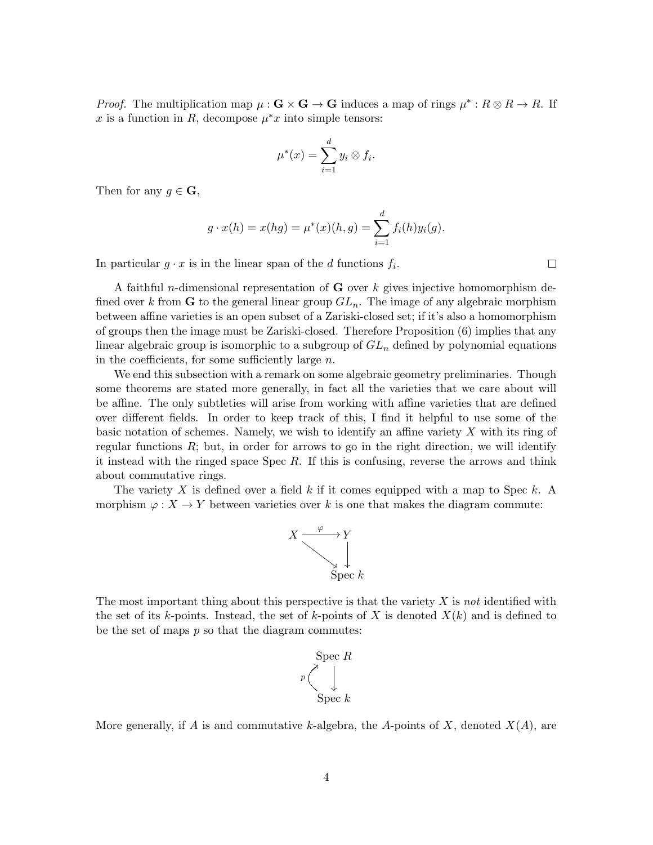*Proof.* The multiplication map  $\mu$ : **G** × **G** → **G** induces a map of rings  $\mu^*$ :  $R \otimes R \to R$ . If x is a function in R, decompose  $\mu^*x$  into simple tensors:

$$
\mu^*(x) = \sum_{i=1}^d y_i \otimes f_i.
$$

Then for any  $q \in \mathbf{G}$ ,

$$
g \cdot x(h) = x(hg) = \mu^*(x)(h,g) = \sum_{i=1}^d f_i(h)y_i(g).
$$

In particular  $g \cdot x$  is in the linear span of the d functions  $f_i$ .

A faithful *n*-dimensional representation of  $G$  over  $k$  gives injective homomorphism defined over k from **G** to the general linear group  $GL_n$ . The image of any algebraic morphism between affine varieties is an open subset of a Zariski-closed set; if it's also a homomorphism of groups then the image must be Zariski-closed. Therefore Proposition (6) implies that any linear algebraic group is isomorphic to a subgroup of  $GL_n$  defined by polynomial equations in the coefficients, for some sufficiently large  $n$ .

We end this subsection with a remark on some algebraic geometry preliminaries. Though some theorems are stated more generally, in fact all the varieties that we care about will be affine. The only subtleties will arise from working with affine varieties that are defined over different fields. In order to keep track of this, I find it helpful to use some of the basic notation of schemes. Namely, we wish to identify an affine variety X with its ring of regular functions  $R$ ; but, in order for arrows to go in the right direction, we will identify it instead with the ringed space Spec R. If this is confusing, reverse the arrows and think about commutative rings.

The variety X is defined over a field  $k$  if it comes equipped with a map to Spec  $k$ . A morphism  $\varphi: X \to Y$  between varieties over k is one that makes the diagram commute:



The most important thing about this perspective is that the variety  $X$  is not identified with the set of its k-points. Instead, the set of k-points of X is denoted  $X(k)$  and is defined to be the set of maps  $p$  so that the diagram commutes:



More generally, if A is and commutative k-algebra, the A-points of X, denoted  $X(A)$ , are

 $\Box$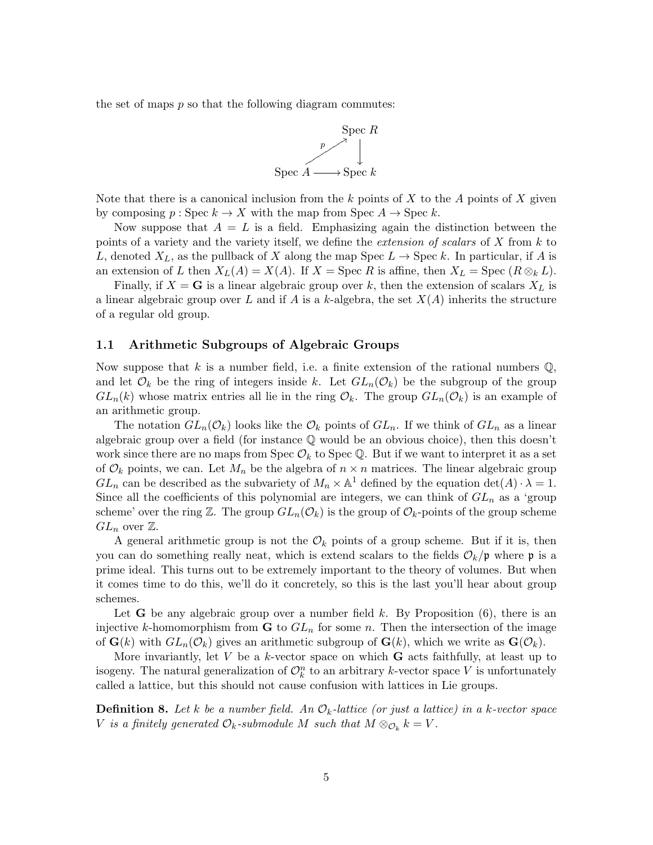the set of maps  $p$  so that the following diagram commutes:



Note that there is a canonical inclusion from the k points of X to the A points of X given by composing  $p : \mathrm{Spec} \, k \to X$  with the map from  $\mathrm{Spec} \, A \to \mathrm{Spec} \, k$ .

Now suppose that  $A = L$  is a field. Emphasizing again the distinction between the points of a variety and the variety itself, we define the *extension of scalars* of  $X$  from  $k$  to L, denoted  $X_L$ , as the pullback of X along the map Spec  $L \to \text{Spec } k$ . In particular, if A is an extension of L then  $X_L(A) = X(A)$ . If  $X = \text{Spec } R$  is affine, then  $X_L = \text{Spec } (R \otimes_k L)$ .

Finally, if  $X = G$  is a linear algebraic group over k, then the extension of scalars  $X_L$  is a linear algebraic group over L and if A is a k-algebra, the set  $X(A)$  inherits the structure of a regular old group.

### 1.1 Arithmetic Subgroups of Algebraic Groups

Now suppose that k is a number field, i.e. a finite extension of the rational numbers  $\mathbb{Q}$ , and let  $\mathcal{O}_k$  be the ring of integers inside k. Let  $GL_n(\mathcal{O}_k)$  be the subgroup of the group  $GL_n(k)$  whose matrix entries all lie in the ring  $\mathcal{O}_k$ . The group  $GL_n(\mathcal{O}_k)$  is an example of an arithmetic group.

The notation  $GL_n(\mathcal{O}_k)$  looks like the  $\mathcal{O}_k$  points of  $GL_n$ . If we think of  $GL_n$  as a linear algebraic group over a field (for instance Q would be an obvious choice), then this doesn't work since there are no maps from Spec  $\mathcal{O}_k$  to Spec Q. But if we want to interpret it as a set of  $\mathcal{O}_k$  points, we can. Let  $M_n$  be the algebra of  $n \times n$  matrices. The linear algebraic group  $GL_n$  can be described as the subvariety of  $M_n \times \mathbb{A}^1$  defined by the equation  $\det(A) \cdot \lambda = 1$ . Since all the coefficients of this polynomial are integers, we can think of  $GL_n$  as a 'group scheme' over the ring Z. The group  $GL_n(\mathcal{O}_k)$  is the group of  $\mathcal{O}_k$ -points of the group scheme  $GL_n$  over  $\mathbb{Z}$ .

A general arithmetic group is not the  $\mathcal{O}_k$  points of a group scheme. But if it is, then you can do something really neat, which is extend scalars to the fields  $\mathcal{O}_k/\mathfrak{p}$  where  $\mathfrak{p}$  is a prime ideal. This turns out to be extremely important to the theory of volumes. But when it comes time to do this, we'll do it concretely, so this is the last you'll hear about group schemes.

Let **G** be any algebraic group over a number field  $k$ . By Proposition  $(6)$ , there is an injective k-homomorphism from  $\bf{G}$  to  $GL_n$  for some n. Then the intersection of the image of  $\mathbf{G}(k)$  with  $GL_n(\mathcal{O}_k)$  gives an arithmetic subgroup of  $\mathbf{G}(k)$ , which we write as  $\mathbf{G}(\mathcal{O}_k)$ .

More invariantly, let  $V$  be a  $k$ -vector space on which  $G$  acts faithfully, at least up to isogeny. The natural generalization of  $\mathcal{O}_k^n$  to an arbitrary k-vector space V is unfortunately called a lattice, but this should not cause confusion with lattices in Lie groups.

**Definition 8.** Let k be a number field. An  $\mathcal{O}_k$ -lattice (or just a lattice) in a k-vector space V is a finitely generated  $\mathcal{O}_k$ -submodule M such that  $M \otimes_{\mathcal{O}_k} k = V$ .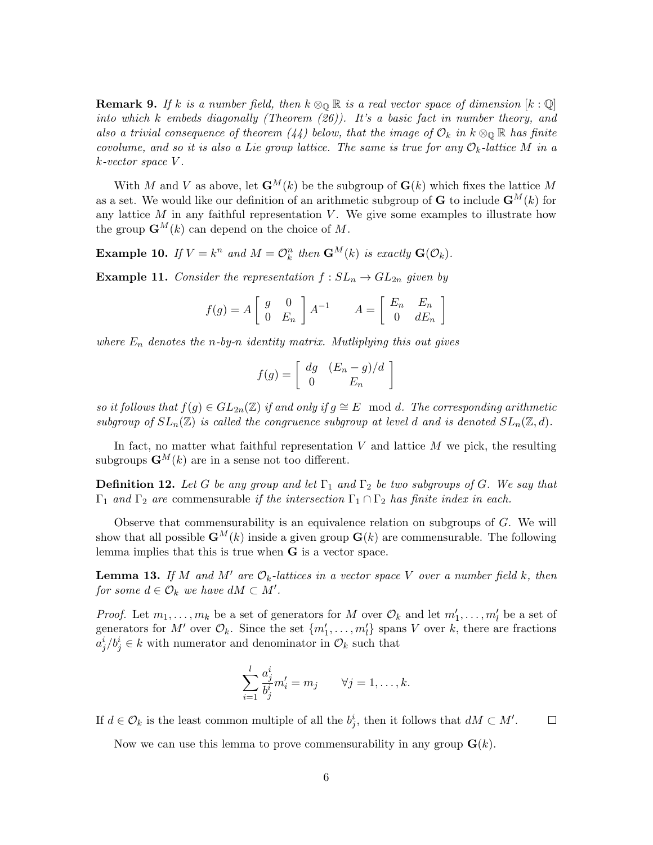**Remark 9.** If k is a number field, then  $k \otimes_{\mathbb{Q}} \mathbb{R}$  is a real vector space of dimension  $[k:\mathbb{Q}]$ into which k embeds diagonally (Theorem  $(26)$ ). It's a basic fact in number theory, and also a trivial consequence of theorem (44) below, that the image of  $\mathcal{O}_k$  in  $k \otimes_{\mathbb{Q}} \mathbb{R}$  has finite covolume, and so it is also a Lie group lattice. The same is true for any  $\mathcal{O}_k$ -lattice M in a k-vector space V .

With M and V as above, let  $\mathbf{G}^{M}(k)$  be the subgroup of  $\mathbf{G}(k)$  which fixes the lattice M as a set. We would like our definition of an arithmetic subgroup of **G** to include  $\mathbf{G}^{M}(k)$  for any lattice  $M$  in any faithful representation  $V$ . We give some examples to illustrate how the group  $\mathbf{G}^{M}(k)$  can depend on the choice of M.

**Example 10.** If  $V = k^n$  and  $M = \mathcal{O}_k^n$  then  $\mathbf{G}^M(k)$  is exactly  $\mathbf{G}(\mathcal{O}_k)$ .

**Example 11.** Consider the representation  $f : SL_n \to GL_{2n}$  given by

$$
f(g) = A \begin{bmatrix} g & 0 \\ 0 & E_n \end{bmatrix} A^{-1} \qquad A = \begin{bmatrix} E_n & E_n \\ 0 & dE_n \end{bmatrix}
$$

where  $E_n$  denotes the n-by-n identity matrix. Mutliplying this out gives

$$
f(g) = \left[ \begin{array}{cc} dg & (E_n - g)/d \\ 0 & E_n \end{array} \right]
$$

so it follows that  $f(g) \in GL_{2n}(\mathbb{Z})$  if and only if  $g \cong E \mod d$ . The corresponding arithmetic subgroup of  $SL_n(\mathbb{Z})$  is called the congruence subgroup at level d and is denoted  $SL_n(\mathbb{Z}, d)$ .

In fact, no matter what faithful representation  $V$  and lattice  $M$  we pick, the resulting subgroups  $\mathbf{G}^{M}(k)$  are in a sense not too different.

**Definition 12.** Let G be any group and let  $\Gamma_1$  and  $\Gamma_2$  be two subgroups of G. We say that  $\Gamma_1$  and  $\Gamma_2$  are commensurable if the intersection  $\Gamma_1 \cap \Gamma_2$  has finite index in each.

Observe that commensurability is an equivalence relation on subgroups of G. We will show that all possible  $\mathbf{G}^{M}(k)$  inside a given group  $\mathbf{G}(k)$  are commensurable. The following lemma implies that this is true when G is a vector space.

**Lemma 13.** If M and M' are  $\mathcal{O}_k$ -lattices in a vector space V over a number field k, then for some  $d \in \mathcal{O}_k$  we have  $dM \subset M'.$ 

*Proof.* Let  $m_1, \ldots, m_k$  be a set of generators for M over  $\mathcal{O}_k$  and let  $m'_1, \ldots, m'_l$  be a set of generators for M' over  $\mathcal{O}_k$ . Since the set  $\{m'_1, \ldots, m'_l\}$  spans V over k, there are fractions  $a_j^i/b_j^i \in k$  with numerator and denominator in  $\mathcal{O}_k$  such that

$$
\sum_{i=1}^{l} \frac{a_j^i}{b_j^i} m'_i = m_j \qquad \forall j = 1, \dots, k.
$$

If  $d \in \mathcal{O}_k$  is the least common multiple of all the  $b_j^i$ , then it follows that  $dM \subset M'$ .  $\Box$ 

Now we can use this lemma to prove commensurability in any group  $\mathbf{G}(k)$ .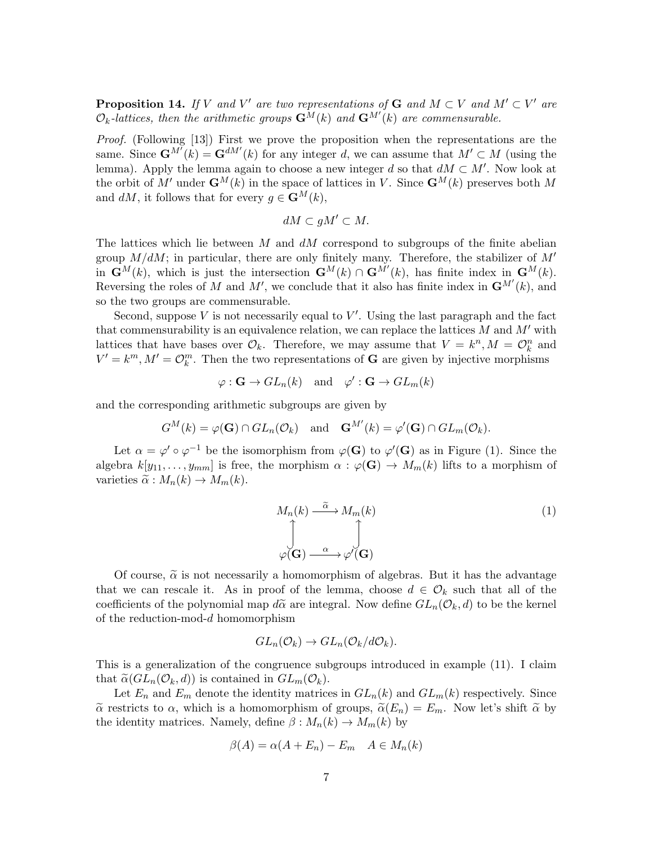**Proposition 14.** If V and V' are two representations of G and  $M \subset V$  and  $M' \subset V'$  are  $\mathcal{O}_k$ -lattices, then the arithmetic groups  $\mathbf{G}^M(k)$  and  $\mathbf{G}^{M'}(k)$  are commensurable.

Proof. (Following [13]) First we prove the proposition when the representations are the same. Since  $\mathbf{G}^{M'}(k) = \mathbf{G}^{dM'}(k)$  for any integer d, we can assume that  $M' \subset M$  (using the lemma). Apply the lemma again to choose a new integer d so that  $dM \subset M'$ . Now look at the orbit of M' under  $\mathbf{G}^{M}(k)$  in the space of lattices in V. Since  $\mathbf{G}^{M}(k)$  preserves both M and  $dM$ , it follows that for every  $g \in \mathbf{G}^{M}(k)$ ,

$$
dM \subset gM' \subset M.
$$

The lattices which lie between M and  $dM$  correspond to subgroups of the finite abelian group  $M/dM$ ; in particular, there are only finitely many. Therefore, the stabilizer of  $M'$ in  $\mathbf{G}^{M}(k)$ , which is just the intersection  $\mathbf{G}^{M}(k) \cap \mathbf{G}^{M'}(k)$ , has finite index in  $\mathbf{G}^{M}(k)$ . Reversing the roles of M and M', we conclude that it also has finite index in  $\mathbf{G}^{M'}(k)$ , and so the two groups are commensurable.

Second, suppose  $V$  is not necessarily equal to  $V'$ . Using the last paragraph and the fact that commensurability is an equivalence relation, we can replace the lattices  $M$  and  $M'$  with lattices that have bases over  $\mathcal{O}_k$ . Therefore, we may assume that  $V = k^n, M = \mathcal{O}_k^n$  and  $V' = k^m, M' = \mathcal{O}_k^m$ . Then the two representations of **G** are given by injective morphisms

$$
\varphi : \mathbf{G} \to GL_n(k) \text{ and } \varphi' : \mathbf{G} \to GL_m(k)
$$

and the corresponding arithmetic subgroups are given by

$$
G^M(k) = \varphi(\mathbf{G}) \cap GL_n(\mathcal{O}_k)
$$
 and  $\mathbf{G}^{M'}(k) = \varphi'(\mathbf{G}) \cap GL_m(\mathcal{O}_k)$ .

Let  $\alpha = \varphi' \circ \varphi^{-1}$  be the isomorphism from  $\varphi(G)$  to  $\varphi'(G)$  as in Figure (1). Since the algebra  $k[y_{11}, \ldots, y_{mm}]$  is free, the morphism  $\alpha : \varphi(\mathbf{G}) \to M_m(k)$  lifts to a morphism of varieties  $\tilde{\alpha}: M_n(k) \to M_m(k)$ .

$$
M_n(k) \xrightarrow{\tilde{\alpha}} M_m(k)
$$
\n
$$
\int\limits_{\varphi(\mathbf{G})} \int\limits_{-\alpha}^{\tilde{\alpha}} \int\limits_{\varphi'(\mathbf{G})} (1)
$$

Of course,  $\tilde{\alpha}$  is not necessarily a homomorphism of algebras. But it has the advantage that we can rescale it. As in proof of the lemma, choose  $d \in \mathcal{O}_k$  such that all of the coefficients of the polynomial map  $d\tilde{\alpha}$  are integral. Now define  $GL_n(\mathcal{O}_k,d)$  to be the kernel of the reduction-mod-d homomorphism

$$
GL_n(\mathcal{O}_k) \to GL_n(\mathcal{O}_k/d\mathcal{O}_k).
$$

This is a generalization of the congruence subgroups introduced in example (11). I claim that  $\tilde{\alpha}(GL_n(\mathcal{O}_k,d))$  is contained in  $GL_m(\mathcal{O}_k)$ .

Let  $E_n$  and  $E_m$  denote the identity matrices in  $GL_n(k)$  and  $GL_m(k)$  respectively. Since  $\tilde{\alpha}$  restricts to  $\alpha$ , which is a homomorphism of groups,  $\tilde{\alpha}(E_n) = E_m$ . Now let's shift  $\tilde{\alpha}$  by the identity matrices. Namely, define  $\beta : M_n(k) \to M_m(k)$  by

$$
\beta(A) = \alpha(A + E_n) - E_m \quad A \in M_n(k)
$$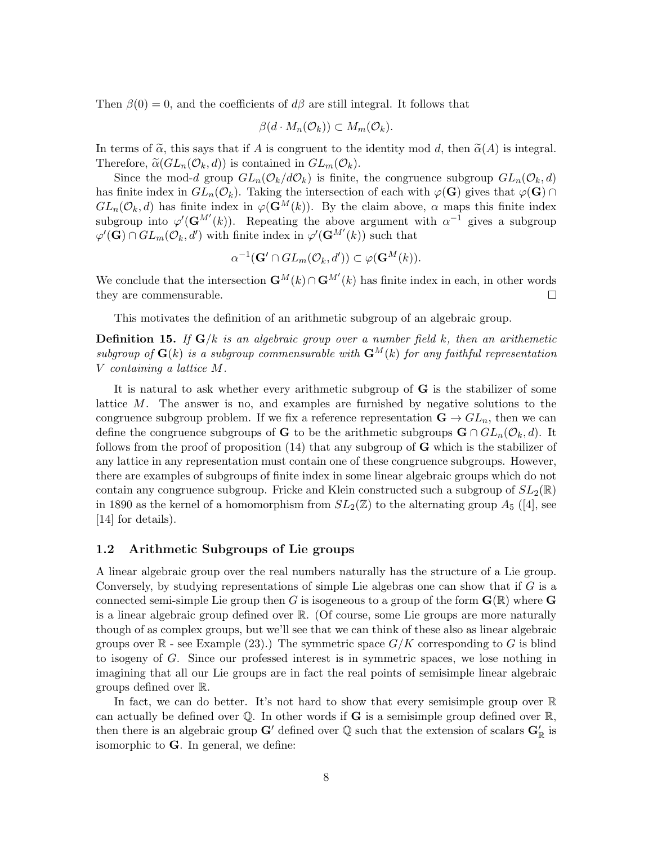Then  $\beta(0) = 0$ , and the coefficients of  $d\beta$  are still integral. It follows that

$$
\beta(d \cdot M_n(\mathcal{O}_k)) \subset M_m(\mathcal{O}_k).
$$

In terms of  $\tilde{\alpha}$ , this says that if A is congruent to the identity mod d, then  $\tilde{\alpha}(A)$  is integral. Therefore,  $\tilde{\alpha}(GL_n(\mathcal{O}_k,d))$  is contained in  $GL_m(\mathcal{O}_k)$ .

Since the mod-d group  $GL_n(\mathcal{O}_k/d\mathcal{O}_k)$  is finite, the congruence subgroup  $GL_n(\mathcal{O}_k,d)$ has finite index in  $GL_n(\mathcal{O}_k)$ . Taking the intersection of each with  $\varphi(\mathbf{G})$  gives that  $\varphi(\mathbf{G}) \cap$  $GL_n(\mathcal{O}_k,d)$  has finite index in  $\varphi(\mathbf{G}^M(k))$ . By the claim above,  $\alpha$  maps this finite index subgroup into  $\varphi'(\mathbf{G}^{M'}(k))$ . Repeating the above argument with  $\alpha^{-1}$  gives a subgroup  $\varphi'(\mathbf{G}) \cap GL_m(\mathcal{O}_k, d')$  with finite index in  $\varphi'(\mathbf{G}^{M'}(k))$  such that

$$
\alpha^{-1}(\mathbf{G}' \cap GL_m(\mathcal{O}_k, d')) \subset \varphi(\mathbf{G}^M(k)).
$$

We conclude that the intersection  $\mathbf{G}^{M}(k) \cap \mathbf{G}^{M'}(k)$  has finite index in each, in other words they are commensurable.  $\Box$ 

This motivates the definition of an arithmetic subgroup of an algebraic group.

**Definition 15.** If  $G/k$  is an algebraic group over a number field k, then an arithemetic subgroup of  $\mathbf{G}(k)$  is a subgroup commensurable with  $\mathbf{G}^{M}(k)$  for any faithful representation V containing a lattice M.

It is natural to ask whether every arithmetic subgroup of G is the stabilizer of some lattice M. The answer is no, and examples are furnished by negative solutions to the congruence subgroup problem. If we fix a reference representation  $\mathbf{G} \to GL_n$ , then we can define the congruence subgroups of G to be the arithmetic subgroups  $\mathbf{G} \cap GL_n(\mathcal{O}_k, d)$ . It follows from the proof of proposition  $(14)$  that any subgroup of **G** which is the stabilizer of any lattice in any representation must contain one of these congruence subgroups. However, there are examples of subgroups of finite index in some linear algebraic groups which do not contain any congruence subgroup. Fricke and Klein constructed such a subgroup of  $SL_2(\mathbb{R})$ in 1890 as the kernel of a homomorphism from  $SL_2(\mathbb{Z})$  to the alternating group  $A_5$  ([4], see [14] for details).

### 1.2 Arithmetic Subgroups of Lie groups

A linear algebraic group over the real numbers naturally has the structure of a Lie group. Conversely, by studying representations of simple Lie algebras one can show that if  $G$  is a connected semi-simple Lie group then G is isogeneous to a group of the form  $\mathbf{G}(\mathbb{R})$  where G is a linear algebraic group defined over R. (Of course, some Lie groups are more naturally though of as complex groups, but we'll see that we can think of these also as linear algebraic groups over  $\mathbb{R}$  - see Example (23).) The symmetric space  $G/K$  corresponding to G is blind to isogeny of G. Since our professed interest is in symmetric spaces, we lose nothing in imagining that all our Lie groups are in fact the real points of semisimple linear algebraic groups defined over R.

In fact, we can do better. It's not hard to show that every semisimple group over  $\mathbb R$ can actually be defined over  $\mathbb Q$ . In other words if G is a semisimple group defined over  $\mathbb R$ , then there is an algebraic group  $G'$  defined over  $\mathbb Q$  such that the extension of scalars  $G'_{\mathbb R}$  is isomorphic to G. In general, we define: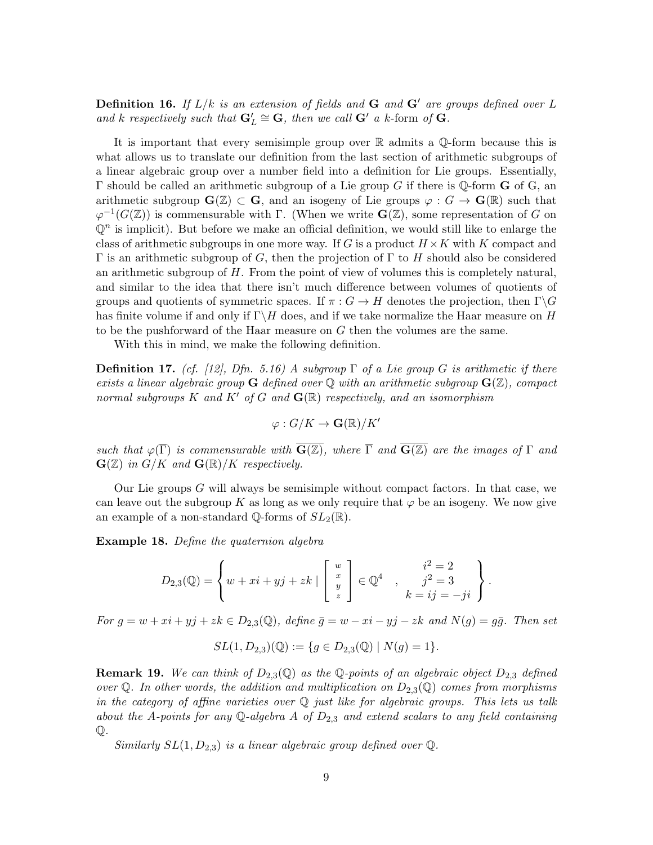**Definition 16.** If  $L/k$  is an extension of fields and  $G$  and  $G'$  are groups defined over  $L$ and k respectively such that  $\mathbf{G}'_L \cong \mathbf{G}$ , then we call  $\mathbf{G}'$  a k-form of  $\mathbf{G}$ .

It is important that every semisimple group over R admits a Q-form because this is what allows us to translate our definition from the last section of arithmetic subgroups of a linear algebraic group over a number field into a definition for Lie groups. Essentially,  $\Gamma$  should be called an arithmetic subgroup of a Lie group G if there is Q-form **G** of G, an arithmetic subgroup  $\mathbf{G}(\mathbb{Z}) \subset \mathbf{G}$ , and an isogeny of Lie groups  $\varphi : G \to \mathbf{G}(\mathbb{R})$  such that  $\varphi^{-1}(G(\mathbb{Z}))$  is commensurable with  $\Gamma$ . (When we write  $\mathbf{G}(\mathbb{Z})$ , some representation of G on  $\mathbb{Q}^n$  is implicit). But before we make an official definition, we would still like to enlarge the class of arithmetic subgroups in one more way. If G is a product  $H \times K$  with K compact and Γ is an arithmetic subgroup of G, then the projection of Γ to H should also be considered an arithmetic subgroup of H. From the point of view of volumes this is completely natural, and similar to the idea that there isn't much difference between volumes of quotients of groups and quotients of symmetric spaces. If  $\pi : G \to H$  denotes the projection, then  $\Gamma \backslash G$ has finite volume if and only if  $\Gamma \backslash H$  does, and if we take normalize the Haar measure on H to be the pushforward of the Haar measure on G then the volumes are the same.

With this in mind, we make the following definition.

**Definition 17.** (cf. [12], Dfn. 5.16) A subgroup  $\Gamma$  of a Lie group G is arithmetic if there exists a linear algebraic group **G** defined over Q with an arithmetic subgroup  $\mathbf{G}(\mathbb{Z})$ , compact normal subgroups K and K' of G and  $\mathbf{G}(\mathbb{R})$  respectively, and an isomorphism

$$
\varphi: G/K \to \mathbf{G}(\mathbb{R})/K'
$$

such that  $\varphi(\overline{\Gamma})$  is commensurable with  $\overline{G(\mathbb{Z})}$ , where  $\overline{\Gamma}$  and  $\overline{G(\mathbb{Z})}$  are the images of  $\Gamma$  and  $\mathbf{G}(\mathbb{Z})$  in  $G/K$  and  $\mathbf{G}(\mathbb{R})/K$  respectively.

Our Lie groups G will always be semisimple without compact factors. In that case, we can leave out the subgroup K as long as we only require that  $\varphi$  be an isogeny. We now give an example of a non-standard Q-forms of  $SL_2(\mathbb{R})$ .

Example 18. Define the quaternion algebra

$$
D_{2,3}(\mathbb{Q}) = \left\{ w + xi + yj + zk \mid \begin{bmatrix} w \\ x \\ y \\ z \end{bmatrix} \in \mathbb{Q}^4 \quad , \quad \begin{array}{c} i^2 = 2 \\ j^2 = 3 \\ k = ij = -ji \end{array} \right\}.
$$

For  $g = w + xi + yj + zk \in D_{2,3}(\mathbb{Q})$ , define  $\bar{g} = w - xi - yj - zk$  and  $N(g) = g\bar{g}$ . Then set

$$
SL(1, D_{2,3})(\mathbb{Q}) := \{ g \in D_{2,3}(\mathbb{Q}) \mid N(g) = 1 \}.
$$

**Remark 19.** We can think of  $D_{2,3}(\mathbb{Q})$  as the Q-points of an algebraic object  $D_{2,3}$  defined over Q. In other words, the addition and multiplication on  $D_{2,3}(\mathbb{Q})$  comes from morphisms in the category of affine varieties over  $\mathbb Q$  just like for algebraic groups. This lets us talk about the A-points for any Q-algebra A of  $D_{2,3}$  and extend scalars to any field containing Q.

Similarly  $SL(1, D_{2,3})$  is a linear algebraic group defined over  $\mathbb{Q}$ .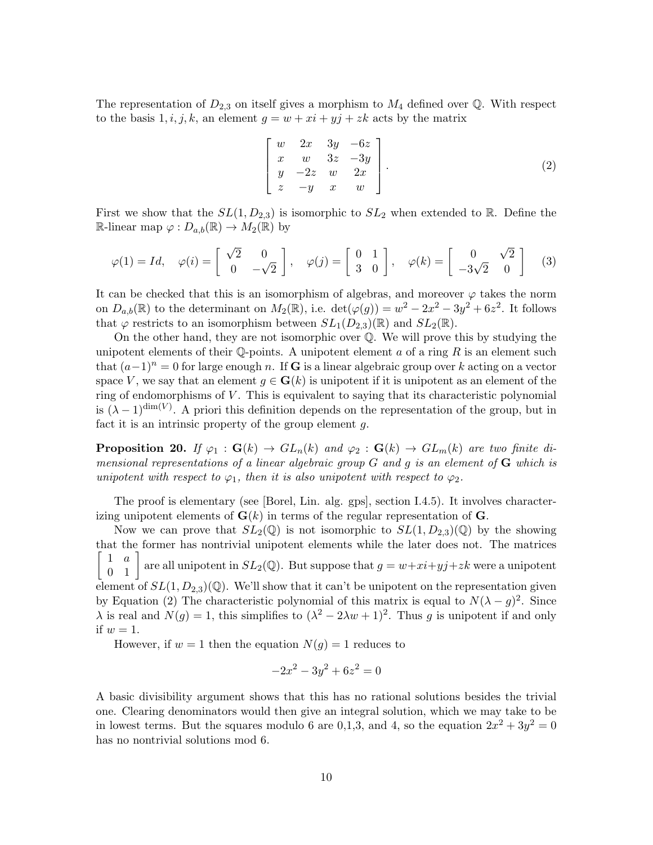The representation of  $D_{2,3}$  on itself gives a morphism to  $M_4$  defined over Q. With respect to the basis  $1, i, j, k$ , an element  $g = w + xi + yj + zk$  acts by the matrix

$$
\begin{bmatrix} w & 2x & 3y & -6z \\ x & w & 3z & -3y \\ y & -2z & w & 2x \\ z & -y & x & w \end{bmatrix}.
$$
 (2)

First we show that the  $SL(1, D_{2,3})$  is isomorphic to  $SL_2$  when extended to R. Define the R-linear map  $\varphi: D_{a,b}(\mathbb{R}) \to M_2(\mathbb{R})$  by

$$
\varphi(1) = Id, \quad \varphi(i) = \begin{bmatrix} \sqrt{2} & 0 \\ 0 & -\sqrt{2} \end{bmatrix}, \quad \varphi(j) = \begin{bmatrix} 0 & 1 \\ 3 & 0 \end{bmatrix}, \quad \varphi(k) = \begin{bmatrix} 0 & \sqrt{2} \\ -3\sqrt{2} & 0 \end{bmatrix}
$$
 (3)

It can be checked that this is an isomorphism of algebras, and moreover  $\varphi$  takes the norm on  $D_{a,b}(\mathbb{R})$  to the determinant on  $M_2(\mathbb{R})$ , i.e.  $\det(\varphi(g)) = w^2 - 2x^2 - 3y^2 + 6z^2$ . It follows that  $\varphi$  restricts to an isomorphism between  $SL_1(D_{2,3})(\mathbb{R})$  and  $SL_2(\mathbb{R})$ .

On the other hand, they are not isomorphic over Q. We will prove this by studying the unipotent elements of their  $\mathbb Q$ -points. A unipotent element a of a ring R is an element such that  $(a-1)^n = 0$  for large enough n. If G is a linear algebraic group over k acting on a vector space V, we say that an element  $g \in G(k)$  is unipotent if it is unipotent as an element of the ring of endomorphisms of  $V$ . This is equivalent to saying that its characteristic polynomial is  $(\lambda - 1)^{\dim(V)}$ . A priori this definition depends on the representation of the group, but in fact it is an intrinsic property of the group element  $q$ .

**Proposition 20.** If  $\varphi_1$  :  $\mathbf{G}(k) \to GL_n(k)$  and  $\varphi_2$  :  $\mathbf{G}(k) \to GL_m(k)$  are two finite dimensional representations of a linear algebraic group  $G$  and  $g$  is an element of  $G$  which is unipotent with respect to  $\varphi_1$ , then it is also unipotent with respect to  $\varphi_2$ .

The proof is elementary (see [Borel, Lin. alg. gps], section I.4.5). It involves characterizing unipotent elements of  $\mathbf{G}(k)$  in terms of the regular representation of  $\mathbf{G}$ .

Now we can prove that  $SL_2(\mathbb{Q})$  is not isomorphic to  $SL(1, D_{2,3})(\mathbb{Q})$  by the showing that the former has nontrivial unipotent elements while the later does not. The matrices  $\sqrt{ }$  $\begin{bmatrix} 1 & a \\ 0 & 1 \end{bmatrix}$ are all unipotent in  $SL_2(\mathbb{Q})$ . But suppose that  $g = w + xi + yj + zk$  were a unipotent element of  $SL(1, D_{2,3})(\mathbb{Q})$ . We'll show that it can't be unipotent on the representation given by Equation (2) The characteristic polynomial of this matrix is equal to  $N(\lambda - g)^2$ . Since  $\lambda$  is real and  $N(g) = 1$ , this simplifies to  $(\lambda^2 - 2\lambda w + 1)^2$ . Thus g is unipotent if and only if  $w=1$ .

However, if  $w = 1$  then the equation  $N(g) = 1$  reduces to

$$
-2x^2 - 3y^2 + 6z^2 = 0
$$

A basic divisibility argument shows that this has no rational solutions besides the trivial one. Clearing denominators would then give an integral solution, which we may take to be in lowest terms. But the squares modulo 6 are 0,1,3, and 4, so the equation  $2x^2 + 3y^2 = 0$ has no nontrivial solutions mod 6.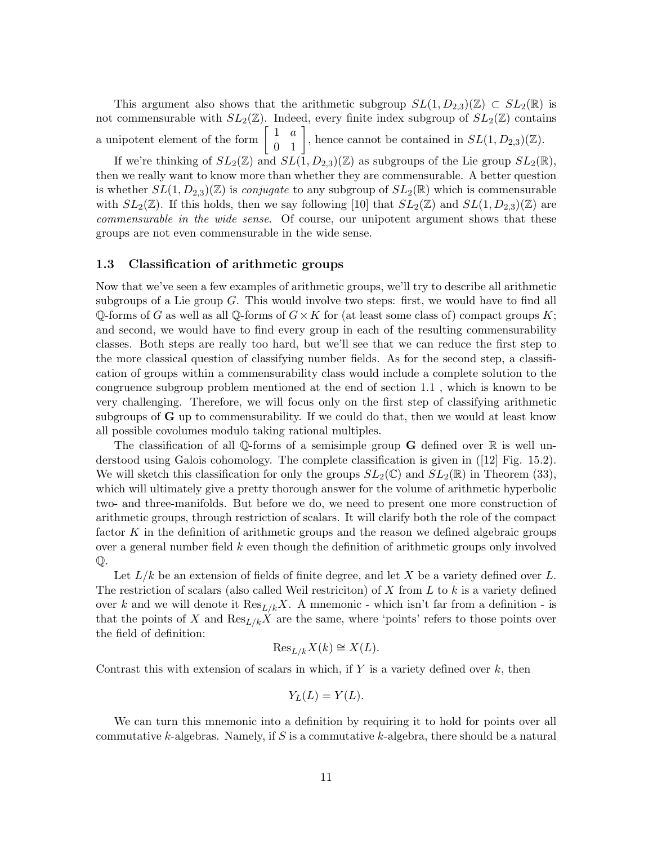This argument also shows that the arithmetic subgroup  $SL(1, D_{2,3})(\mathbb{Z}) \subset SL_2(\mathbb{R})$  is not commensurable with  $SL_2(\mathbb{Z})$ . Indeed, every finite index subgroup of  $SL_2(\mathbb{Z})$  contains a unipotent element of the form  $\begin{bmatrix} 1 & a \\ 0 & 1 \end{bmatrix}$ , hence cannot be contained in  $SL(1, D_{2,3})(\mathbb{Z})$ .

If we're thinking of  $SL_2(\mathbb{Z})$  and  $SL(1, D_{2,3})(\mathbb{Z})$  as subgroups of the Lie group  $SL_2(\mathbb{R})$ , then we really want to know more than whether they are commensurable. A better question is whether  $SL(1, D_{2,3})(\mathbb{Z})$  is *conjugate* to any subgroup of  $SL_2(\mathbb{R})$  which is commensurable with  $SL_2(\mathbb{Z})$ . If this holds, then we say following [10] that  $SL_2(\mathbb{Z})$  and  $SL(1, D_{2,3})(\mathbb{Z})$  are commensurable in the wide sense. Of course, our unipotent argument shows that these groups are not even commensurable in the wide sense.

### 1.3 Classification of arithmetic groups

Now that we've seen a few examples of arithmetic groups, we'll try to describe all arithmetic subgroups of a Lie group  $G$ . This would involve two steps: first, we would have to find all Q-forms of G as well as all Q-forms of  $G \times K$  for (at least some class of) compact groups K; and second, we would have to find every group in each of the resulting commensurability classes. Both steps are really too hard, but we'll see that we can reduce the first step to the more classical question of classifying number fields. As for the second step, a classification of groups within a commensurability class would include a complete solution to the congruence subgroup problem mentioned at the end of section 1.1 , which is known to be very challenging. Therefore, we will focus only on the first step of classifying arithmetic subgroups of  $\bf{G}$  up to commensurability. If we could do that, then we would at least know all possible covolumes modulo taking rational multiples.

The classification of all Q-forms of a semisimple group  $\bf{G}$  defined over  $\mathbb R$  is well understood using Galois cohomology. The complete classification is given in ([12] Fig. 15.2). We will sketch this classification for only the groups  $SL_2(\mathbb{C})$  and  $SL_2(\mathbb{R})$  in Theorem (33), which will ultimately give a pretty thorough answer for the volume of arithmetic hyperbolic two- and three-manifolds. But before we do, we need to present one more construction of arithmetic groups, through restriction of scalars. It will clarify both the role of the compact factor  $K$  in the definition of arithmetic groups and the reason we defined algebraic groups over a general number field  $k$  even though the definition of arithmetic groups only involved Q.

Let  $L/k$  be an extension of fields of finite degree, and let X be a variety defined over L. The restriction of scalars (also called Weil restriction) of  $X$  from  $L$  to  $k$  is a variety defined over k and we will denote it  $\text{Res}_{L/k}X$ . A mnemonic - which isn't far from a definition - is that the points of X and  $\text{Res}_{L/k}X$  are the same, where 'points' refers to those points over the field of definition:

$$
\operatorname{Res}_{L/k} X(k) \cong X(L).
$$

Contrast this with extension of scalars in which, if  $Y$  is a variety defined over  $k$ , then

$$
Y_L(L) = Y(L).
$$

We can turn this mnemonic into a definition by requiring it to hold for points over all commutative k-algebras. Namely, if  $S$  is a commutative k-algebra, there should be a natural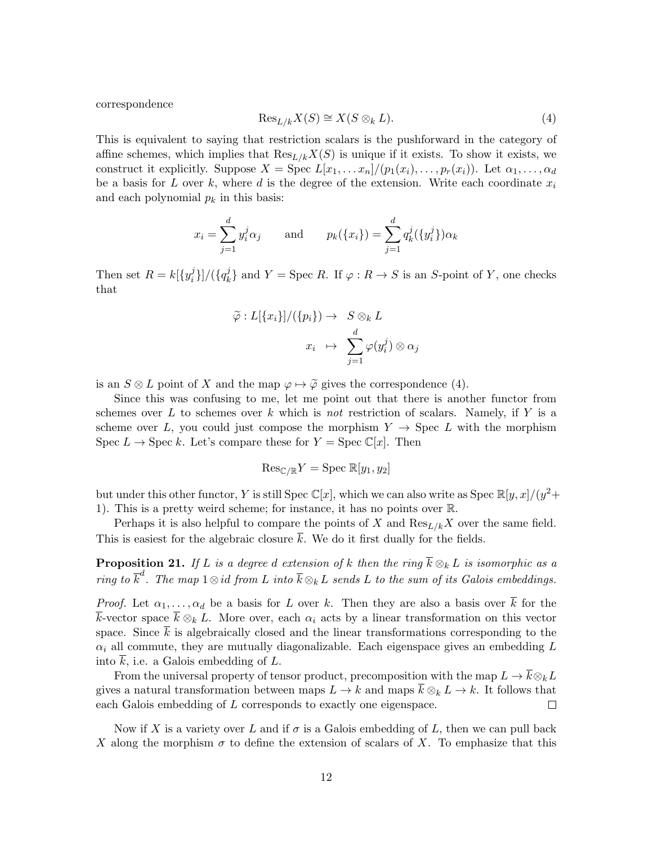correspondence

$$
\operatorname{Res}_{L/k} X(S) \cong X(S \otimes_k L). \tag{4}
$$

This is equivalent to saying that restriction scalars is the pushforward in the category of affine schemes, which implies that  $\text{Res}_{L/k}X(S)$  is unique if it exists. To show it exists, we construct it explicitly. Suppose  $X = \text{Spec } L[x_1, \ldots x_n]/(p_1(x_i), \ldots, p_r(x_i))$ . Let  $\alpha_1, \ldots, \alpha_d$ be a basis for L over k, where d is the degree of the extension. Write each coordinate  $x_i$ and each polynomial  $p_k$  in this basis:

$$
x_i = \sum_{j=1}^d y_i^j \alpha_j
$$
 and  $p_k(\{x_i\}) = \sum_{j=1}^d q_k^j(\{y_i^j\}) \alpha_k$ 

Then set  $R = k[\lbrace y_i^j \rbrace]$  $\{i\}]/(\{q_k^j\})$  $\{A_k\}$  and  $Y = \text{Spec } R$ . If  $\varphi : R \to S$  is an S-point of Y, one checks that

$$
\widetilde{\varphi}: L[\{x_i\}]/(\{p_i\}) \to S \otimes_k L
$$

$$
x_i \mapsto \sum_{j=1}^d \varphi(y_i^j) \otimes \alpha_j
$$

is an  $S \otimes L$  point of X and the map  $\varphi \mapsto \widetilde{\varphi}$  gives the correspondence (4).

Since this was confusing to me, let me point out that there is another functor from schemes over L to schemes over k which is not restriction of scalars. Namely, if Y is a scheme over L, you could just compose the morphism  $Y \rightarrow \text{Spec } L$  with the morphism Spec  $L \to \text{Spec } k$ . Let's compare these for  $Y = \text{Spec } \mathbb{C}[x]$ . Then

$$
\mathrm{Res}_{\mathbb{C}/\mathbb{R}}Y = \mathrm{Spec}\ \mathbb{R}[y_1, y_2]
$$

but under this other functor, Y is still Spec  $\mathbb{C}[x]$ , which we can also write as Spec  $\mathbb{R}[y,x]/(y^2 +$ 1). This is a pretty weird scheme; for instance, it has no points over R.

Perhaps it is also helpful to compare the points of X and  $\text{Res}_{L/k}X$  over the same field. This is easiest for the algebraic closure  $\overline{k}$ . We do it first dually for the fields.

**Proposition 21.** If L is a degree d extension of k then the ring  $\overline{k} \otimes_k L$  is isomorphic as a ring to  $\overline{k}^d$ . The map  $1 \otimes id$  from L into  $\overline{k} \otimes_k L$  sends L to the sum of its Galois embeddings.

*Proof.* Let  $\alpha_1, \ldots, \alpha_d$  be a basis for L over k. Then they are also a basis over  $\overline{k}$  for the k-vector space  $\bar{k} \otimes_k L$ . More over, each  $\alpha_i$  acts by a linear transformation on this vector space. Since  $\overline{k}$  is algebraically closed and the linear transformations corresponding to the  $\alpha_i$  all commute, they are mutually diagonalizable. Each eigenspace gives an embedding L into  $\overline{k}$ , i.e. a Galois embedding of L.

From the universal property of tensor product, precomposition with the map  $L \to \bar{k} \otimes_k L$ gives a natural transformation between maps  $L \to k$  and maps  $\overline{k} \otimes_k L \to k$ . It follows that each Galois embedding of L corresponds to exactly one eigenspace.  $\Box$ 

Now if X is a variety over L and if  $\sigma$  is a Galois embedding of L, then we can pull back X along the morphism  $\sigma$  to define the extension of scalars of X. To emphasize that this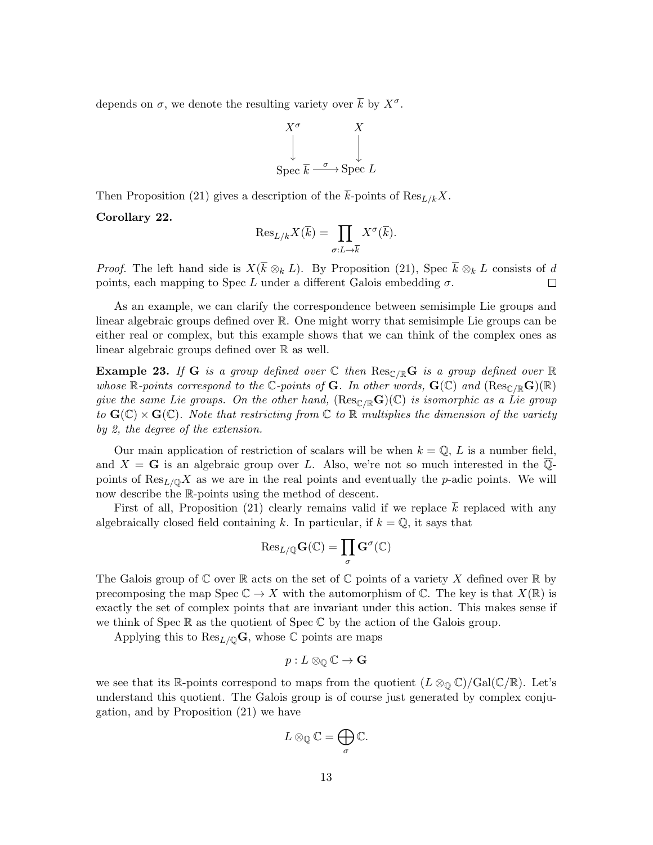depends on  $\sigma$ , we denote the resulting variety over  $\bar{k}$  by  $X^{\sigma}$ .

$$
X^{\sigma} \qquad X
$$
  
Spec  $\overline{k} \xrightarrow{\sigma} \text{Spec } L$ 

Then Proposition (21) gives a description of the  $\bar{k}$ -points of Res<sub>L/k</sub>X.

### Corollary 22.

$$
\mathrm{Res}_{L/k} X(\overline{k}) = \prod_{\sigma:L \to \overline{k}} X^{\sigma}(\overline{k}).
$$

*Proof.* The left hand side is  $X(\overline{k} \otimes_k L)$ . By Proposition (21), Spec  $\overline{k} \otimes_k L$  consists of d points, each mapping to Spec L under a different Galois embedding  $\sigma$ .  $\Box$ 

As an example, we can clarify the correspondence between semisimple Lie groups and linear algebraic groups defined over R. One might worry that semisimple Lie groups can be either real or complex, but this example shows that we can think of the complex ones as linear algebraic groups defined over R as well.

**Example 23.** If G is a group defined over  $\mathbb C$  then  $\text{Res}_{\mathbb C/\mathbb R}$  G is a group defined over  $\mathbb R$ whose R-points correspond to the C-points of G. In other words,  $G(\mathbb{C})$  and  $(Res_{\mathbb{C}/\mathbb{R}}G)(\mathbb{R})$ give the same Lie groups. On the other hand,  $(Res_{\mathbb{C}/\mathbb{R}}\mathbf{G})(\mathbb{C})$  is isomorphic as a Lie group to  $\mathbf{G}(\mathbb{C}) \times \mathbf{G}(\mathbb{C})$ . Note that restricting from  $\mathbb{C}$  to  $\mathbb{R}$  multiplies the dimension of the variety by 2, the degree of the extension.

Our main application of restriction of scalars will be when  $k = \mathbb{Q}$ , L is a number field, and  $X = G$  is an algebraic group over L. Also, we're not so much interested in the  $\overline{Q}$ points of  $\text{Res}_{L/\mathbb{Q}}X$  as we are in the real points and eventually the p-adic points. We will now describe the R-points using the method of descent.

First of all, Proposition (21) clearly remains valid if we replace  $\overline{k}$  replaced with any algebraically closed field containing k. In particular, if  $k = \mathbb{Q}$ , it says that

$$
\mathrm{Res}_{L/\mathbb{Q}}\mathbf{G}(\mathbb{C})=\prod_{\sigma}\mathbf{G}^{\sigma}(\mathbb{C})
$$

The Galois group of  $\mathbb C$  over  $\mathbb R$  acts on the set of  $\mathbb C$  points of a variety X defined over  $\mathbb R$  by precomposing the map Spec  $\mathbb{C} \to X$  with the automorphism of  $\mathbb{C}$ . The key is that  $X(\mathbb{R})$  is exactly the set of complex points that are invariant under this action. This makes sense if we think of Spec  $\mathbb R$  as the quotient of Spec  $\mathbb C$  by the action of the Galois group.

Applying this to  $\text{Res}_{L/\mathbb{Q}}\mathbf{G}$ , whose  $\mathbb{C}$  points are maps

$$
p:L\otimes_{\mathbb{Q}}\mathbb{C}\to\mathbf{G}
$$

we see that its R-points correspond to maps from the quotient  $(L \otimes_{\mathbb{Q}} \mathbb{C})/\mathrm{Gal}(\mathbb{C}/\mathbb{R})$ . Let's understand this quotient. The Galois group is of course just generated by complex conjugation, and by Proposition (21) we have

$$
L\otimes_{\mathbb{Q}}\mathbb{C}=\bigoplus_{\sigma}\mathbb{C}.
$$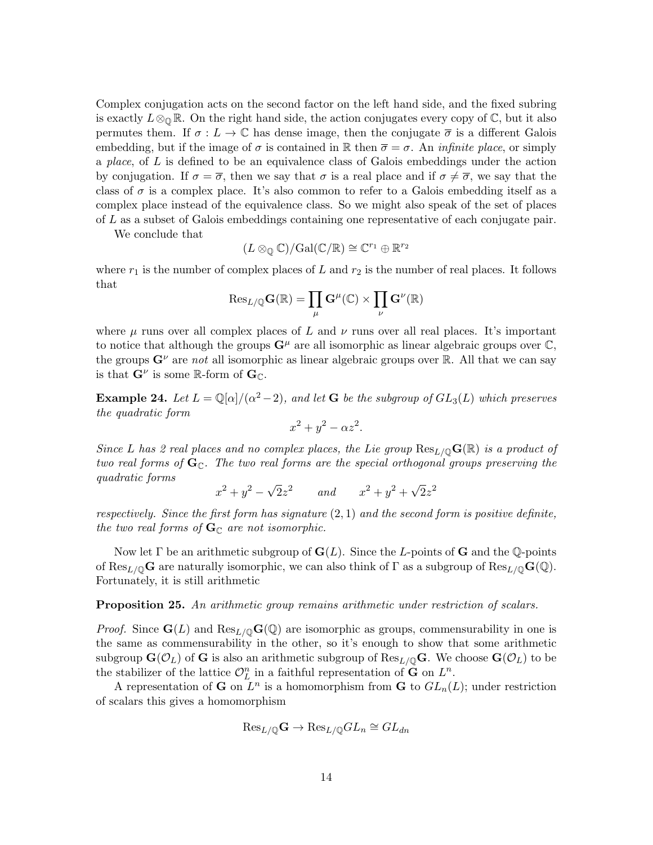Complex conjugation acts on the second factor on the left hand side, and the fixed subring is exactly  $L \otimes_{\mathbb{Q}} \mathbb{R}$ . On the right hand side, the action conjugates every copy of  $\mathbb{C}$ , but it also permutes them. If  $\sigma: L \to \mathbb{C}$  has dense image, then the conjugate  $\overline{\sigma}$  is a different Galois embedding, but if the image of  $\sigma$  is contained in R then  $\overline{\sigma} = \sigma$ . An *infinite place*, or simply a place, of  $L$  is defined to be an equivalence class of Galois embeddings under the action by conjugation. If  $\sigma = \overline{\sigma}$ , then we say that  $\sigma$  is a real place and if  $\sigma \neq \overline{\sigma}$ , we say that the class of  $\sigma$  is a complex place. It's also common to refer to a Galois embedding itself as a complex place instead of the equivalence class. So we might also speak of the set of places of L as a subset of Galois embeddings containing one representative of each conjugate pair.

We conclude that

$$
(L\otimes_{\mathbb{Q}}\mathbb{C})/\mathrm{Gal}(\mathbb{C}/\mathbb{R})\cong \mathbb{C}^{r_1}\oplus \mathbb{R}^{r_2}
$$

where  $r_1$  is the number of complex places of L and  $r_2$  is the number of real places. It follows that

$$
\mathrm{Res}_{L/\mathbb{Q}}\mathbf{G}(\mathbb{R})=\prod_{\mu}\mathbf{G}^{\mu}(\mathbb{C})\times\prod_{\nu}\mathbf{G}^{\nu}(\mathbb{R})
$$

where  $\mu$  runs over all complex places of L and  $\nu$  runs over all real places. It's important to notice that although the groups  $G^{\mu}$  are all isomorphic as linear algebraic groups over  $\mathbb{C},$ the groups  $G^{\nu}$  are not all isomorphic as linear algebraic groups over R. All that we can say is that  $\mathbf{G}^{\nu}$  is some R-form of  $\mathbf{G}_{\mathbb{C}}$ .

**Example 24.** Let  $L = \mathbb{Q}[\alpha]/(\alpha^2 - 2)$ , and let **G** be the subgroup of  $GL_3(L)$  which preserves the quadratic form

$$
x^2 + y^2 - \alpha z^2.
$$

Since L has 2 real places and no complex places, the Lie group  $\text{Res}_{L/\mathbb{Q}}\mathbf{G}(\mathbb{R})$  is a product of two real forms of  $\mathbf{G}_{\mathbb{C}}$ . The two real forms are the special orthogonal groups preserving the quadratic forms √ √

$$
x^2 + y^2 - \sqrt{2}z^2
$$
 and  $x^2 + y^2 + \sqrt{2}z^2$ 

respectively. Since the first form has signature  $(2, 1)$  and the second form is positive definite, the two real forms of  $\mathbf{G}_{\mathbb{C}}$  are not isomorphic.

Now let  $\Gamma$  be an arithmetic subgroup of  $\mathbf{G}(L)$ . Since the L-points of G and the Q-points of Res<sub>L/Q</sub>G are naturally isomorphic, we can also think of  $\Gamma$  as a subgroup of Res<sub>L/Q</sub>G(Q). Fortunately, it is still arithmetic

**Proposition 25.** An arithmetic group remains arithmetic under restriction of scalars.

*Proof.* Since  $\mathbf{G}(L)$  and  $\text{Res}_{L/\mathbb{Q}}\mathbf{G}(\mathbb{Q})$  are isomorphic as groups, commensurability in one is the same as commensurability in the other, so it's enough to show that some arithmetic subgroup  $\mathbf{G}(\mathcal{O}_L)$  of G is also an arithmetic subgroup of  $\text{Res}_{L/\mathbb{Q}}\mathbf{G}$ . We choose  $\mathbf{G}(\mathcal{O}_L)$  to be the stabilizer of the lattice  $\mathcal{O}_L^n$  in a faithful representation of  $\tilde{G}$  on  $L^n$ .

A representation of **G** on  $L^n$  is a homomorphism from **G** to  $GL_n(L)$ ; under restriction of scalars this gives a homomorphism

$$
\mathrm{Res}_{L/\mathbb{Q}}\mathbf{G} \to \mathrm{Res}_{L/\mathbb{Q}}GL_n \cong GL_{dn}
$$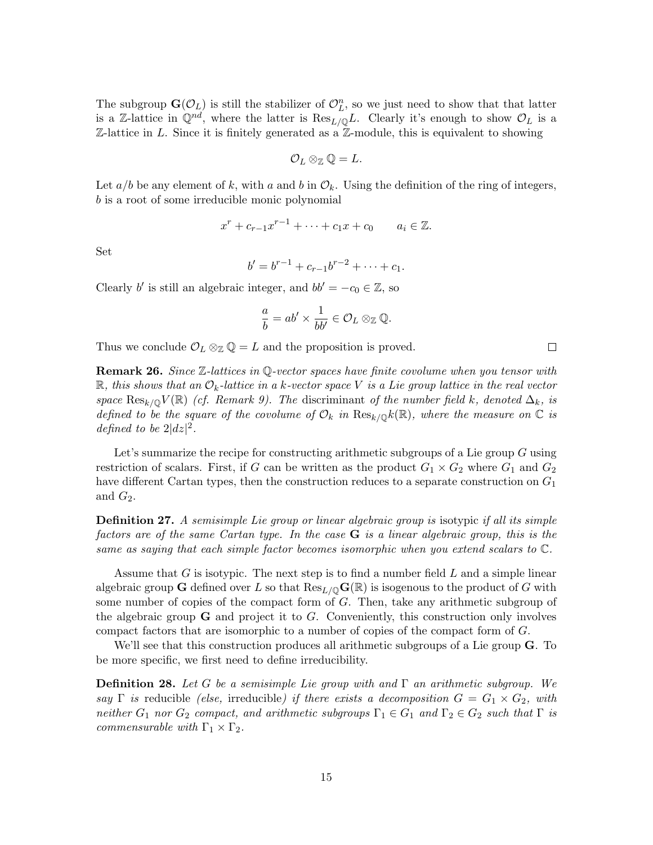The subgroup  $\mathbf{G}(\mathcal{O}_L)$  is still the stabilizer of  $\mathcal{O}_L^n$ , so we just need to show that that latter is a Z-lattice in  $\mathbb{Q}^{nd}$ , where the latter is  $\text{Res}_{L/\mathbb{Q}}L$ . Clearly it's enough to show  $\mathcal{O}_L$  is a  $\mathbb{Z}\text{-}$ lattice in L. Since it is finitely generated as a  $\mathbb{Z}\text{-}$  module, this is equivalent to showing

$$
\mathcal{O}_L\otimes_{\mathbb{Z}}\mathbb{Q}=L.
$$

Let  $a/b$  be any element of k, with a and b in  $\mathcal{O}_k$ . Using the definition of the ring of integers, b is a root of some irreducible monic polynomial

$$
x^r + c_{r-1}x^{r-1} + \cdots + c_1x + c_0 \qquad a_i \in \mathbb{Z}.
$$

Set

$$
b' = b^{r-1} + c_{r-1}b^{r-2} + \cdots + c_1.
$$

Clearly b' is still an algebraic integer, and  $bb' = -c_0 \in \mathbb{Z}$ , so

$$
\frac{a}{b} = ab' \times \frac{1}{bb'} \in \mathcal{O}_L \otimes_{\mathbb{Z}} \mathbb{Q}.
$$

Thus we conclude  $\mathcal{O}_L \otimes_{\mathbb{Z}} \mathbb{Q} = L$  and the proposition is proved.

**Remark 26.** Since  $\mathbb{Z}$ -lattices in Q-vector spaces have finite covolume when you tensor with  $\mathbb R$ , this shows that an  $\mathcal{O}_k$ -lattice in a k-vector space V is a Lie group lattice in the real vector space  $\text{Res}_{k/\mathbb{Q}}V(\mathbb{R})$  (cf. Remark 9). The discriminant of the number field k, denoted  $\Delta_k$ , is defined to be the square of the covolume of  $\mathcal{O}_k$  in  $\text{Res}_{k/\mathbb{Q}}k(\mathbb{R})$ , where the measure on  $\mathbb C$  is defined to be  $2|dz|^2$ .

Let's summarize the recipe for constructing arithmetic subgroups of a Lie group  $G$  using restriction of scalars. First, if G can be written as the product  $G_1 \times G_2$  where  $G_1$  and  $G_2$ have different Cartan types, then the construction reduces to a separate construction on  $G_1$ and  $G_2$ .

**Definition 27.** A semisimple Lie group or linear algebraic group is isotypic if all its simple factors are of the same Cartan type. In the case  $\bf{G}$  is a linear algebraic group, this is the same as saying that each simple factor becomes isomorphic when you extend scalars to C.

Assume that G is isotypic. The next step is to find a number field  $L$  and a simple linear algebraic group G defined over L so that  $\text{Res}_{L/\mathbb{O}}\mathbf{G}(\mathbb{R})$  is isogenous to the product of G with some number of copies of the compact form of G. Then, take any arithmetic subgroup of the algebraic group  $\bf{G}$  and project it to  $\bf{G}$ . Conveniently, this construction only involves compact factors that are isomorphic to a number of copies of the compact form of G.

We'll see that this construction produces all arithmetic subgroups of a Lie group **G**. To be more specific, we first need to define irreducibility.

**Definition 28.** Let G be a semisimple Lie group with and  $\Gamma$  an arithmetic subgroup. We say  $\Gamma$  is reducible (else, irreducible) if there exists a decomposition  $G = G_1 \times G_2$ , with neither  $G_1$  nor  $G_2$  compact, and arithmetic subgroups  $\Gamma_1 \in G_1$  and  $\Gamma_2 \in G_2$  such that  $\Gamma$  is commensurable with  $\Gamma_1 \times \Gamma_2$ .

 $\Box$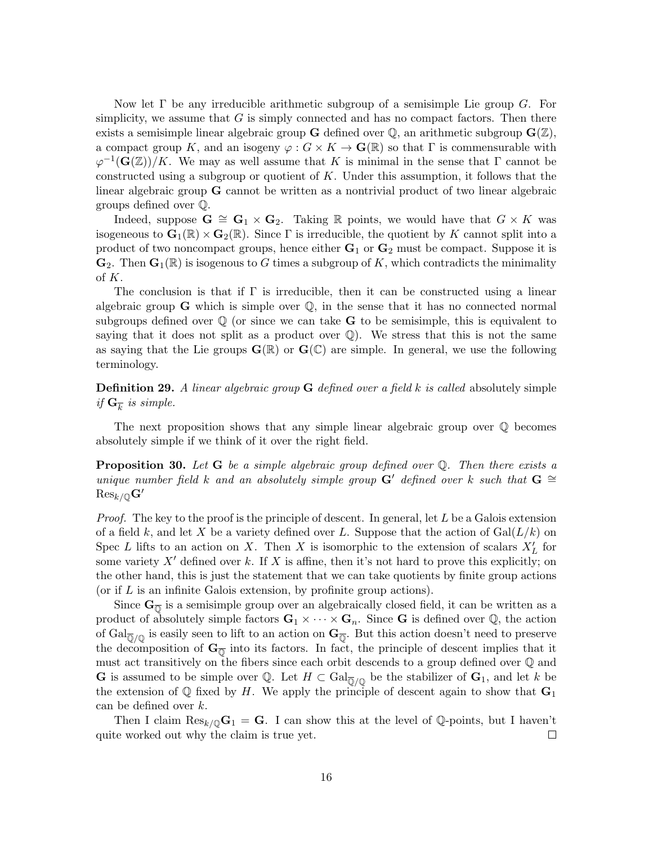Now let  $\Gamma$  be any irreducible arithmetic subgroup of a semisimple Lie group G. For simplicity, we assume that  $G$  is simply connected and has no compact factors. Then there exists a semisimple linear algebraic group **G** defined over  $\mathbb{Q}$ , an arithmetic subgroup  $\mathbf{G}(\mathbb{Z})$ , a compact group K, and an isogeny  $\varphi: G \times K \to \mathbf{G}(\mathbb{R})$  so that  $\Gamma$  is commensurable with  $\varphi^{-1}(\mathbf{G}(\mathbb{Z}))/K$ . We may as well assume that K is minimal in the sense that  $\Gamma$  cannot be constructed using a subgroup or quotient of K. Under this assumption, it follows that the linear algebraic group G cannot be written as a nontrivial product of two linear algebraic groups defined over Q.

Indeed, suppose  $\mathbf{G} \cong \mathbf{G}_1 \times \mathbf{G}_2$ . Taking R points, we would have that  $G \times K$  was isogeneous to  $\mathbf{G}_1(\mathbb{R}) \times \mathbf{G}_2(\mathbb{R})$ . Since  $\Gamma$  is irreducible, the quotient by K cannot split into a product of two noncompact groups, hence either  $G_1$  or  $G_2$  must be compact. Suppose it is  $\mathbf{G}_2$ . Then  $\mathbf{G}_1(\mathbb{R})$  is isogenous to G times a subgroup of K, which contradicts the minimality of K.

The conclusion is that if  $\Gamma$  is irreducible, then it can be constructed using a linear algebraic group  $\bf{G}$  which is simple over  $\mathbb{Q}$ , in the sense that it has no connected normal subgroups defined over  $\mathbb Q$  (or since we can take **G** to be semisimple, this is equivalent to saying that it does not split as a product over  $\mathbb{Q}$ . We stress that this is not the same as saying that the Lie groups  $\mathbf{G}(\mathbb{R})$  or  $\mathbf{G}(\mathbb{C})$  are simple. In general, we use the following terminology.

**Definition 29.** A linear algebraic group **G** defined over a field k is called absolutely simple if  $\mathbf{G}_{\overline{k}}$  is simple.

The next proposition shows that any simple linear algebraic group over Q becomes absolutely simple if we think of it over the right field.

**Proposition 30.** Let  $G$  be a simple algebraic group defined over  $Q$ . Then there exists a unique number field k and an absolutely simple group G' defined over k such that G  $\cong$  ${\rm Res}_{k/{\mathbb Q}}\mathbf{G}'$ 

*Proof.* The key to the proof is the principle of descent. In general, let  $L$  be a Galois extension of a field k, and let X be a variety defined over L. Suppose that the action of  $Gal(L/k)$  on Spec L lifts to an action on X. Then X is isomorphic to the extension of scalars  $X'_L$  for some variety  $X'$  defined over k. If X is affine, then it's not hard to prove this explicitly; on the other hand, this is just the statement that we can take quotients by finite group actions (or if  $L$  is an infinite Galois extension, by profinite group actions).

Since  $G_{\overline{0}}$  is a semisimple group over an algebraically closed field, it can be written as a product of absolutely simple factors  $G_1 \times \cdots \times G_n$ . Since G is defined over Q, the action of  $Gal_{\overline{\mathbb{Q}}/\mathbb{Q}}$  is easily seen to lift to an action on  $\mathbf{G}_{\overline{\mathbb{Q}}}$ . But this action doesn't need to preserve the decomposition of  $\mathbf{G}_{\overline{0}}$  into its factors. In fact, the principle of descent implies that it must act transitively on the fibers since each orbit descends to a group defined over Q and **G** is assumed to be simple over Q. Let  $H \subset \text{Gal}_{\overline{\mathbb{Q}}/\mathbb{Q}}$  be the stabilizer of  $\mathbf{G}_1$ , and let k be the extension of  $\mathbb Q$  fixed by H. We apply the principle of descent again to show that  $\mathbf G_1$ can be defined over k.

Then I claim  $\text{Res}_{k/\mathbb{Q}}\mathbf{G}_1 = \mathbf{G}$ . I can show this at the level of  $\mathbb{Q}$ -points, but I haven't quite worked out why the claim is true yet.  $\Box$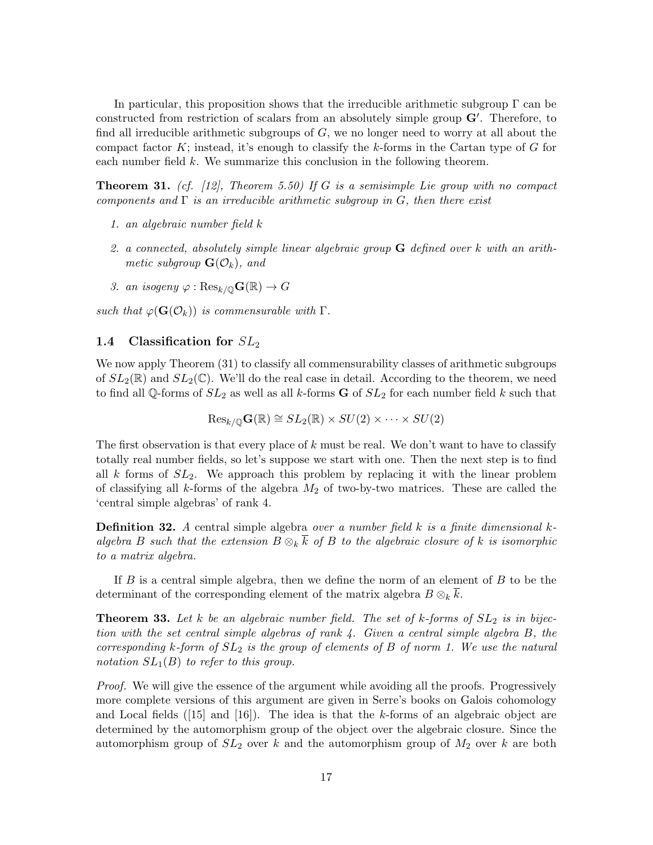In particular, this proposition shows that the irreducible arithmetic subgroup  $\Gamma$  can be constructed from restriction of scalars from an absolutely simple group  $G'$ . Therefore, to find all irreducible arithmetic subgroups of  $G$ , we no longer need to worry at all about the compact factor K; instead, it's enough to classify the k-forms in the Cartan type of G for each number field k. We summarize this conclusion in the following theorem.

**Theorem 31.** (cf. [12], Theorem 5.50) If G is a semisimple Lie group with no compact components and  $\Gamma$  is an irreducible arithmetic subgroup in G, then there exist

- 1. an algebraic number field k
- 2. a connected, absolutely simple linear algebraic group  $\bf{G}$  defined over k with an arithmetic subgroup  $\mathbf{G}(\mathcal{O}_k)$ , and
- 3. an isogeny  $\varphi : \text{Res}_{k/\mathbb{O}}\mathbf{G}(\mathbb{R}) \to G$

such that  $\varphi(\mathbf{G}(\mathcal{O}_k))$  is commensurable with  $\Gamma$ .

### 1.4 Classification for  $SL_2$

We now apply Theorem (31) to classify all commensurability classes of arithmetic subgroups of  $SL_2(\mathbb{R})$  and  $SL_2(\mathbb{C})$ . We'll do the real case in detail. According to the theorem, we need to find all Q-forms of  $SL_2$  as well as all k-forms **G** of  $SL_2$  for each number field k such that

$$
\mathrm{Res}_{k/\mathbb{Q}}\mathbf{G}(\mathbb{R})\cong SL_2(\mathbb{R})\times SU(2)\times\cdots\times SU(2)
$$

The first observation is that every place of  $k$  must be real. We don't want to have to classify totally real number fields, so let's suppose we start with one. Then the next step is to find all  $k$  forms of  $SL_2$ . We approach this problem by replacing it with the linear problem of classifying all k-forms of the algebra  $M_2$  of two-by-two matrices. These are called the 'central simple algebras' of rank 4.

**Definition 32.** A central simple algebra over a number field  $k$  is a finite dimensional  $k$ algebra B such that the extension  $B \otimes_k \overline{k}$  of B to the algebraic closure of k is isomorphic to a matrix algebra.

If  $B$  is a central simple algebra, then we define the norm of an element of  $B$  to be the determinant of the corresponding element of the matrix algebra  $B \otimes_k \overline{k}$ .

**Theorem 33.** Let k be an algebraic number field. The set of k-forms of  $SL_2$  is in bijection with the set central simple algebras of rank 4. Given a central simple algebra B, the corresponding k-form of  $SL_2$  is the group of elements of B of norm 1. We use the natural notation  $SL_1(B)$  to refer to this group.

Proof. We will give the essence of the argument while avoiding all the proofs. Progressively more complete versions of this argument are given in Serre's books on Galois cohomology and Local fields  $([15]$  and  $[16]$ ). The idea is that the k-forms of an algebraic object are determined by the automorphism group of the object over the algebraic closure. Since the automorphism group of  $SL_2$  over k and the automorphism group of  $M_2$  over k are both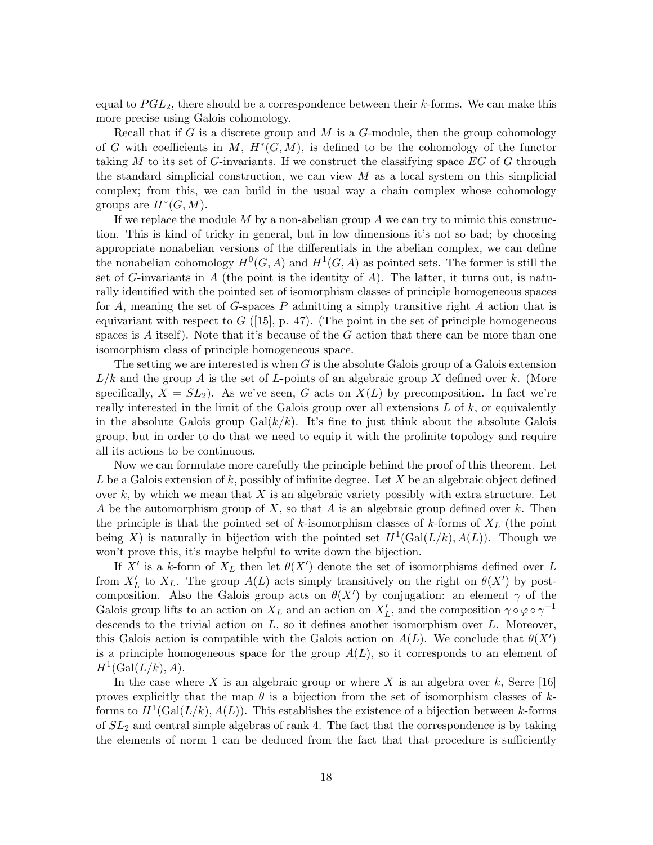equal to  $PGL_2$ , there should be a correspondence between their k-forms. We can make this more precise using Galois cohomology.

Recall that if G is a discrete group and M is a G-module, then the group cohomology of G with coefficients in M,  $H^*(G, M)$ , is defined to be the cohomology of the functor taking M to its set of G-invariants. If we construct the classifying space  $EG$  of G through the standard simplicial construction, we can view  $M$  as a local system on this simplicial complex; from this, we can build in the usual way a chain complex whose cohomology groups are  $H^*(G, M)$ .

If we replace the module  $M$  by a non-abelian group  $A$  we can try to mimic this construction. This is kind of tricky in general, but in low dimensions it's not so bad; by choosing appropriate nonabelian versions of the differentials in the abelian complex, we can define the nonabelian cohomology  $H^0(G, A)$  and  $H^1(G, A)$  as pointed sets. The former is still the set of G-invariants in A (the point is the identity of A). The latter, it turns out, is naturally identified with the pointed set of isomorphism classes of principle homogeneous spaces for A, meaning the set of G-spaces P admitting a simply transitive right A action that is equivariant with respect to  $G$  ([15], p. 47). (The point in the set of principle homogeneous spaces is A itself). Note that it's because of the  $G$  action that there can be more than one isomorphism class of principle homogeneous space.

The setting we are interested is when  $G$  is the absolute Galois group of a Galois extension  $L/k$  and the group A is the set of L-points of an algebraic group X defined over k. (More specifically,  $X = SL_2$ ). As we've seen, G acts on  $X(L)$  by precomposition. In fact we're really interested in the limit of the Galois group over all extensions  $L$  of  $k$ , or equivalently in the absolute Galois group Gal( $\bar{k}/k$ ). It's fine to just think about the absolute Galois group, but in order to do that we need to equip it with the profinite topology and require all its actions to be continuous.

Now we can formulate more carefully the principle behind the proof of this theorem. Let L be a Galois extension of k, possibly of infinite degree. Let X be an algebraic object defined over k, by which we mean that X is an algebraic variety possibly with extra structure. Let A be the automorphism group of X, so that A is an algebraic group defined over k. Then the principle is that the pointed set of  $k$ -isomorphism classes of  $k$ -forms of  $X_L$  (the point being X) is naturally in bijection with the pointed set  $H^1(\text{Gal}(L/k), A(L))$ . Though we won't prove this, it's maybe helpful to write down the bijection.

If X' is a k-form of  $X_L$  then let  $\theta(X')$  denote the set of isomorphisms defined over L from  $X'_L$  to  $X_L$ . The group  $A(L)$  acts simply transitively on the right on  $\theta(X')$  by postcomposition. Also the Galois group acts on  $\theta(X')$  by conjugation: an element  $\gamma$  of the Galois group lifts to an action on  $X_L$  and an action on  $X'_L$ , and the composition  $\gamma \circ \varphi \circ \gamma^{-1}$ descends to the trivial action on  $L$ , so it defines another isomorphism over  $L$ . Moreover, this Galois action is compatible with the Galois action on  $A(L)$ . We conclude that  $\theta(X')$ is a principle homogeneous space for the group  $A(L)$ , so it corresponds to an element of  $H^1(\text{Gal}(L/k), A).$ 

In the case where X is an algebraic group or where X is an algebra over k, Serre [16] proves explicitly that the map  $\theta$  is a bijection from the set of isomorphism classes of kforms to  $H^1(\text{Gal}(L/k), A(L))$ . This establishes the existence of a bijection between k-forms of  $SL_2$  and central simple algebras of rank 4. The fact that the correspondence is by taking the elements of norm 1 can be deduced from the fact that that procedure is sufficiently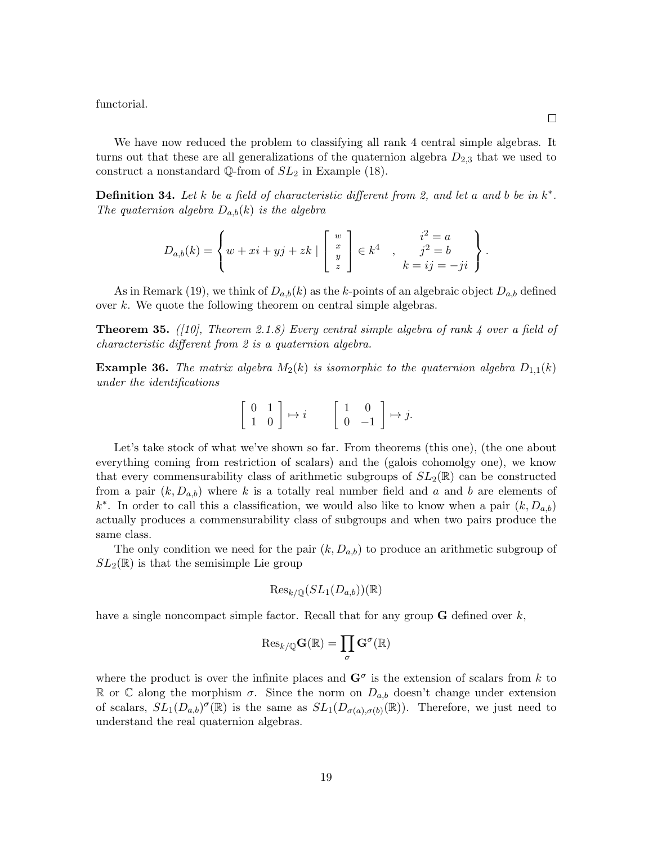functorial.

We have now reduced the problem to classifying all rank 4 central simple algebras. It turns out that these are all generalizations of the quaternion algebra  $D_{2,3}$  that we used to construct a nonstandard Q-from of  $SL_2$  in Example (18).

**Definition 34.** Let k be a field of characteristic different from 2, and let a and b be in  $k^*$ . The quaternion algebra  $D_{a,b}(k)$  is the algebra

$$
D_{a,b}(k) = \left\{ w + xi + yj + zk \mid \begin{bmatrix} w \\ x \\ y \\ z \end{bmatrix} \in k^4 \quad , \quad \begin{array}{c} i^2 = a \\ j^2 = b \\ k = ij = -ji \end{array} \right\}.
$$

As in Remark (19), we think of  $D_{a,b}(k)$  as the k-points of an algebraic object  $D_{a,b}$  defined over k. We quote the following theorem on central simple algebras.

**Theorem 35.** ([10], Theorem 2.1.8) Every central simple algebra of rank 4 over a field of characteristic different from 2 is a quaternion algebra.

**Example 36.** The matrix algebra  $M_2(k)$  is isomorphic to the quaternion algebra  $D_{1,1}(k)$ under the identifications

$$
\left[\begin{array}{cc} 0 & 1 \\ 1 & 0 \end{array}\right] \mapsto i \qquad \left[\begin{array}{cc} 1 & 0 \\ 0 & -1 \end{array}\right] \mapsto j.
$$

Let's take stock of what we've shown so far. From theorems (this one), (the one about everything coming from restriction of scalars) and the (galois cohomolgy one), we know that every commensurability class of arithmetic subgroups of  $SL_2(\mathbb{R})$  can be constructed from a pair  $(k, D_{a,b})$  where k is a totally real number field and a and b are elements of  $k^*$ . In order to call this a classification, we would also like to know when a pair  $(k, D_{a,b})$ actually produces a commensurability class of subgroups and when two pairs produce the same class.

The only condition we need for the pair  $(k, D_{a,b})$  to produce an arithmetic subgroup of  $SL_2(\mathbb{R})$  is that the semisimple Lie group

$$
\text{Res}_{k/\mathbb{Q}}(SL_1(D_{a,b}))(\mathbb{R})
$$

have a single noncompact simple factor. Recall that for any group  **defined over**  $k$ **,** 

$$
\mathrm{Res}_{k/\mathbb{Q}}\mathbf{G}(\mathbb{R})=\prod_{\sigma}\mathbf{G}^{\sigma}(\mathbb{R})
$$

where the product is over the infinite places and  $\mathbf{G}^{\sigma}$  is the extension of scalars from k to R or C along the morphism  $\sigma$ . Since the norm on  $D_{a,b}$  doesn't change under extension of scalars,  $SL_1(D_{a,b})^{\sigma}(\mathbb{R})$  is the same as  $SL_1(D_{\sigma(a),\sigma(b)}(\mathbb{R}))$ . Therefore, we just need to understand the real quaternion algebras.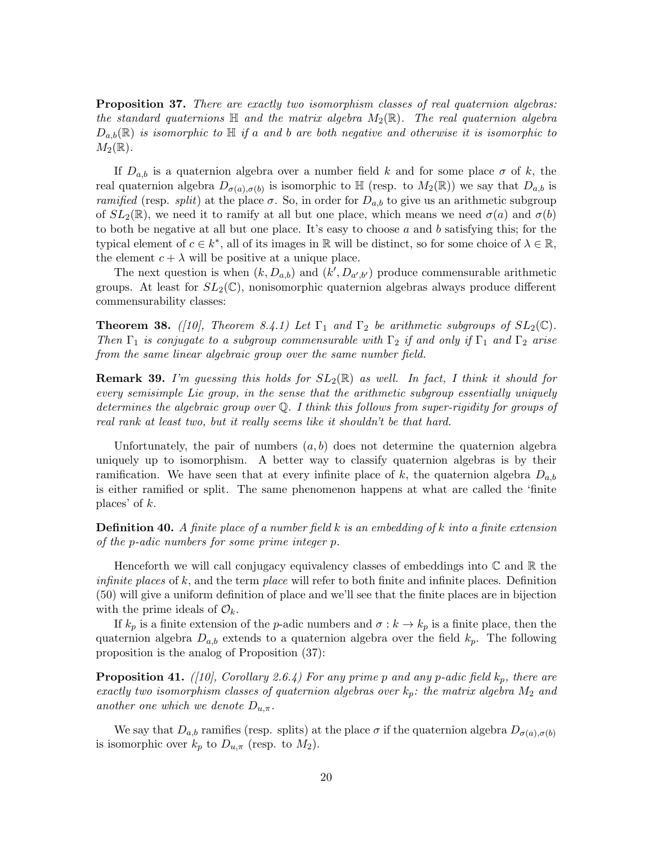**Proposition 37.** There are exactly two isomorphism classes of real quaternion algebras: the standard quaternions  $\mathbb H$  and the matrix algebra  $M_2(\mathbb R)$ . The real quaternion algebra  $D_{a,b}(\mathbb{R})$  is isomorphic to  $\mathbb{H}$  if a and b are both negative and otherwise it is isomorphic to  $M_2(\mathbb{R})$ .

If  $D_{a,b}$  is a quaternion algebra over a number field k and for some place  $\sigma$  of k, the real quaternion algebra  $D_{\sigma(a),\sigma(b)}$  is isomorphic to  $\mathbb{H}$  (resp. to  $M_2(\mathbb{R})$ ) we say that  $D_{a,b}$  is ramified (resp. split) at the place  $\sigma$ . So, in order for  $D_{a,b}$  to give us an arithmetic subgroup of  $SL_2(\mathbb{R})$ , we need it to ramify at all but one place, which means we need  $\sigma(a)$  and  $\sigma(b)$ to both be negative at all but one place. It's easy to choose  $a$  and  $b$  satisfying this; for the typical element of  $c \in k^*$ , all of its images in  $\mathbb R$  will be distinct, so for some choice of  $\lambda \in \mathbb R$ , the element  $c + \lambda$  will be positive at a unique place.

The next question is when  $(k, D_{a,b})$  and  $(k', D_{a',b'})$  produce commensurable arithmetic groups. At least for  $SL_2(\mathbb{C})$ , nonisomorphic quaternion algebras always produce different commensurability classes:

**Theorem 38.** ([10], Theorem 8.4.1) Let  $\Gamma_1$  and  $\Gamma_2$  be arithmetic subgroups of  $SL_2(\mathbb{C})$ . Then  $\Gamma_1$  is conjugate to a subgroup commensurable with  $\Gamma_2$  if and only if  $\Gamma_1$  and  $\Gamma_2$  arise from the same linear algebraic group over the same number field.

**Remark 39.** I'm guessing this holds for  $SL_2(\mathbb{R})$  as well. In fact, I think it should for every semisimple Lie group, in the sense that the arithmetic subgroup essentially uniquely determines the algebraic group over Q. I think this follows from super-rigidity for groups of real rank at least two, but it really seems like it shouldn't be that hard.

Unfortunately, the pair of numbers  $(a, b)$  does not determine the quaternion algebra uniquely up to isomorphism. A better way to classify quaternion algebras is by their ramification. We have seen that at every infinite place of k, the quaternion algebra  $D_{a,b}$ is either ramified or split. The same phenomenon happens at what are called the 'finite places' of  $k$ .

**Definition 40.** A finite place of a number field  $k$  is an embedding of  $k$  into a finite extension of the p-adic numbers for some prime integer p.

Henceforth we will call conjugacy equivalency classes of embeddings into  $\mathbb C$  and  $\mathbb R$  the *infinite places* of  $k$ , and the term *place* will refer to both finite and infinite places. Definition (50) will give a uniform definition of place and we'll see that the finite places are in bijection with the prime ideals of  $\mathcal{O}_k$ .

If  $k_p$  is a finite extension of the *p*-adic numbers and  $\sigma : k \to k_p$  is a finite place, then the quaternion algebra  $D_{a,b}$  extends to a quaternion algebra over the field  $k_p$ . The following proposition is the analog of Proposition (37):

**Proposition 41.** ([10], Corollary 2.6.4) For any prime p and any p-adic field  $k_p$ , there are exactly two isomorphism classes of quaternion algebras over  $k_p$ : the matrix algebra  $M_2$  and another one which we denote  $D_{u,\pi}$ .

We say that  $D_{a,b}$  ramifies (resp. splits) at the place  $\sigma$  if the quaternion algebra  $D_{\sigma(a),\sigma(b)}$ is isomorphic over  $k_p$  to  $D_{u,\pi}$  (resp. to  $M_2$ ).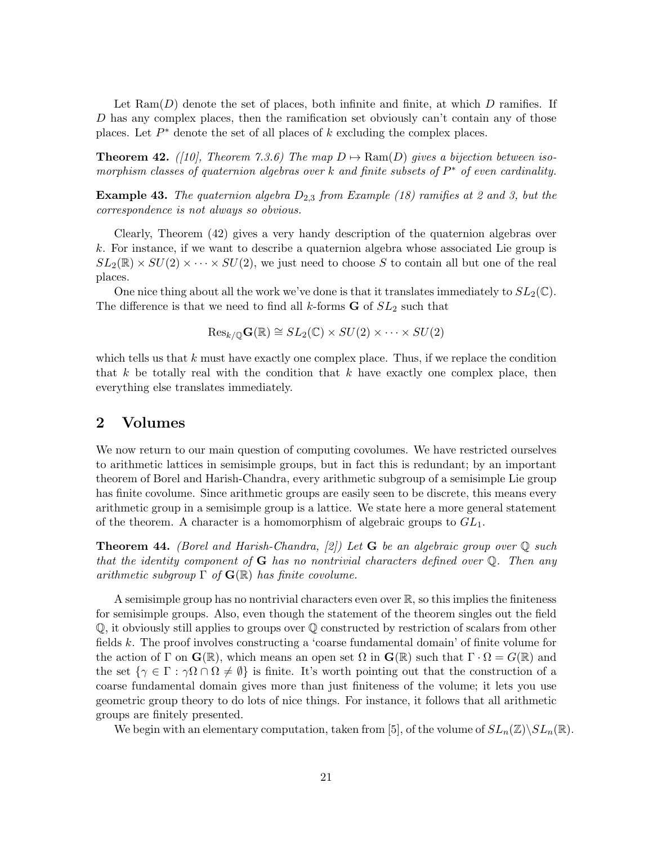Let  $\text{Ram}(D)$  denote the set of places, both infinite and finite, at which D ramifies. If  $D$  has any complex places, then the ramification set obviously can't contain any of those places. Let  $P^*$  denote the set of all places of  $k$  excluding the complex places.

**Theorem 42.** ([10], Theorem 7.3.6) The map  $D \mapsto \text{Ram}(D)$  gives a bijection between isomorphism classes of quaternion algebras over k and finite subsets of  $P^*$  of even cardinality.

**Example 43.** The quaternion algebra  $D_{2,3}$  from Example (18) ramifies at 2 and 3, but the correspondence is not always so obvious.

Clearly, Theorem (42) gives a very handy description of the quaternion algebras over k. For instance, if we want to describe a quaternion algebra whose associated Lie group is  $SL_2(\mathbb{R}) \times SU(2) \times \cdots \times SU(2)$ , we just need to choose S to contain all but one of the real places.

One nice thing about all the work we've done is that it translates immediately to  $SL_2(\mathbb{C})$ . The difference is that we need to find all k-forms  $G$  of  $SL_2$  such that

$$
\mathrm{Res}_{k/\mathbb{Q}}\mathbf{G}(\mathbb{R})\cong SL_2(\mathbb{C})\times SU(2)\times\cdots\times SU(2)
$$

which tells us that  $k$  must have exactly one complex place. Thus, if we replace the condition that k be totally real with the condition that k have exactly one complex place, then everything else translates immediately.

## 2 Volumes

We now return to our main question of computing covolumes. We have restricted ourselves to arithmetic lattices in semisimple groups, but in fact this is redundant; by an important theorem of Borel and Harish-Chandra, every arithmetic subgroup of a semisimple Lie group has finite covolume. Since arithmetic groups are easily seen to be discrete, this means every arithmetic group in a semisimple group is a lattice. We state here a more general statement of the theorem. A character is a homomorphism of algebraic groups to  $GL_1$ .

**Theorem 44.** (Borel and Harish-Chandra, [2]) Let **G** be an algebraic group over  $\mathbb{Q}$  such that the identity component of  $G$  has no nontrivial characters defined over  $\mathbb Q$ . Then any arithmetic subgroup  $\Gamma$  of  $\mathbf{G}(\mathbb{R})$  has finite covolume.

A semisimple group has no nontrivial characters even over  $\mathbb{R}$ , so this implies the finiteness for semisimple groups. Also, even though the statement of the theorem singles out the field Q, it obviously still applies to groups over Q constructed by restriction of scalars from other fields k. The proof involves constructing a 'coarse fundamental domain' of finite volume for the action of  $\Gamma$  on  $\mathbf{G}(\mathbb{R})$ , which means an open set  $\Omega$  in  $\mathbf{G}(\mathbb{R})$  such that  $\Gamma \cdot \Omega = G(\mathbb{R})$  and the set  $\{\gamma \in \Gamma : \gamma\Omega \cap \Omega \neq \emptyset\}$  is finite. It's worth pointing out that the construction of a coarse fundamental domain gives more than just finiteness of the volume; it lets you use geometric group theory to do lots of nice things. For instance, it follows that all arithmetic groups are finitely presented.

We begin with an elementary computation, taken from [5], of the volume of  $SL_n(\mathbb{Z})\backslash SL_n(\mathbb{R})$ .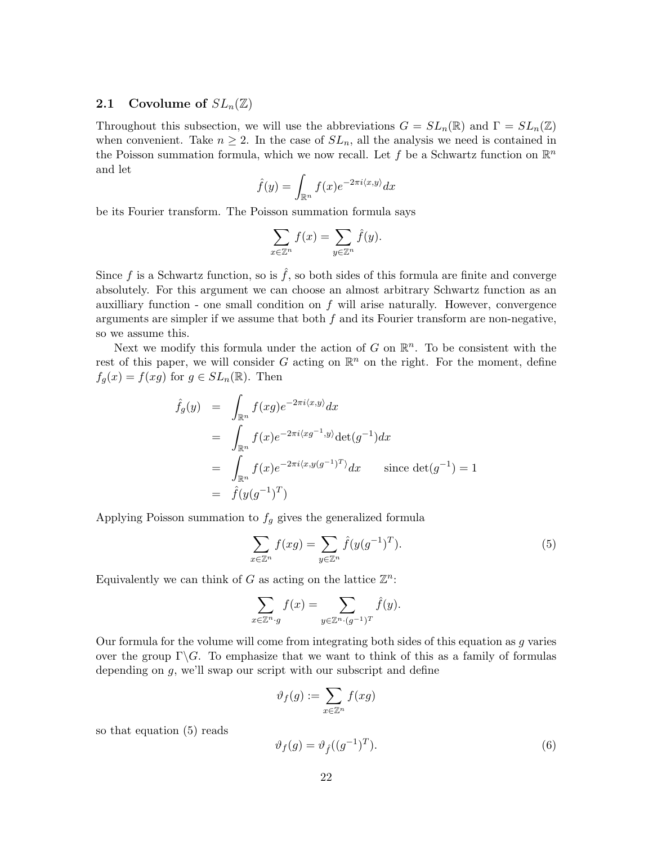### **2.1** Covolume of  $SL_n(\mathbb{Z})$

Throughout this subsection, we will use the abbreviations  $G = SL_n(\mathbb{R})$  and  $\Gamma = SL_n(\mathbb{Z})$ when convenient. Take  $n \geq 2$ . In the case of  $SL_n$ , all the analysis we need is contained in the Poisson summation formula, which we now recall. Let f be a Schwartz function on  $\mathbb{R}^n$ and let

$$
\hat{f}(y) = \int_{\mathbb{R}^n} f(x)e^{-2\pi i \langle x, y \rangle} dx
$$

be its Fourier transform. The Poisson summation formula says

$$
\sum_{x \in \mathbb{Z}^n} f(x) = \sum_{y \in \mathbb{Z}^n} \hat{f}(y).
$$

Since f is a Schwartz function, so is  $\hat{f}$ , so both sides of this formula are finite and converge absolutely. For this argument we can choose an almost arbitrary Schwartz function as an auxilliary function - one small condition on  $f$  will arise naturally. However, convergence arguments are simpler if we assume that both  $f$  and its Fourier transform are non-negative, so we assume this.

Next we modify this formula under the action of G on  $\mathbb{R}^n$ . To be consistent with the rest of this paper, we will consider G acting on  $\mathbb{R}^n$  on the right. For the moment, define  $f_g(x) = f(xg)$  for  $g \in SL_n(\mathbb{R})$ . Then

$$
\hat{f}_g(y) = \int_{\mathbb{R}^n} f(xg)e^{-2\pi i \langle x, y \rangle} dx
$$
\n
$$
= \int_{\mathbb{R}^n} f(x)e^{-2\pi i \langle x, y \rangle} \det(g^{-1}) dx
$$
\n
$$
= \int_{\mathbb{R}^n} f(x)e^{-2\pi i \langle x, y(g^{-1})^T \rangle} dx \quad \text{since } \det(g^{-1}) = 1
$$
\n
$$
= \hat{f}(y(g^{-1})^T)
$$

Applying Poisson summation to  $f<sub>g</sub>$  gives the generalized formula

$$
\sum_{x \in \mathbb{Z}^n} f(xg) = \sum_{y \in \mathbb{Z}^n} \hat{f}(y(g^{-1})^T).
$$
\n(5)

Equivalently we can think of G as acting on the lattice  $\mathbb{Z}^n$ :

$$
\sum_{x \in \mathbb{Z}^n \cdot g} f(x) = \sum_{y \in \mathbb{Z}^n \cdot (g^{-1})^T} \hat{f}(y).
$$

Our formula for the volume will come from integrating both sides of this equation as g varies over the group  $\Gamma \backslash G$ . To emphasize that we want to think of this as a family of formulas depending on g, we'll swap our script with our subscript and define

$$
\vartheta_f(g) := \sum_{x \in \mathbb{Z}^n} f(xg)
$$

so that equation (5) reads

$$
\vartheta_f(g) = \vartheta_f((g^{-1})^T). \tag{6}
$$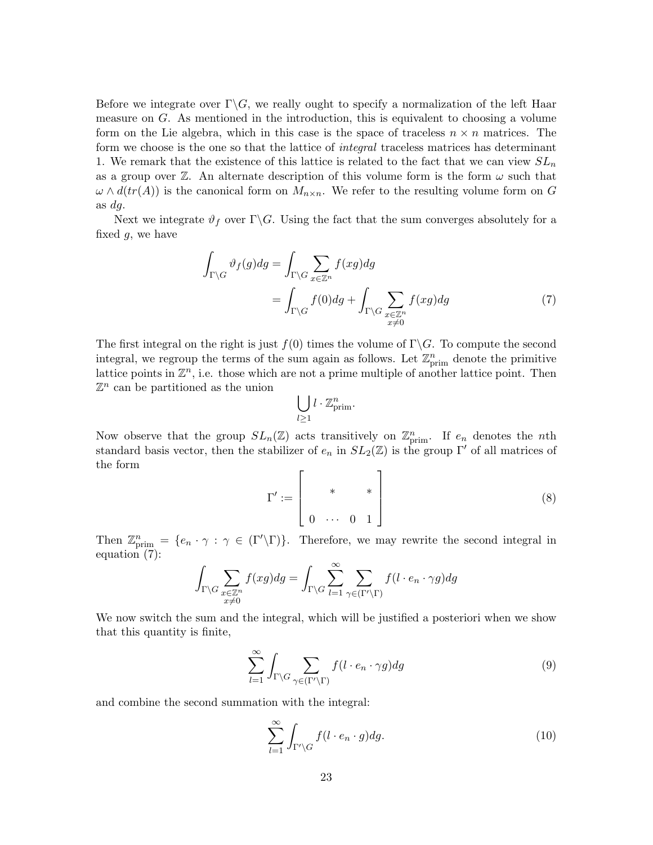Before we integrate over  $\Gamma \backslash G$ , we really ought to specify a normalization of the left Haar measure on G. As mentioned in the introduction, this is equivalent to choosing a volume form on the Lie algebra, which in this case is the space of traceless  $n \times n$  matrices. The form we choose is the one so that the lattice of *integral* traceless matrices has determinant 1. We remark that the existence of this lattice is related to the fact that we can view  $SL_n$ as a group over  $\mathbb{Z}$ . An alternate description of this volume form is the form  $\omega$  such that  $\omega \wedge d(tr(A))$  is the canonical form on  $M_{n\times n}$ . We refer to the resulting volume form on G as dg.

Next we integrate  $\vartheta_f$  over  $\Gamma \backslash G$ . Using the fact that the sum converges absolutely for a fixed  $g$ , we have

$$
\int_{\Gamma \backslash G} \vartheta_f(g) dg = \int_{\Gamma \backslash G} \sum_{x \in \mathbb{Z}^n} f(xg) dg
$$
\n
$$
= \int_{\Gamma \backslash G} f(0) dg + \int_{\Gamma \backslash G} \sum_{\substack{x \in \mathbb{Z}^n \\ x \neq 0}} f(xg) dg \tag{7}
$$

The first integral on the right is just  $f(0)$  times the volume of  $\Gamma \backslash G$ . To compute the second integral, we regroup the terms of the sum again as follows. Let  $\mathbb{Z}_{\text{prim}}^n$  denote the primitive lattice points in  $\mathbb{Z}^n$ , i.e. those which are not a prime multiple of another lattice point. Then  $\mathbb{Z}^n$  can be partitioned as the union

$$
\bigcup_{l\geq 1} l\cdot \mathbb{Z}^n_{\mathrm{prim}}.
$$

Now observe that the group  $SL_n(\mathbb{Z})$  acts transitively on  $\mathbb{Z}_{\text{prim}}^n$ . If  $e_n$  denotes the *n*th standard basis vector, then the stabilizer of  $e_n$  in  $SL_2(\mathbb{Z})$  is the group Γ' of all matrices of the form

$$
\Gamma' := \left[ \begin{array}{ccc} & & & & \\ & & & & & \\ & & & & & \\ 0 & \cdots & 0 & 1 \end{array} \right] \tag{8}
$$

Then  $\mathbb{Z}_{\text{prim}}^n = \{e_n \cdot \gamma : \gamma \in (\Gamma' \backslash \Gamma)\}\$ . Therefore, we may rewrite the second integral in equation (7):

$$
\int_{\Gamma \backslash G} \sum_{\substack{x \in \mathbb{Z}^n \\ x \neq 0}} f(xg) dg = \int_{\Gamma \backslash G} \sum_{l=1}^{\infty} \sum_{\gamma \in (\Gamma' \backslash \Gamma)} f(l \cdot e_n \cdot \gamma g) dg
$$

We now switch the sum and the integral, which will be justified a posteriori when we show that this quantity is finite,

$$
\sum_{l=1}^{\infty} \int_{\Gamma \backslash G} \sum_{\gamma \in (\Gamma' \backslash \Gamma)} f(l \cdot e_n \cdot \gamma g) dg \tag{9}
$$

and combine the second summation with the integral:

$$
\sum_{l=1}^{\infty} \int_{\Gamma' \backslash G} f(l \cdot e_n \cdot g) dg.
$$
 (10)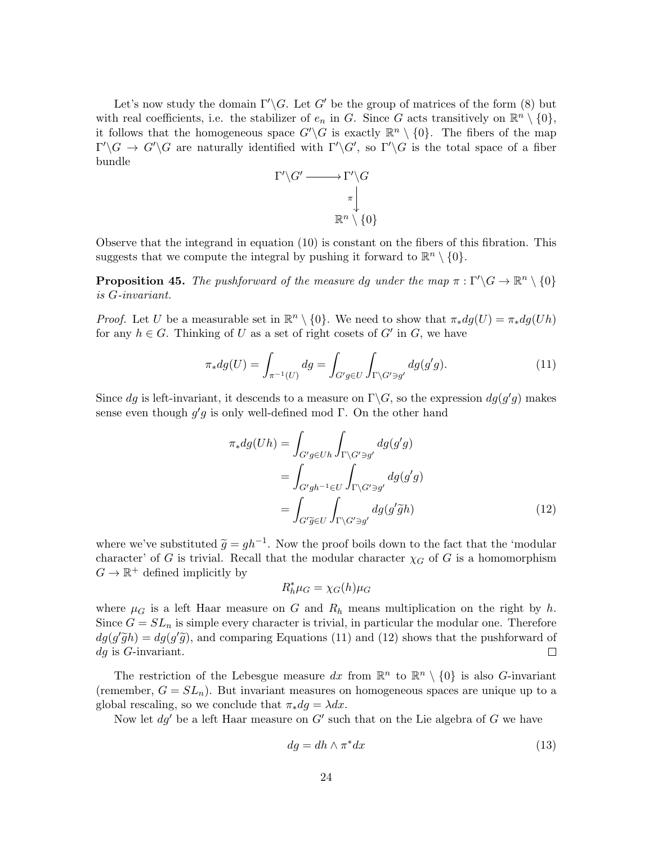Let's now study the domain  $\Gamma'\backslash G$ . Let G' be the group of matrices of the form (8) but with real coefficients, i.e. the stabilizer of  $e_n$  in G. Since G acts transitively on  $\mathbb{R}^n \setminus \{0\},$ it follows that the homogeneous space  $G'\backslash G$  is exactly  $\mathbb{R}^n \setminus \{0\}$ . The fibers of the map  $\Gamma'\backslash G \to G'\backslash G$  are naturally identified with  $\Gamma'\backslash G'$ , so  $\Gamma'\backslash G$  is the total space of a fiber bundle



Observe that the integrand in equation (10) is constant on the fibers of this fibration. This suggests that we compute the integral by pushing it forward to  $\mathbb{R}^n \setminus \{0\}.$ 

**Proposition 45.** The pushforward of the measure dg under the map  $\pi : \Gamma' \backslash G \to \mathbb{R}^n \setminus \{0\}$ is G-invariant.

*Proof.* Let U be a measurable set in  $\mathbb{R}^n \setminus \{0\}$ . We need to show that  $\pi_* dg(U) = \pi_* dg(Uh)$ for any  $h \in G$ . Thinking of U as a set of right cosets of G' in G, we have

$$
\pi_* dg(U) = \int_{\pi^{-1}(U)} dg = \int_{G'g \in U} \int_{\Gamma \backslash G' \ni g'} dg(g'g).
$$
\n(11)

Since dg is left-invariant, it descends to a measure on  $\Gamma \backslash G$ , so the expression  $dg(g'g)$  makes sense even though  $g'g$  is only well-defined mod Γ. On the other hand

$$
\pi_* dg(Uh) = \int_{G'g \in Uh} \int_{\Gamma \backslash G' \ni g'} dg(g'g)
$$

$$
= \int_{G'gh^{-1} \in U} \int_{\Gamma \backslash G' \ni g'} dg(g'g)
$$

$$
= \int_{G' \widetilde{g} \in U} \int_{\Gamma \backslash G' \ni g'} dg(g' \widetilde{g}h)
$$
(12)

where we've substituted  $\tilde{g} = gh^{-1}$ . Now the proof boils down to the fact that the 'modular gharacter' of  $G$  is the modular gharacter' of  $G$  is a homomorphism character' of G is trivial. Recall that the modular character  $\chi_G$  of G is a homomorphism  $G \to \mathbb{R}^+$  defined implicitly by

$$
R_h^* \mu_G = \chi_G(h) \mu_G
$$

where  $\mu_G$  is a left Haar measure on G and  $R_h$  means multiplication on the right by h. Since  $G = SL_n$  is simple every character is trivial, in particular the modular one. Therefore  $dg(g'\tilde{g}h) = dg(g'\tilde{g})$ , and comparing Equations (11) and (12) shows that the pushforward of do is C inversiont.  $dq$  is G-invariant.

The restriction of the Lebesgue measure dx from  $\mathbb{R}^n$  to  $\mathbb{R}^n \setminus \{0\}$  is also G-invariant (remember,  $G = SL_n$ ). But invariant measures on homogeneous spaces are unique up to a global rescaling, so we conclude that  $\pi_* dg = \lambda dx$ .

Now let  $dg'$  be a left Haar measure on  $G'$  such that on the Lie algebra of G we have

$$
dg = dh \wedge \pi^* dx \tag{13}
$$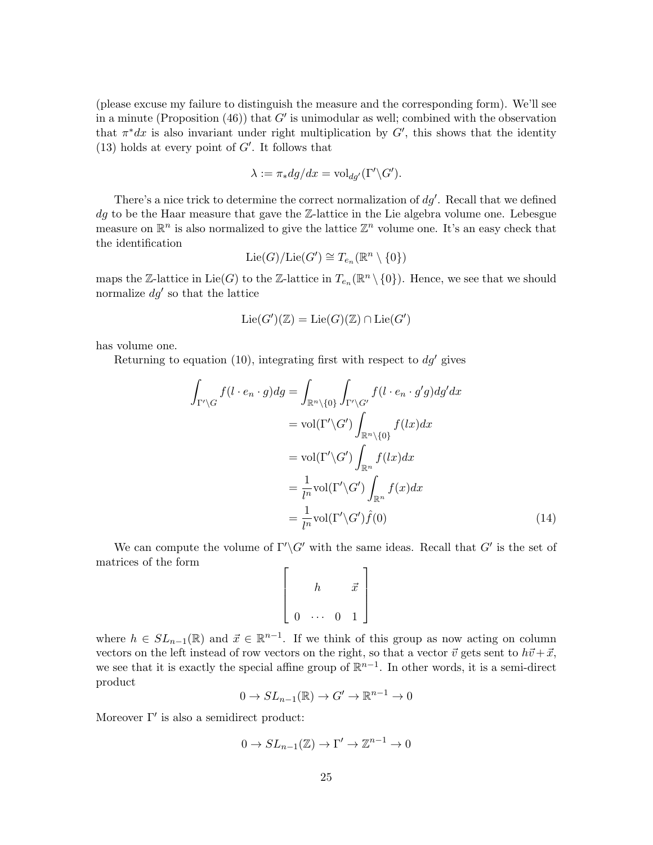(please excuse my failure to distinguish the measure and the corresponding form). We'll see in a minute (Proposition  $(46)$ ) that G' is unimodular as well; combined with the observation that  $\pi^*dx$  is also invariant under right multiplication by G', this shows that the identity (13) holds at every point of  $G'$ . It follows that

$$
\lambda := \pi_* dg/dx = \text{vol}_{dg'}(\Gamma' \backslash G').
$$

There's a nice trick to determine the correct normalization of  $dg'$ . Recall that we defined dg to be the Haar measure that gave the Z-lattice in the Lie algebra volume one. Lebesgue measure on  $\mathbb{R}^n$  is also normalized to give the lattice  $\mathbb{Z}^n$  volume one. It's an easy check that the identification

$$
\mathrm{Lie}(G)/\mathrm{Lie}(G') \cong T_{e_n}(\mathbb{R}^n \setminus \{0\})
$$

maps the Z-lattice in Lie(G) to the Z-lattice in  $T_{e_n}(\mathbb{R}^n \setminus \{0\})$ . Hence, we see that we should normalize  $dg'$  so that the lattice

$$
\mathrm{Lie}(G')(\mathbb{Z})=\mathrm{Lie}(G)(\mathbb{Z})\cap \mathrm{Lie}(G')
$$

has volume one.

Returning to equation (10), integrating first with respect to  $dg'$  gives

$$
\int_{\Gamma'\backslash G} f(l \cdot e_n \cdot g) dg = \int_{\mathbb{R}^n \backslash \{0\}} \int_{\Gamma'\backslash G'} f(l \cdot e_n \cdot g'g) dg' dx
$$

$$
= \text{vol}(\Gamma'\backslash G') \int_{\mathbb{R}^n \backslash \{0\}} f(lx) dx
$$

$$
= \text{vol}(\Gamma'\backslash G') \int_{\mathbb{R}^n} f(lx) dx
$$

$$
= \frac{1}{l^n} \text{vol}(\Gamma'\backslash G') \int_{\mathbb{R}^n} f(x) dx
$$

$$
= \frac{1}{l^n} \text{vol}(\Gamma'\backslash G') \hat{f}(0)
$$
(14)

We can compute the volume of  $\Gamma'\backslash G'$  with the same ideas. Recall that  $G'$  is the set of matrices of the form  $\mathsf{r}$  $\overline{\phantom{a}}$ 

$$
\left[\begin{array}{ccc} & h & \vec{x} \\ & \vec{0} & \cdots & 0 & 1 \end{array}\right]
$$

where  $h \in SL_{n-1}(\mathbb{R})$  and  $\vec{x} \in \mathbb{R}^{n-1}$ . If we think of this group as now acting on column vectors on the left instead of row vectors on the right, so that a vector  $\vec{v}$  gets sent to  $h\vec{v}+\vec{x}$ , we see that it is exactly the special affine group of  $\mathbb{R}^{n-1}$ . In other words, it is a semi-direct product

$$
0 \to SL_{n-1}(\mathbb{R}) \to G' \to \mathbb{R}^{n-1} \to 0
$$

Moreover  $\Gamma'$  is also a semidirect product:

$$
0 \to SL_{n-1}(\mathbb{Z}) \to \Gamma' \to \mathbb{Z}^{n-1} \to 0
$$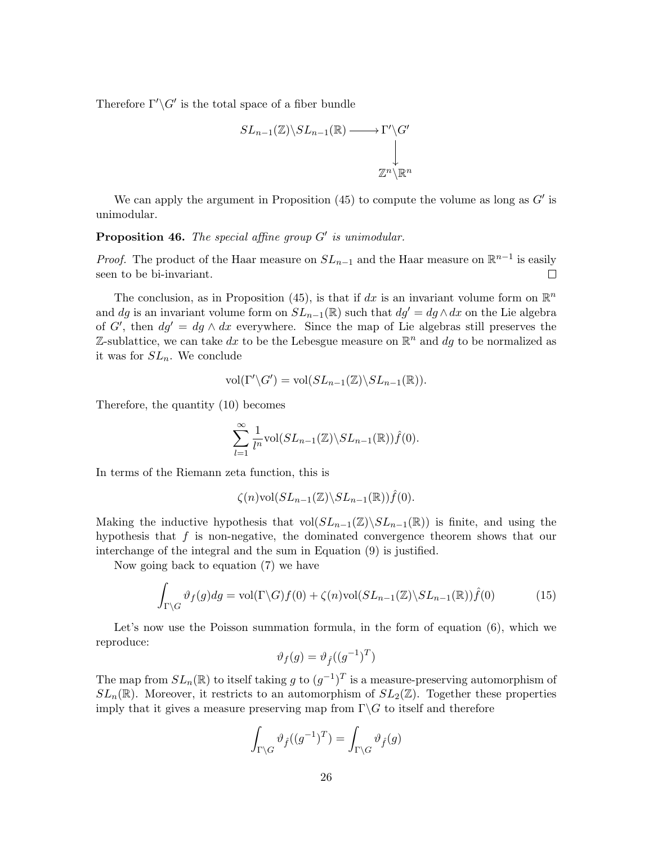Therefore  $\Gamma'\backslash G'$  is the total space of a fiber bundle

$$
SL_{n-1}(\mathbb{Z})\backslash SL_{n-1}(\mathbb{R}) \longrightarrow \Gamma'\backslash G'
$$
  
\n
$$
\downarrow
$$
  
\n
$$
\mathbb{Z}^{n}\backslash \mathbb{R}^{n}
$$

We can apply the argument in Proposition  $(45)$  to compute the volume as long as  $G'$  is unimodular.

**Proposition 46.** The special affine group  $G'$  is unimodular.

*Proof.* The product of the Haar measure on  $SL_{n-1}$  and the Haar measure on  $\mathbb{R}^{n-1}$  is easily seen to be bi-invariant.  $\Box$ 

The conclusion, as in Proposition (45), is that if dx is an invariant volume form on  $\mathbb{R}^n$ and dg is an invariant volume form on  $SL_{n-1}(\mathbb{R})$  such that  $dg' = dg \wedge dx$  on the Lie algebra of G', then  $dg' = dg \wedge dx$  everywhere. Since the map of Lie algebras still preserves the Z-sublattice, we can take dx to be the Lebesgue measure on  $\mathbb{R}^n$  and dg to be normalized as it was for  $SL_n$ . We conclude

$$
\text{vol}(\Gamma'\backslash G')=\text{vol}(SL_{n-1}(\mathbb{Z})\backslash SL_{n-1}(\mathbb{R})).
$$

Therefore, the quantity (10) becomes

$$
\sum_{l=1}^{\infty} \frac{1}{l^n} \text{vol}(SL_{n-1}(\mathbb{Z}) \backslash SL_{n-1}(\mathbb{R})) \hat{f}(0).
$$

In terms of the Riemann zeta function, this is

$$
\zeta(n) \text{vol}(SL_{n-1}(\mathbb{Z}) \backslash SL_{n-1}(\mathbb{R})) \hat{f}(0).
$$

Making the inductive hypothesis that vol $(SL_{n-1}(\mathbb{Z})\backslash SL_{n-1}(\mathbb{R}))$  is finite, and using the hypothesis that  $f$  is non-negative, the dominated convergence theorem shows that our interchange of the integral and the sum in Equation (9) is justified.

Now going back to equation (7) we have

$$
\int_{\Gamma \backslash G} \vartheta_f(g) dg = \text{vol}(\Gamma \backslash G) f(0) + \zeta(n) \text{vol}(SL_{n-1}(\mathbb{Z}) \backslash SL_{n-1}(\mathbb{R})) \hat{f}(0) \tag{15}
$$

Let's now use the Poisson summation formula, in the form of equation  $(6)$ , which we reproduce:

$$
\vartheta_f(g) = \vartheta_{\hat{f}}((g^{-1})^T)
$$

The map from  $SL_n(\mathbb{R})$  to itself taking g to  $(g^{-1})^T$  is a measure-preserving automorphism of  $SL_n(\mathbb{R})$ . Moreover, it restricts to an automorphism of  $SL_2(\mathbb{Z})$ . Together these properties imply that it gives a measure preserving map from  $\Gamma \backslash G$  to itself and therefore

$$
\int_{\Gamma \backslash G} \vartheta_f ((g^{-1})^T) = \int_{\Gamma \backslash G} \vartheta_f (g)
$$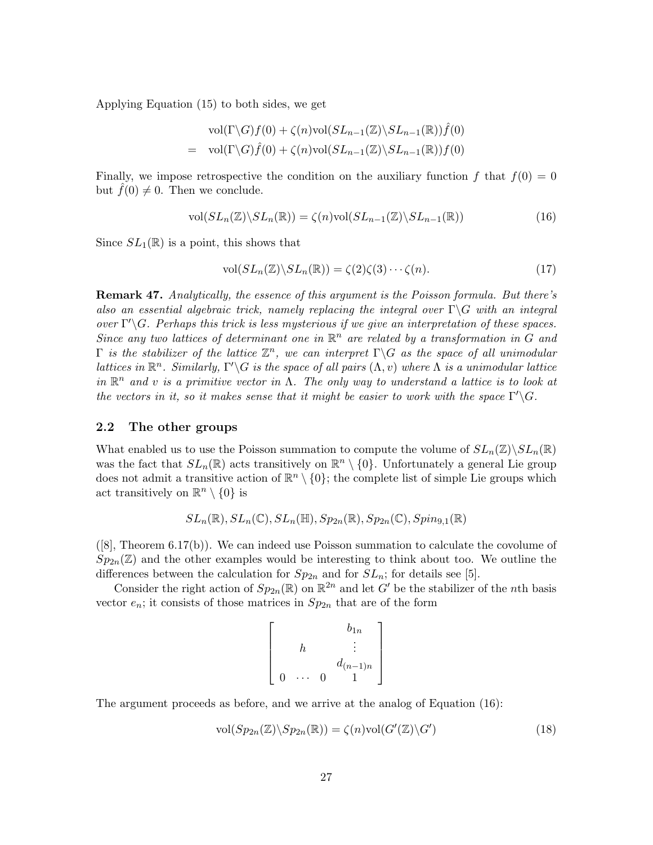Applying Equation (15) to both sides, we get

$$
\text{vol}(\Gamma \backslash G) f(0) + \zeta(n) \text{vol}(SL_{n-1}(\mathbb{Z}) \backslash SL_{n-1}(\mathbb{R})) \hat{f}(0)
$$
  
= 
$$
\text{vol}(\Gamma \backslash G) \hat{f}(0) + \zeta(n) \text{vol}(SL_{n-1}(\mathbb{Z}) \backslash SL_{n-1}(\mathbb{R})) f(0)
$$

Finally, we impose retrospective the condition on the auxiliary function f that  $f(0) = 0$ but  $f(0) \neq 0$ . Then we conclude.

$$
\text{vol}(SL_n(\mathbb{Z})\backslash SL_n(\mathbb{R})) = \zeta(n)\text{vol}(SL_{n-1}(\mathbb{Z})\backslash SL_{n-1}(\mathbb{R}))
$$
\n(16)

Since  $SL_1(\mathbb{R})$  is a point, this shows that

$$
\text{vol}(SL_n(\mathbb{Z})\backslash SL_n(\mathbb{R})) = \zeta(2)\zeta(3)\cdots\zeta(n). \tag{17}
$$

**Remark 47.** Analytically, the essence of this argument is the Poisson formula. But there's also an essential algebraic trick, namely replacing the integral over  $\Gamma \backslash G$  with an integral over  $\Gamma' \backslash G$ . Perhaps this trick is less mysterious if we give an interpretation of these spaces. Since any two lattices of determinant one in  $\mathbb{R}^n$  are related by a transformation in G and  $\Gamma$  is the stabilizer of the lattice  $\mathbb{Z}^n$ , we can interpret  $\Gamma \backslash G$  as the space of all unimodular lattices in  $\mathbb{R}^n$ . Similarly,  $\Gamma' \backslash G$  is the space of all pairs  $(\Lambda, v)$  where  $\Lambda$  is a unimodular lattice in  $\mathbb{R}^n$  and v is a primitive vector in  $\Lambda$ . The only way to understand a lattice is to look at the vectors in it, so it makes sense that it might be easier to work with the space  $\Gamma'\backslash G$ .

### 2.2 The other groups

What enabled us to use the Poisson summation to compute the volume of  $SL_n(\mathbb{Z})\backslash SL_n(\mathbb{R})$ was the fact that  $SL_n(\mathbb{R})$  acts transitively on  $\mathbb{R}^n \setminus \{0\}$ . Unfortunately a general Lie group does not admit a transitive action of  $\mathbb{R}^n \setminus \{0\}$ ; the complete list of simple Lie groups which act transitively on  $\mathbb{R}^n \setminus \{0\}$  is

$$
SL_n(\mathbb{R}), SL_n(\mathbb{C}), SL_n(\mathbb{H}), Sp_{2n}(\mathbb{R}), Sp_{2n}(\mathbb{C}), Spin_{9,1}(\mathbb{R})
$$

([8], Theorem 6.17(b)). We can indeed use Poisson summation to calculate the covolume of  $Sp_{2n}(\mathbb{Z})$  and the other examples would be interesting to think about too. We outline the differences between the calculation for  $Sp_{2n}$  and for  $SL_n$ ; for details see [5].

Consider the right action of  $Sp_{2n}(\mathbb{R})$  on  $\mathbb{R}^{2n}$  and let G' be the stabilizer of the nth basis vector  $e_n$ ; it consists of those matrices in  $Sp_{2n}$  that are of the form

$$
\left[\begin{array}{cc} & b_{1n} \\ h & \vdots \\ & d_{(n-1)n} \\ 0 & \cdots & 0 & 1 \end{array}\right]
$$

The argument proceeds as before, and we arrive at the analog of Equation (16):

$$
\text{vol}(Sp_{2n}(\mathbb{Z})\backslash Sp_{2n}(\mathbb{R})) = \zeta(n)\text{vol}(G'(\mathbb{Z})\backslash G') \tag{18}
$$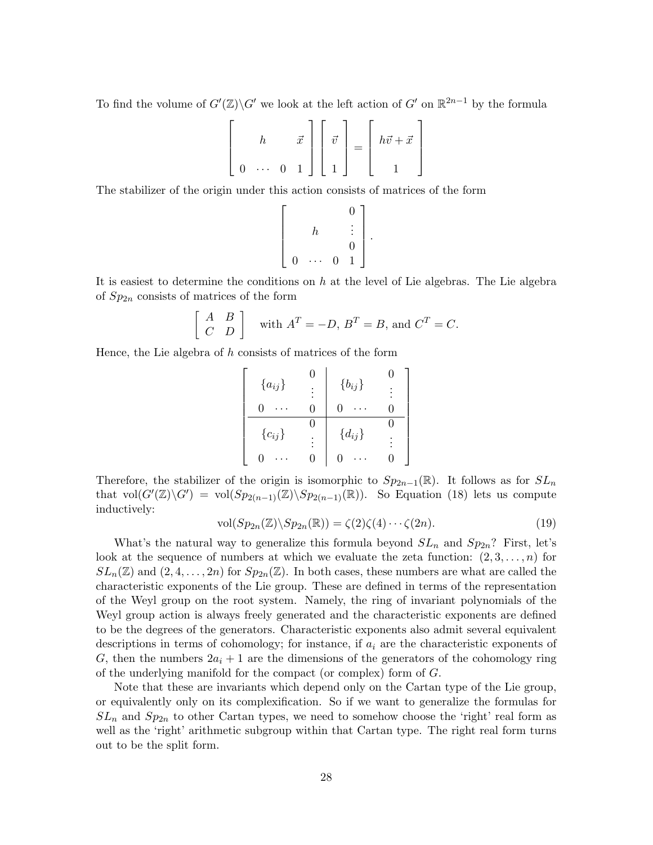To find the volume of  $G'(\mathbb{Z})\backslash G'$  we look at the left action of  $G'$  on  $\mathbb{R}^{2n-1}$  by the formula

$$
\begin{bmatrix} h & \vec{x} \\ 0 & \cdots & 0 & 1 \end{bmatrix} \begin{bmatrix} \vec{v} \\ 1 \end{bmatrix} = \begin{bmatrix} h\vec{v} + \vec{x} \\ 1 \end{bmatrix}
$$

The stabilizer of the origin under this action consists of matrices of the form

$$
\left[\begin{array}{cc} & & 0 \\ & h & \vdots \\ 0 & \cdots & 0 & 1 \end{array}\right].
$$

It is easiest to determine the conditions on  $h$  at the level of Lie algebras. The Lie algebra of  $Sp_{2n}$  consists of matrices of the form

$$
\begin{bmatrix} A & B \\ C & D \end{bmatrix}
$$
 with  $A^T = -D$ ,  $B^T = B$ , and  $C^T = C$ .

Hence, the Lie algebra of h consists of matrices of the form

$$
\left[\begin{array}{cc|cc} \{a_{ij}\} & 0 & \{b_{ij}\} & 0 \\ \hline 0 & \cdots & 0 & 0 & \cdots & 0 \\ \hline \{c_{ij}\} & 0 & \{d_{ij}\} & 0 \\ 0 & \cdots & 0 & 0 & \cdots & 0 \end{array}\right]
$$

Therefore, the stabilizer of the origin is isomorphic to  $Sp_{2n-1}(\mathbb{R})$ . It follows as for  $SL_n$ that  $vol(G'(\mathbb{Z})\backslash G') = vol(Sp_{2(n-1)}(\mathbb{Z})\backslash Sp_{2(n-1)}(\mathbb{R}))$ . So Equation (18) lets us compute inductively:

$$
\text{vol}(Sp_{2n}(\mathbb{Z})\backslash Sp_{2n}(\mathbb{R})) = \zeta(2)\zeta(4)\cdots\zeta(2n). \tag{19}
$$

What's the natural way to generalize this formula beyond  $SL_n$  and  $Sp_{2n}$ ? First, let's look at the sequence of numbers at which we evaluate the zeta function:  $(2, 3, \ldots, n)$  for  $SL_n(\mathbb{Z})$  and  $(2, 4, \ldots, 2n)$  for  $Sp_{2n}(\mathbb{Z})$ . In both cases, these numbers are what are called the characteristic exponents of the Lie group. These are defined in terms of the representation of the Weyl group on the root system. Namely, the ring of invariant polynomials of the Weyl group action is always freely generated and the characteristic exponents are defined to be the degrees of the generators. Characteristic exponents also admit several equivalent descriptions in terms of cohomology; for instance, if  $a_i$  are the characteristic exponents of G, then the numbers  $2a_i + 1$  are the dimensions of the generators of the cohomology ring of the underlying manifold for the compact (or complex) form of G.

Note that these are invariants which depend only on the Cartan type of the Lie group, or equivalently only on its complexification. So if we want to generalize the formulas for  $SL_n$  and  $Sp_{2n}$  to other Cartan types, we need to somehow choose the 'right' real form as well as the 'right' arithmetic subgroup within that Cartan type. The right real form turns out to be the split form.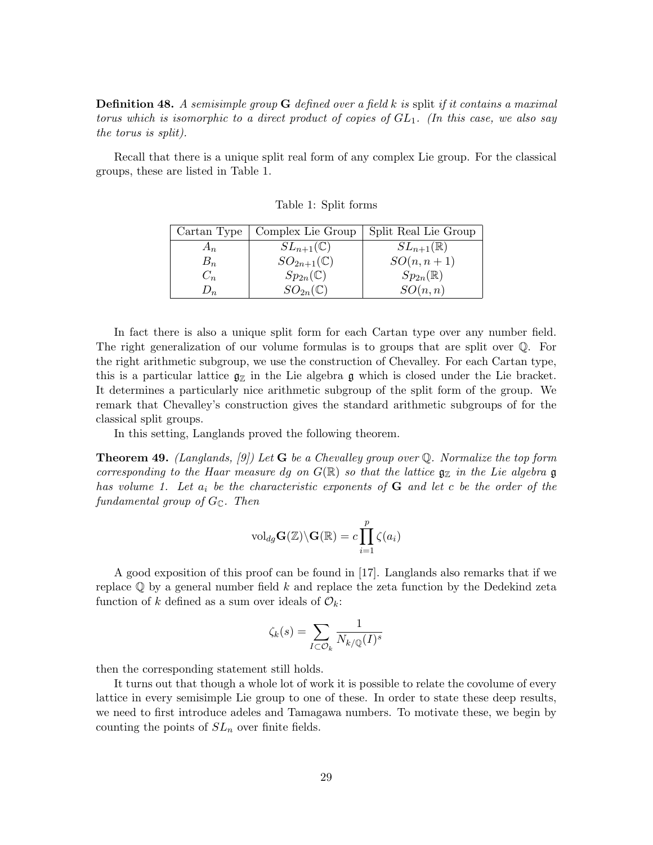**Definition 48.** A semisimple group  $G$  defined over a field k is split if it contains a maximal torus which is isomorphic to a direct product of copies of  $GL_1$ . (In this case, we also say the torus is split).

Recall that there is a unique split real form of any complex Lie group. For the classical groups, these are listed in Table 1.

| Cartan Type | Complex Lie Group       | Split Real Lie Group   |
|-------------|-------------------------|------------------------|
| $A_n$       | $SL_{n+1}(\mathbb{C})$  | $SL_{n+1}(\mathbb{R})$ |
| $B_n$       | $SO_{2n+1}(\mathbb{C})$ | $SO(n,n+1)$            |
| $C_n$       | $Sp_{2n}(\mathbb{C})$   | $Sp_{2n}(\mathbb{R})$  |
| $v_n$       | $SO_{2n}(\mathbb{C})$   | SO(n,n)                |

Table 1: Split forms

In fact there is also a unique split form for each Cartan type over any number field. The right generalization of our volume formulas is to groups that are split over Q. For the right arithmetic subgroup, we use the construction of Chevalley. For each Cartan type, this is a particular lattice  $g_{\mathbb{Z}}$  in the Lie algebra g which is closed under the Lie bracket. It determines a particularly nice arithmetic subgroup of the split form of the group. We remark that Chevalley's construction gives the standard arithmetic subgroups of for the classical split groups.

In this setting, Langlands proved the following theorem.

**Theorem 49.** (Langlands, [9]) Let **G** be a Chevalley group over Q. Normalize the top form corresponding to the Haar measure dg on  $G(\mathbb{R})$  so that the lattice  $\mathfrak{g}_\mathbb{Z}$  in the Lie algebra  $\mathfrak g$ has volume 1. Let  $a_i$  be the characteristic exponents of  $G$  and let c be the order of the fundamental group of  $G_{\mathbb{C}}$ . Then

$$
\mathrm{vol}_{dg} \mathbf{G}(\mathbb{Z}) \backslash \mathbf{G}(\mathbb{R}) = c \prod_{i=1}^p \zeta(a_i)
$$

A good exposition of this proof can be found in [17]. Langlands also remarks that if we replace  $\mathbb Q$  by a general number field k and replace the zeta function by the Dedekind zeta function of k defined as a sum over ideals of  $\mathcal{O}_k$ :

$$
\zeta_k(s) = \sum_{I \subset \mathcal{O}_k} \frac{1}{N_{k/\mathbb{Q}}(I)^s}
$$

then the corresponding statement still holds.

It turns out that though a whole lot of work it is possible to relate the covolume of every lattice in every semisimple Lie group to one of these. In order to state these deep results, we need to first introduce adeles and Tamagawa numbers. To motivate these, we begin by counting the points of  $SL_n$  over finite fields.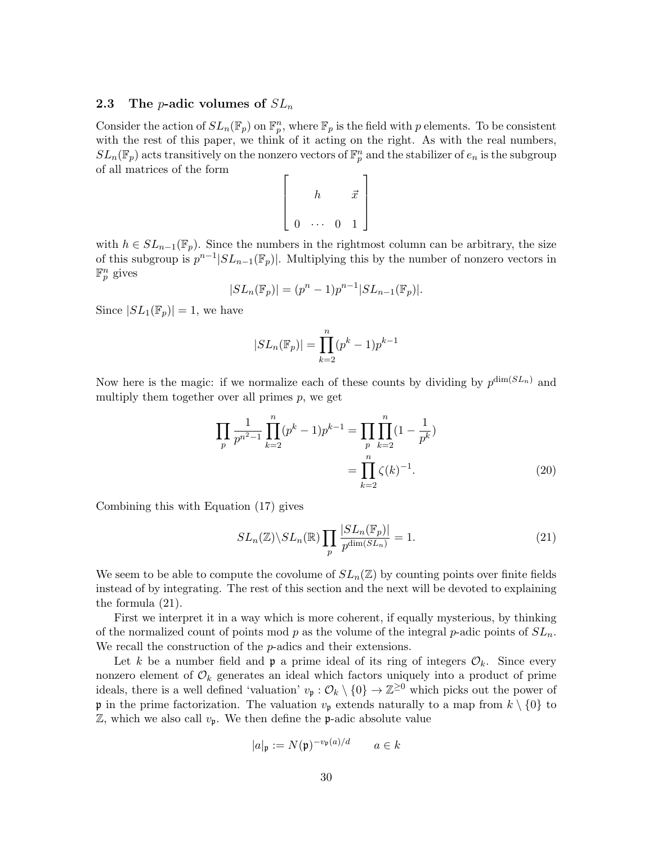### **2.3** The *p*-adic volumes of  $SL_n$

Consider the action of  $SL_n(\mathbb{F}_p)$  on  $\mathbb{F}_p^n$ , where  $\mathbb{F}_p$  is the field with p elements. To be consistent with the rest of this paper, we think of it acting on the right. As with the real numbers,  $SL_n(\mathbb{F}_p)$  acts transitively on the nonzero vectors of  $\mathbb{F}_p^n$  and the stabilizer of  $e_n$  is the subgroup of all matrices of the form  $\lceil$ 

$$
\left[\begin{array}{ccc} & h & & \vec{x} \\ & h & & \vec{x} \\ 0 & \cdots & 0 & 1 \end{array}\right]
$$

with  $h \in SL_{n-1}(\mathbb{F}_p)$ . Since the numbers in the rightmost column can be arbitrary, the size of this subgroup is  $p^{n-1}|SL_{n-1}(\mathbb{F}_p)|$ . Multiplying this by the number of nonzero vectors in  $\mathbb{F}_p^n$  gives

$$
|SL_n(\mathbb{F}_p)| = (p^n - 1)p^{n-1}|SL_{n-1}(\mathbb{F}_p)|.
$$

Since  $|SL_1(\mathbb{F}_p)|=1$ , we have

$$
|SL_n(\mathbb{F}_p)| = \prod_{k=2}^n (p^k - 1)p^{k-1}
$$

Now here is the magic: if we normalize each of these counts by dividing by  $p^{\dim(SL_n)}$  and multiply them together over all primes  $p$ , we get

$$
\prod_{p} \frac{1}{p^{n^2 - 1}} \prod_{k=2}^{n} (p^k - 1) p^{k-1} = \prod_{p} \prod_{k=2}^{n} (1 - \frac{1}{p^k})
$$

$$
= \prod_{k=2}^{n} \zeta(k)^{-1}.
$$
 (20)

Combining this with Equation (17) gives

$$
SL_n(\mathbb{Z})\backslash SL_n(\mathbb{R})\prod_p\frac{|SL_n(\mathbb{F}_p)|}{p^{\dim(SL_n)}}=1.
$$
\n(21)

We seem to be able to compute the covolume of  $SL_n(\mathbb{Z})$  by counting points over finite fields instead of by integrating. The rest of this section and the next will be devoted to explaining the formula (21).

First we interpret it in a way which is more coherent, if equally mysterious, by thinking of the normalized count of points mod p as the volume of the integral p-adic points of  $SL_n$ . We recall the construction of the *p*-adics and their extensions.

Let k be a number field and **p** a prime ideal of its ring of integers  $\mathcal{O}_k$ . Since every nonzero element of  $\mathcal{O}_k$  generates an ideal which factors uniquely into a product of prime ideals, there is a well defined 'valuation'  $v_{\mathfrak{p}}: \mathcal{O}_k \setminus \{0\} \to \mathbb{Z}^{\geq 0}$  which picks out the power of **p** in the prime factorization. The valuation  $v_p$  extends naturally to a map from  $k \setminus \{0\}$  to  $\mathbb{Z}$ , which we also call  $v_{\mathfrak{p}}$ . We then define the  $\mathfrak{p}$ -adic absolute value

$$
|a|_{\mathfrak{p}} := N(\mathfrak{p})^{-v_{\mathfrak{p}}(a)/d} \qquad a \in k
$$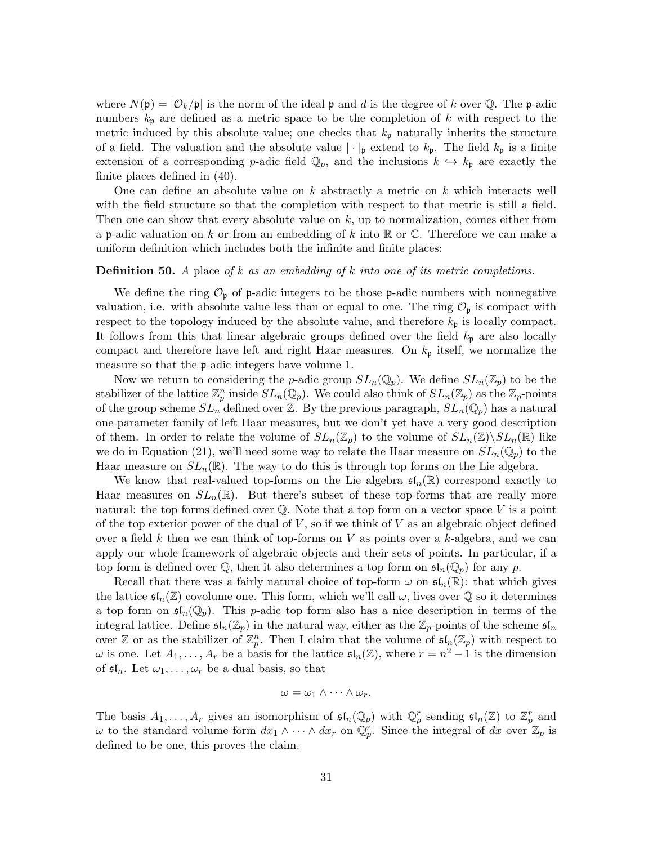where  $N(\mathfrak{p}) = |\mathcal{O}_k/\mathfrak{p}|$  is the norm of the ideal  $\mathfrak{p}$  and d is the degree of k over Q. The p-adic numbers  $k_{\rm p}$  are defined as a metric space to be the completion of k with respect to the metric induced by this absolute value; one checks that  $k_p$  naturally inherits the structure of a field. The valuation and the absolute value  $|\cdot|_p$  extend to  $k_p$ . The field  $k_p$  is a finite extension of a corresponding p-adic field  $\mathbb{Q}_p$ , and the inclusions  $k \leftrightarrow k_p$  are exactly the finite places defined in (40).

One can define an absolute value on  $k$  abstractly a metric on  $k$  which interacts well with the field structure so that the completion with respect to that metric is still a field. Then one can show that every absolute value on  $k$ , up to normalization, comes either from a p-adic valuation on k or from an embedding of k into  $\mathbb R$  or  $\mathbb C$ . Therefore we can make a uniform definition which includes both the infinite and finite places:

#### **Definition 50.** A place of k as an embedding of k into one of its metric completions.

We define the ring  $\mathcal{O}_{\mathfrak{p}}$  of  $\mathfrak{p}$ -adic integers to be those  $\mathfrak{p}$ -adic numbers with nonnegative valuation, i.e. with absolute value less than or equal to one. The ring  $\mathcal{O}_{\mathfrak{p}}$  is compact with respect to the topology induced by the absolute value, and therefore  $k_p$  is locally compact. It follows from this that linear algebraic groups defined over the field  $k_{\rm p}$  are also locally compact and therefore have left and right Haar measures. On  $k_p$  itself, we normalize the measure so that the p-adic integers have volume 1.

Now we return to considering the *p*-adic group  $SL_n(\mathbb{Q}_p)$ . We define  $SL_n(\mathbb{Z}_p)$  to be the stabilizer of the lattice  $\mathbb{Z}_p^n$  inside  $SL_n(\mathbb{Q}_p)$ . We could also think of  $SL_n(\mathbb{Z}_p)$  as the  $\mathbb{Z}_p$ -points of the group scheme  $SL_n$  defined over Z. By the previous paragraph,  $SL_n(\mathbb{Q}_p)$  has a natural one-parameter family of left Haar measures, but we don't yet have a very good description of them. In order to relate the volume of  $SL_n(\mathbb{Z}_p)$  to the volume of  $SL_n(\mathbb{Z})\backslash SL_n(\mathbb{R})$  like we do in Equation (21), we'll need some way to relate the Haar measure on  $SL_n(\mathbb{Q}_p)$  to the Haar measure on  $SL_n(\mathbb{R})$ . The way to do this is through top forms on the Lie algebra.

We know that real-valued top-forms on the Lie algebra  $\mathfrak{sl}_n(\mathbb{R})$  correspond exactly to Haar measures on  $SL_n(\mathbb{R})$ . But there's subset of these top-forms that are really more natural: the top forms defined over  $\mathbb Q$ . Note that a top form on a vector space V is a point of the top exterior power of the dual of  $V$ , so if we think of  $V$  as an algebraic object defined over a field  $k$  then we can think of top-forms on  $V$  as points over a  $k$ -algebra, and we can apply our whole framework of algebraic objects and their sets of points. In particular, if a top form is defined over  $\mathbb{Q}$ , then it also determines a top form on  $\mathfrak{sl}_n(\mathbb{Q}_p)$  for any p.

Recall that there was a fairly natural choice of top-form  $\omega$  on  $\mathfrak{sl}_n(\mathbb{R})$ : that which gives the lattice  $\mathfrak{sl}_n(\mathbb{Z})$  covolume one. This form, which we'll call  $\omega$ , lives over  $\mathbb Q$  so it determines a top form on  $\mathfrak{sl}_n(\mathbb{Q}_p)$ . This p-adic top form also has a nice description in terms of the integral lattice. Define  $\mathfrak{sl}_n(\mathbb{Z}_p)$  in the natural way, either as the  $\mathbb{Z}_p$ -points of the scheme  $\mathfrak{sl}_n$ over Z or as the stabilizer of  $\mathbb{Z}_p^n$ . Then I claim that the volume of  $\mathfrak{sl}_n(\mathbb{Z}_p)$  with respect to  $\omega$  is one. Let  $A_1, \ldots, A_r$  be a basis for the lattice  $\mathfrak{sl}_n(\mathbb{Z})$ , where  $r = n^2 - 1$  is the dimension of  $\mathfrak{sl}_n$ . Let  $\omega_1, \ldots, \omega_r$  be a dual basis, so that

$$
\omega = \omega_1 \wedge \cdots \wedge \omega_r.
$$

The basis  $A_1, \ldots, A_r$  gives an isomorphism of  $\mathfrak{sl}_n(\mathbb{Q}_p)$  with  $\mathbb{Q}_p^r$  sending  $\mathfrak{sl}_n(\mathbb{Z})$  to  $\mathbb{Z}_p^r$  and  $\omega$  to the standard volume form  $dx_1 \wedge \cdots \wedge dx_r$  on  $\mathbb{Q}_p^r$ . Since the integral of  $dx$  over  $\mathbb{Z}_p$  is defined to be one, this proves the claim.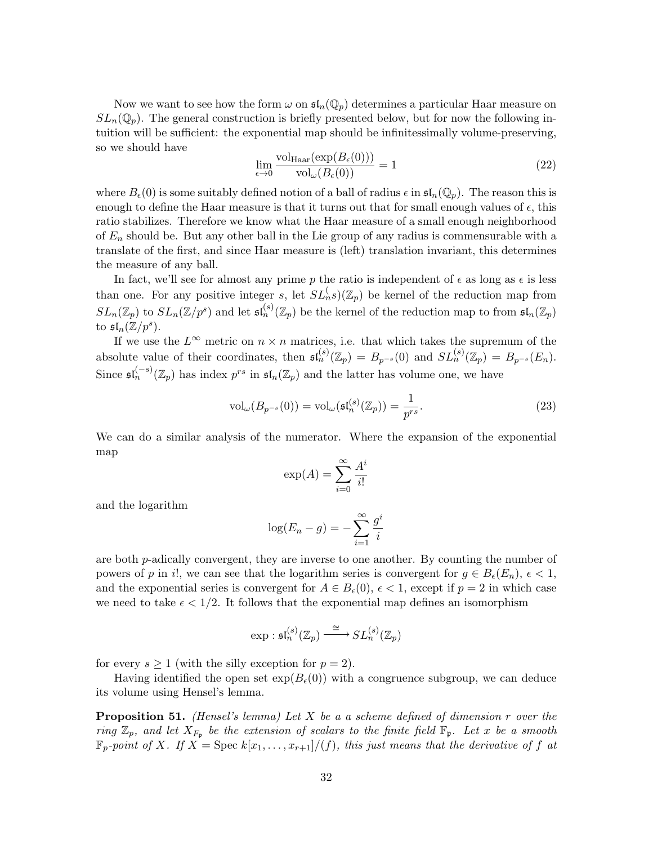Now we want to see how the form  $\omega$  on  $\mathfrak{sl}_n(\mathbb{Q}_p)$  determines a particular Haar measure on  $SL_n(\mathbb{Q}_p)$ . The general construction is briefly presented below, but for now the following intuition will be sufficient: the exponential map should be infinitessimally volume-preserving, so we should have

$$
\lim_{\epsilon \to 0} \frac{\text{vol}_{\text{Haar}}(\exp(B_{\epsilon}(0)))}{\text{vol}_{\omega}(B_{\epsilon}(0))} = 1
$$
\n(22)

where  $B_{\epsilon}(0)$  is some suitably defined notion of a ball of radius  $\epsilon$  in  $\mathfrak{sl}_n(\mathbb{Q}_p)$ . The reason this is enough to define the Haar measure is that it turns out that for small enough values of  $\epsilon$ , this ratio stabilizes. Therefore we know what the Haar measure of a small enough neighborhood of  $E_n$  should be. But any other ball in the Lie group of any radius is commensurable with a translate of the first, and since Haar measure is (left) translation invariant, this determines the measure of any ball.

In fact, we'll see for almost any prime p the ratio is independent of  $\epsilon$  as long as  $\epsilon$  is less than one. For any positive integer s, let  $SL_n^{\{(\)}\mathbb{Z}_p}$  be kernel of the reduction map from  $SL_n(\mathbb{Z}_p)$  to  $SL_n(\mathbb{Z}/p^s)$  and let  $\mathfrak{sl}_n^{(s)}(\mathbb{Z}_p)$  be the kernel of the reduction map to from  $\mathfrak{sl}_n(\mathbb{Z}_p)$ to  $\mathfrak{sl}_n(\mathbb{Z}/p^s).$ 

If we use the  $L^{\infty}$  metric on  $n \times n$  matrices, i.e. that which takes the supremum of the absolute value of their coordinates, then  $\mathfrak{sl}_n^{(s)}(\mathbb{Z}_p) = B_{p^{-s}}(0)$  and  $SL_n^{(s)}(\mathbb{Z}_p) = B_{p^{-s}}(E_n)$ . Since  $\mathfrak{sl}_n^{(-s)}(\mathbb{Z}_p)$  has index  $p^{rs}$  in  $\mathfrak{sl}_n(\mathbb{Z}_p)$  and the latter has volume one, we have

$$
\text{vol}_{\omega}(B_{p^{-s}}(0)) = \text{vol}_{\omega}(\mathfrak{sl}_n^{(s)}(\mathbb{Z}_p)) = \frac{1}{p^{rs}}.
$$
\n(23)

We can do a similar analysis of the numerator. Where the expansion of the exponential map

$$
\exp(A) = \sum_{i=0}^{\infty} \frac{A^i}{i!}
$$

and the logarithm

$$
\log(E_n - g) = -\sum_{i=1}^{\infty} \frac{g^i}{i}
$$

are both p-adically convergent, they are inverse to one another. By counting the number of powers of p in i!, we can see that the logarithm series is convergent for  $g \in B_{\epsilon}(E_n)$ ,  $\epsilon < 1$ , and the exponential series is convergent for  $A \in B_{\epsilon}(0)$ ,  $\epsilon < 1$ , except if  $p = 2$  in which case we need to take  $\epsilon < 1/2$ . It follows that the exponential map defines an isomorphism

$$
\exp: \mathfrak{sl}_n^{(s)}(\mathbb{Z}_p) \xrightarrow{\cong} SL_n^{(s)}(\mathbb{Z}_p)
$$

for every  $s \geq 1$  (with the silly exception for  $p = 2$ ).

Having identified the open set  $\exp(B_{\epsilon}(0))$  with a congruence subgroup, we can deduce its volume using Hensel's lemma.

**Proposition 51.** (Hensel's lemma) Let  $X$  be a a scheme defined of dimension  $r$  over the ring  $\mathbb{Z}_p$ , and let  $X_{F_{\mathfrak{p}}}$  be the extension of scalars to the finite field  $\mathbb{F}_{\mathfrak{p}}$ . Let x be a smooth  $\mathbb{F}_p$ -point of X. If  $X = \text{Spec } k[x_1, \ldots, x_{r+1}]/(f)$ , this just means that the derivative of f at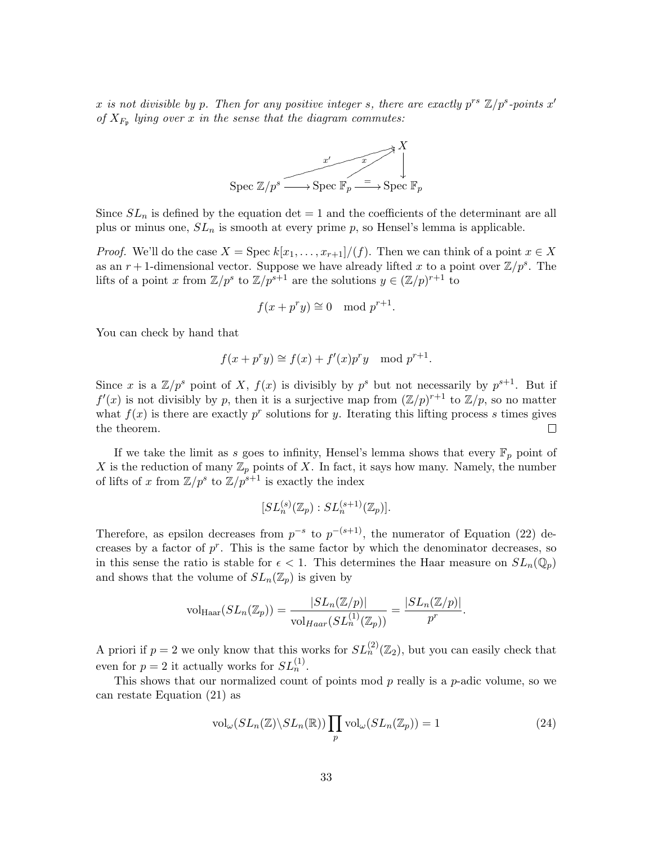x is not divisible by p. Then for any positive integer s, there are exactly  $p^{rs} \mathbb{Z}/p^s$ -points  $x^r$ of  $X_{F_p}$  lying over x in the sense that the diagram commutes:



Since  $SL_n$  is defined by the equation det = 1 and the coefficients of the determinant are all plus or minus one,  $SL_n$  is smooth at every prime p, so Hensel's lemma is applicable.

*Proof.* We'll do the case  $X = \text{Spec } k[x_1, \ldots, x_{r+1}]/(f)$ . Then we can think of a point  $x \in X$ as an  $r+1$ -dimensional vector. Suppose we have already lifted x to a point over  $\mathbb{Z}/p^s$ . The lifts of a point x from  $\mathbb{Z}/p^s$  to  $\mathbb{Z}/p^{s+1}$  are the solutions  $y \in (\mathbb{Z}/p)^{r+1}$  to

$$
f(x + p^r y) \cong 0 \mod p^{r+1}.
$$

You can check by hand that

$$
f(x + p^r y) \cong f(x) + f'(x)p^r y \mod p^{r+1}.
$$

Since x is a  $\mathbb{Z}/p^s$  point of X,  $f(x)$  is divisibly by  $p^s$  but not necessarily by  $p^{s+1}$ . But if  $f'(x)$  is not divisibly by p, then it is a surjective map from  $(\mathbb{Z}/p)^{r+1}$  to  $\mathbb{Z}/p$ , so no matter what  $f(x)$  is there are exactly  $p^r$  solutions for y. Iterating this lifting process s times gives the theorem.  $\Box$ 

If we take the limit as s goes to infinity, Hensel's lemma shows that every  $\mathbb{F}_p$  point of X is the reduction of many  $\mathbb{Z}_p$  points of X. In fact, it says how many. Namely, the number of lifts of x from  $\mathbb{Z}/p^s$  to  $\mathbb{Z}/p^{s+1}$  is exactly the index

$$
[SL_n^{(s)}(\mathbb{Z}_p):SL_n^{(s+1)}(\mathbb{Z}_p)].
$$

Therefore, as epsilon decreases from  $p^{-s}$  to  $p^{-(s+1)}$ , the numerator of Equation (22) decreases by a factor of  $p^r$ . This is the same factor by which the denominator decreases, so in this sense the ratio is stable for  $\epsilon < 1$ . This determines the Haar measure on  $SL_n(\mathbb{Q}_p)$ and shows that the volume of  $SL_n(\mathbb{Z}_p)$  is given by

$$
\mathrm{vol}_{\mathrm{Haar}}(SL_n(\mathbb{Z}_p)) = \frac{|SL_n(\mathbb{Z}/p)|}{\mathrm{vol}_{Haar}(SL_n^{(1)}(\mathbb{Z}_p))} = \frac{|SL_n(\mathbb{Z}/p)|}{p^r}.
$$

A priori if  $p = 2$  we only know that this works for  $SL_n^{(2)}(\mathbb{Z}_2)$ , but you can easily check that even for  $p = 2$  it actually works for  $SL_n^{(1)}$ .

This shows that our normalized count of points mod  $p$  really is a  $p$ -adic volume, so we can restate Equation (21) as

$$
\text{vol}_{\omega}(SL_n(\mathbb{Z})\backslash SL_n(\mathbb{R}))\prod_p \text{vol}_{\omega}(SL_n(\mathbb{Z}_p)) = 1
$$
\n(24)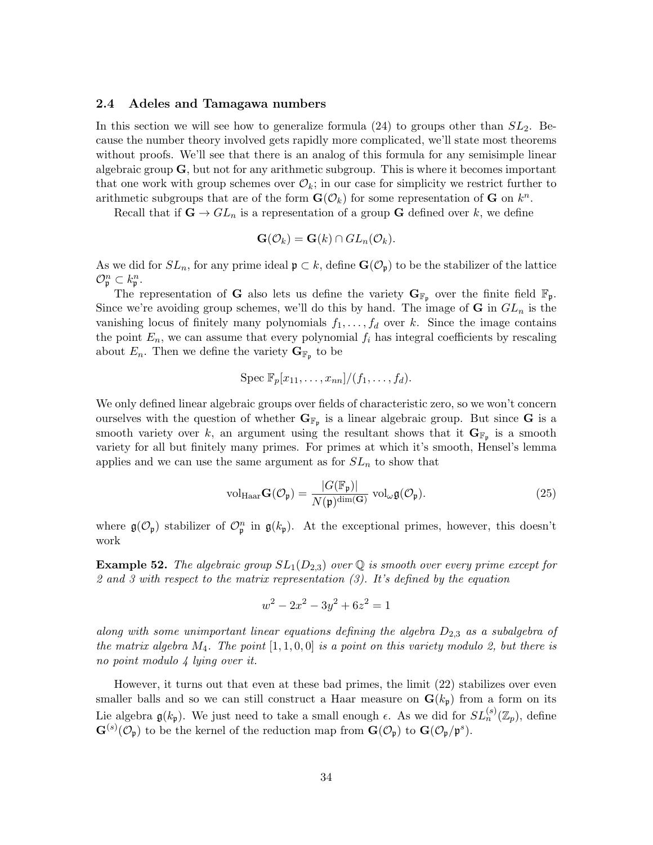### 2.4 Adeles and Tamagawa numbers

In this section we will see how to generalize formula  $(24)$  to groups other than  $SL_2$ . Because the number theory involved gets rapidly more complicated, we'll state most theorems without proofs. We'll see that there is an analog of this formula for any semisimple linear algebraic group  $\mathbf{G}$ , but not for any arithmetic subgroup. This is where it becomes important that one work with group schemes over  $\mathcal{O}_k$ ; in our case for simplicity we restrict further to arithmetic subgroups that are of the form  $\mathbf{G}(\mathcal{O}_k)$  for some representation of  $\mathbf{G}$  on  $k^n$ .

Recall that if  $\mathbf{G} \to GL_n$  is a representation of a group  $\mathbf{G}$  defined over k, we define

$$
\mathbf{G}(\mathcal{O}_k) = \mathbf{G}(k) \cap GL_n(\mathcal{O}_k).
$$

As we did for  $SL_n$ , for any prime ideal  $\mathfrak{p} \subset k$ , define  $\mathbf{G}(\mathcal{O}_{\mathfrak{p}})$  to be the stabilizer of the lattice  $\mathcal{O}_{\mathfrak{p}}^n \subset k_{\mathfrak{p}}^n.$ 

The representation of G also lets us define the variety  $G_{\mathbb{F}_p}$  over the finite field  $\mathbb{F}_p$ . Since we're avoiding group schemes, we'll do this by hand. The image of  $G$  in  $GL_n$  is the vanishing locus of finitely many polynomials  $f_1, \ldots, f_d$  over k. Since the image contains the point  $E_n$ , we can assume that every polynomial  $f_i$  has integral coefficients by rescaling about  $E_n$ . Then we define the variety  $\mathbf{G}_{\mathbb{F}_p}$  to be

$$
\operatorname{Spec} \mathbb{F}_p[x_{11},\ldots,x_{nn}]/(f_1,\ldots,f_d).
$$

We only defined linear algebraic groups over fields of characteristic zero, so we won't concern ourselves with the question of whether  $\mathbf{G}_{\mathbb{F}_p}$  is a linear algebraic group. But since  $\mathbf{G}$  is a smooth variety over k, an argument using the resultant shows that it  $\mathbf{G}_{\mathbb{F}_p}$  is a smooth variety for all but finitely many primes. For primes at which it's smooth, Hensel's lemma applies and we can use the same argument as for  $SL_n$  to show that

$$
\text{vol}_{\text{Haar}}\mathbf{G}(\mathcal{O}_{\mathfrak{p}}) = \frac{|G(\mathbb{F}_{\mathfrak{p}})|}{N(\mathfrak{p})^{\dim(\mathbf{G})}} \text{ vol}_{\omega} \mathfrak{g}(\mathcal{O}_{\mathfrak{p}}).
$$
(25)

where  $\mathfrak{g}(\mathcal{O}_{\mathfrak{p}})$  stabilizer of  $\mathcal{O}_{\mathfrak{p}}^n$  in  $\mathfrak{g}(k_{\mathfrak{p}})$ . At the exceptional primes, however, this doesn't work

**Example 52.** The algebraic group  $SL_1(D_{2,3})$  over Q is smooth over every prime except for 2 and 3 with respect to the matrix representation (3). It's defined by the equation

$$
w^2 - 2x^2 - 3y^2 + 6z^2 = 1
$$

along with some unimportant linear equations defining the algebra  $D_{2,3}$  as a subalgebra of the matrix algebra  $M_4$ . The point  $[1, 1, 0, 0]$  is a point on this variety modulo 2, but there is no point modulo 4 lying over it.

However, it turns out that even at these bad primes, the limit (22) stabilizes over even smaller balls and so we can still construct a Haar measure on  $\mathbf{G}(k_{p})$  from a form on its Lie algebra  $\mathfrak{g}(k_{\mathfrak{p}})$ . We just need to take a small enough  $\epsilon$ . As we did for  $SL_n^{(s)}(\mathbb{Z}_p)$ , define  $\mathbf{G}^{(s)}(\mathcal{O}_{\mathfrak{p}})$  to be the kernel of the reduction map from  $\mathbf{G}(\mathcal{O}_{\mathfrak{p}})$  to  $\mathbf{G}(\mathcal{O}_{\mathfrak{p}}/\mathfrak{p}^s)$ .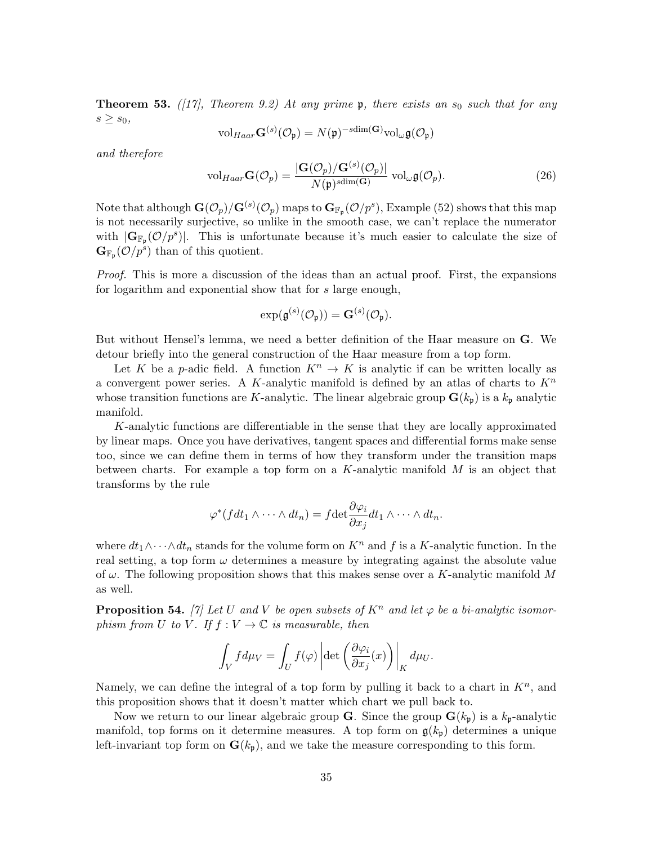**Theorem 53.** ([17], Theorem 9.2) At any prime p, there exists an  $s_0$  such that for any  $s \geq s_0$ 

$$
\mathrm{vol}_{Haar} \mathbf{G}^{(s)}(\mathcal{O}_{\mathfrak{p}}) = N(\mathfrak{p})^{-sdim(\mathbf{G})} \mathrm{vol}_{\omega} \mathfrak{g}(\mathcal{O}_{\mathfrak{p}})
$$

and therefore

$$
\text{vol}_{Haar} \mathbf{G}(\mathcal{O}_p) = \frac{|\mathbf{G}(\mathcal{O}_p)/\mathbf{G}^{(s)}(\mathcal{O}_p)|}{N(\mathfrak{p})^{\text{sdim}(\mathbf{G})}} \text{ vol}_{\omega} \mathfrak{g}(\mathcal{O}_p). \tag{26}
$$

Note that although  $\mathbf{G}(\mathcal{O}_p)/\mathbf{G}^{(s)}(\mathcal{O}_p)$  maps to  $\mathbf{G}_{\mathbb{F}_p}(\mathcal{O}/p^s)$ , Example (52) shows that this map is not necessarily surjective, so unlike in the smooth case, we can't replace the numerator with  $|\mathbf{G}_{\mathbb{F}_p}(\mathcal{O}/p^s)|$ . This is unfortunate because it's much easier to calculate the size of  $\mathbf{G}_{\mathbb{F}_p}(\mathcal{O}/p^s)$  than of this quotient.

Proof. This is more a discussion of the ideas than an actual proof. First, the expansions for logarithm and exponential show that for s large enough,

$$
\exp(\mathfrak{g}^{(s)}(\mathcal{O}_{\mathfrak{p}})) = \mathbf{G}^{(s)}(\mathcal{O}_{\mathfrak{p}}).
$$

But without Hensel's lemma, we need a better definition of the Haar measure on G. We detour briefly into the general construction of the Haar measure from a top form.

Let K be a p-adic field. A function  $K^n \to K$  is analytic if can be written locally as a convergent power series. A K-analytic manifold is defined by an atlas of charts to  $K<sup>n</sup>$ whose transition functions are K-analytic. The linear algebraic group  $\mathbf{G}(k_{\mathfrak{p}})$  is a  $k_{\mathfrak{p}}$  analytic manifold.

K-analytic functions are differentiable in the sense that they are locally approximated by linear maps. Once you have derivatives, tangent spaces and differential forms make sense too, since we can define them in terms of how they transform under the transition maps between charts. For example a top form on a K-analytic manifold  $M$  is an object that transforms by the rule

$$
\varphi^*(f dt_1 \wedge \cdots \wedge dt_n) = f \det \frac{\partial \varphi_i}{\partial x_j} dt_1 \wedge \cdots \wedge dt_n.
$$

where  $dt_1 \wedge \cdots \wedge dt_n$  stands for the volume form on  $K^n$  and f is a K-analytic function. In the real setting, a top form  $\omega$  determines a measure by integrating against the absolute value of  $\omega$ . The following proposition shows that this makes sense over a K-analytic manifold M as well.

**Proposition 54.** [7] Let U and V be open subsets of  $K^n$  and let  $\varphi$  be a bi-analytic isomorphism from U to V. If  $f: V \to \mathbb{C}$  is measurable, then

$$
\int_{V} f d\mu_{V} = \int_{U} f(\varphi) \left| \det \left( \frac{\partial \varphi_{i}}{\partial x_{j}}(x) \right) \right|_{K} d\mu_{U}.
$$

Namely, we can define the integral of a top form by pulling it back to a chart in  $K<sup>n</sup>$ , and this proposition shows that it doesn't matter which chart we pull back to.

Now we return to our linear algebraic group **G**. Since the group  $\mathbf{G}(k_p)$  is a  $k_p$ -analytic manifold, top forms on it determine measures. A top form on  $g(k_p)$  determines a unique left-invariant top form on  $\mathbf{G}(k_{p})$ , and we take the measure corresponding to this form.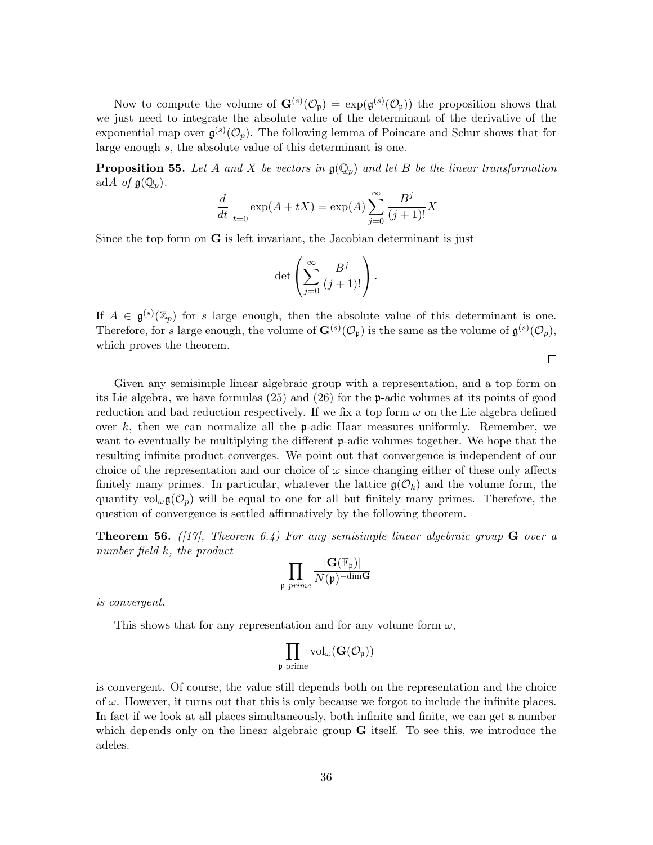Now to compute the volume of  $\mathbf{G}^{(s)}(\mathcal{O}_{\mathfrak{p}}) = \exp(\mathfrak{g}^{(s)}(\mathcal{O}_{\mathfrak{p}}))$  the proposition shows that we just need to integrate the absolute value of the determinant of the derivative of the exponential map over  $\mathfrak{g}^{(s)}(\mathcal{O}_p)$ . The following lemma of Poincare and Schur shows that for large enough s, the absolute value of this determinant is one.

**Proposition 55.** Let A and X be vectors in  $\mathfrak{g}(\mathbb{Q}_p)$  and let B be the linear transformation adA of  $\mathfrak{g}(\mathbb{Q}_p)$ .

$$
\frac{d}{dt}\bigg|_{t=0} \exp(A+tX) = \exp(A) \sum_{j=0}^{\infty} \frac{B^j}{(j+1)!} X
$$

Since the top form on  $\bf{G}$  is left invariant, the Jacobian determinant is just

$$
\det\left(\sum_{j=0}^{\infty}\frac{B^j}{(j+1)!}\right).
$$

If  $A \in \mathfrak{g}^{(s)}(\mathbb{Z}_p)$  for s large enough, then the absolute value of this determinant is one. Therefore, for s large enough, the volume of  $\mathbf{G}^{(s)}(\mathcal{O}_{\mathfrak{p}})$  is the same as the volume of  $\mathfrak{g}^{(s)}(\mathcal{O}_{p}),$ which proves the theorem.

Given any semisimple linear algebraic group with a representation, and a top form on its Lie algebra, we have formulas (25) and (26) for the p-adic volumes at its points of good reduction and bad reduction respectively. If we fix a top form  $\omega$  on the Lie algebra defined over  $k$ , then we can normalize all the **p**-adic Haar measures uniformly. Remember, we want to eventually be multiplying the different **p**-adic volumes together. We hope that the resulting infinite product converges. We point out that convergence is independent of our choice of the representation and our choice of  $\omega$  since changing either of these only affects finitely many primes. In particular, whatever the lattice  $\mathfrak{g}(\mathcal{O}_k)$  and the volume form, the quantity  $\mathrm{vol}_{\omega} \mathfrak{g}(\mathcal{O}_n)$  will be equal to one for all but finitely many primes. Therefore, the question of convergence is settled affirmatively by the following theorem.

**Theorem 56.** ([17], Theorem 6.4) For any semisimple linear algebraic group  $G$  over a number field k, the product

$$
\prod_{\mathfrak{p} \text{ prime}} \frac{|\mathbf{G}(\mathbb{F}_{\mathfrak{p}})|}{N(\mathfrak{p})^{-\dim \mathbf{G}}}
$$

is convergent.

This shows that for any representation and for any volume form  $\omega$ ,

$$
\prod_{\mathfrak{p} \text{ prime}} \mathrm{vol}_\omega(\mathbf{G}(\mathcal{O}_\mathfrak{p}))
$$

is convergent. Of course, the value still depends both on the representation and the choice of  $\omega$ . However, it turns out that this is only because we forgot to include the infinite places. In fact if we look at all places simultaneously, both infinite and finite, we can get a number which depends only on the linear algebraic group  $\bf{G}$  itself. To see this, we introduce the adeles.

 $\Box$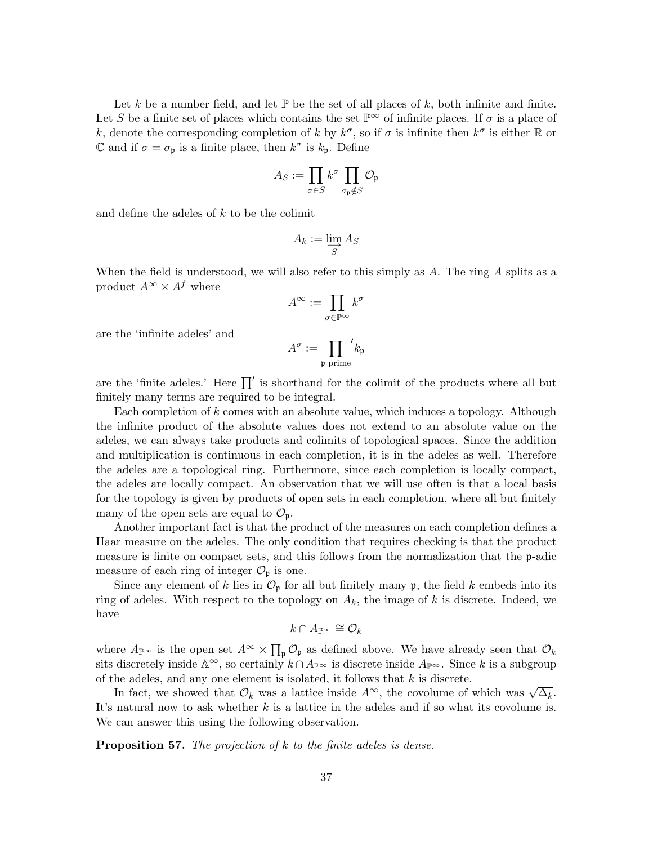Let k be a number field, and let  $\mathbb P$  be the set of all places of k, both infinite and finite. Let S be a finite set of places which contains the set  $\mathbb{P}^{\infty}$  of infinite places. If  $\sigma$  is a place of k, denote the corresponding completion of k by  $k^{\sigma}$ , so if  $\sigma$  is infinite then  $k^{\sigma}$  is either R or C and if  $\sigma = \sigma_{\mathfrak{p}}$  is a finite place, then  $k^{\sigma}$  is  $k_{\mathfrak{p}}$ . Define

$$
A_S := \prod_{\sigma \in S} k^{\sigma} \prod_{\sigma_{\mathfrak{p}} \notin S} \mathcal{O}_{\mathfrak{p}}
$$

and define the adeles of k to be the colimit

$$
A_k := \varinjlim_S A_S
$$

When the field is understood, we will also refer to this simply as  $A$ . The ring  $A$  splits as a product  $A^{\infty} \times A^f$  where

$$
A^\infty:=\prod_{\sigma\in\mathbb{P}^\infty}k^\sigma
$$

are the 'infinite adeles' and

$$
A^{\sigma} := \prod_{\mathfrak{p} \text{ prime}}' k_{\mathfrak{p}}
$$

are the 'finite adeles.' Here  $\prod'$  is shorthand for the colimit of the products where all but finitely many terms are required to be integral.

Each completion of  $k$  comes with an absolute value, which induces a topology. Although the infinite product of the absolute values does not extend to an absolute value on the adeles, we can always take products and colimits of topological spaces. Since the addition and multiplication is continuous in each completion, it is in the adeles as well. Therefore the adeles are a topological ring. Furthermore, since each completion is locally compact, the adeles are locally compact. An observation that we will use often is that a local basis for the topology is given by products of open sets in each completion, where all but finitely many of the open sets are equal to  $\mathcal{O}_{p}$ .

Another important fact is that the product of the measures on each completion defines a Haar measure on the adeles. The only condition that requires checking is that the product measure is finite on compact sets, and this follows from the normalization that the p-adic measure of each ring of integer  $\mathcal{O}_{\mathfrak{p}}$  is one.

Since any element of k lies in  $\mathcal{O}_{\mathfrak{p}}$  for all but finitely many  $\mathfrak{p}$ , the field k embeds into its ring of adeles. With respect to the topology on  $A_k$ , the image of k is discrete. Indeed, we have

$$
k\cap A_{\mathbb{P}^\infty}\cong \mathcal{O}_k
$$

where  $A_{\mathbb{P}^\infty}$  is the open set  $A^\infty \times \prod_{\mathfrak{p}} \mathcal{O}_{\mathfrak{p}}$  as defined above. We have already seen that  $\mathcal{O}_k$ sits discretely inside  $\mathbb{A}^{\infty}$ , so certainly  $k \cap A_{\mathbb{P}^{\infty}}$  is discrete inside  $A_{\mathbb{P}^{\infty}}$ . Since k is a subgroup of the adeles, and any one element is isolated, it follows that  $k$  is discrete.

In fact, we showed that  $\mathcal{O}_k$  was a lattice inside  $A^{\infty}$ , the covolume of which was  $\sqrt{\Delta_k}$ . It's natural now to ask whether  $k$  is a lattice in the adeles and if so what its covolume is. We can answer this using the following observation.

**Proposition 57.** The projection of  $k$  to the finite adeles is dense.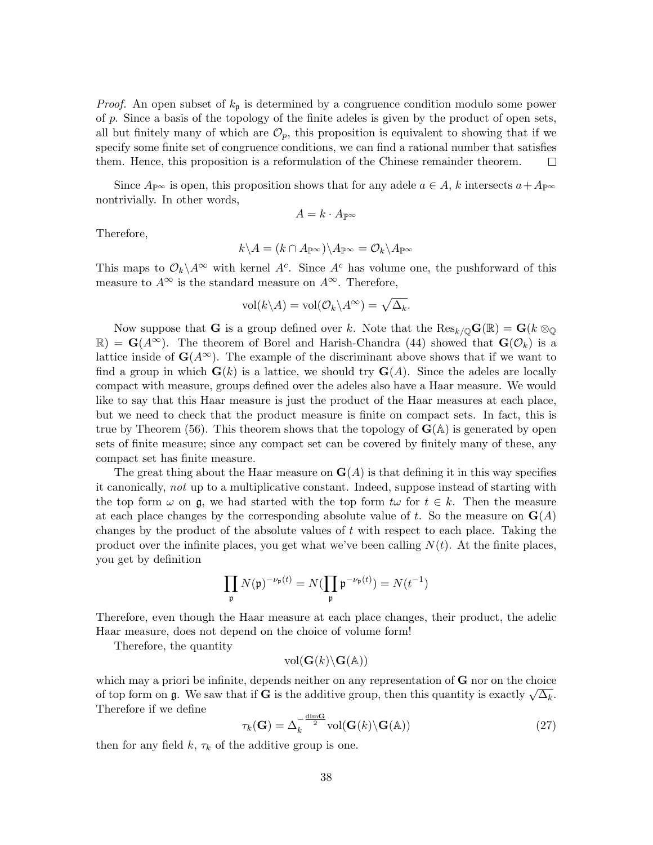*Proof.* An open subset of  $k_p$  is determined by a congruence condition modulo some power of  $p$ . Since a basis of the topology of the finite adeles is given by the product of open sets, all but finitely many of which are  $\mathcal{O}_p$ , this proposition is equivalent to showing that if we specify some finite set of congruence conditions, we can find a rational number that satisfies them. Hence, this proposition is a reformulation of the Chinese remainder theorem.  $\Box$ 

Since  $A_{\mathbb{P}^\infty}$  is open, this proposition shows that for any adele  $a \in A$ , k intersects  $a + A_{\mathbb{P}^\infty}$ nontrivially. In other words,

$$
A=k\cdot A_{\mathbb{P}^\infty}
$$

Therefore,

$$
k\backslash A=(k\cap A_{\mathbb{P}^\infty})\backslash A_{\mathbb{P}^\infty}=\mathcal{O}_k\backslash A_{\mathbb{P}^\infty}
$$

This maps to  $\mathcal{O}_k \backslash A^\infty$  with kernel  $A^c$ . Since  $A^c$  has volume one, the pushforward of this measure to  $A^{\infty}$  is the standard measure on  $A^{\infty}$ . Therefore,

$$
\text{vol}(k \backslash A) = \text{vol}(\mathcal{O}_k \backslash A^\infty) = \sqrt{\Delta_k}.
$$

Now suppose that G is a group defined over k. Note that the  $\text{Res}_{k/\mathbb{Q}}G(\mathbb{R})=G(k\otimes_{\mathbb{Q}}$  $\mathbb{R}$  =  $\mathbf{G}(A^{\infty})$ . The theorem of Borel and Harish-Chandra (44) showed that  $\mathbf{G}(\mathcal{O}_k)$  is a lattice inside of  $\mathbf{G}(A^{\infty})$ . The example of the discriminant above shows that if we want to find a group in which  $\mathbf{G}(k)$  is a lattice, we should try  $\mathbf{G}(A)$ . Since the adeles are locally compact with measure, groups defined over the adeles also have a Haar measure. We would like to say that this Haar measure is just the product of the Haar measures at each place, but we need to check that the product measure is finite on compact sets. In fact, this is true by Theorem (56). This theorem shows that the topology of  $\mathbf{G}(\mathbb{A})$  is generated by open sets of finite measure; since any compact set can be covered by finitely many of these, any compact set has finite measure.

The great thing about the Haar measure on  $\mathbf{G}(A)$  is that defining it in this way specifies it canonically, not up to a multiplicative constant. Indeed, suppose instead of starting with the top form  $\omega$  on  $\mathfrak{g}$ , we had started with the top form  $t\omega$  for  $t \in k$ . Then the measure at each place changes by the corresponding absolute value of t. So the measure on  $G(A)$ changes by the product of the absolute values of  $t$  with respect to each place. Taking the product over the infinite places, you get what we've been calling  $N(t)$ . At the finite places, you get by definition

$$
\prod_{\mathfrak{p}} N(\mathfrak{p})^{-\nu_{\mathfrak{p}}(t)} = N(\prod_{\mathfrak{p}} \mathfrak{p}^{-\nu_{\mathfrak{p}}(t)}) = N(t^{-1})
$$

Therefore, even though the Haar measure at each place changes, their product, the adelic Haar measure, does not depend on the choice of volume form!

Therefore, the quantity

$$
\text{vol}(\mathbf{G}(k)\backslash\mathbf{G}(\mathbb{A}))
$$

which may a priori be infinite, depends neither on any representation of  **nor on the choice** which may a priori be immute, depends neither on any representation of G nor on the choice<br>of top form on  $\mathfrak{g}$ . We saw that if G is the additive group, then this quantity is exactly  $\sqrt{\Delta_k}$ . Therefore if we define

$$
\tau_k(\mathbf{G}) = \Delta_k^{-\frac{\dim \mathbf{G}}{2}} \text{vol}(\mathbf{G}(k) \backslash \mathbf{G}(\mathbb{A})) \tag{27}
$$

then for any field k,  $\tau_k$  of the additive group is one.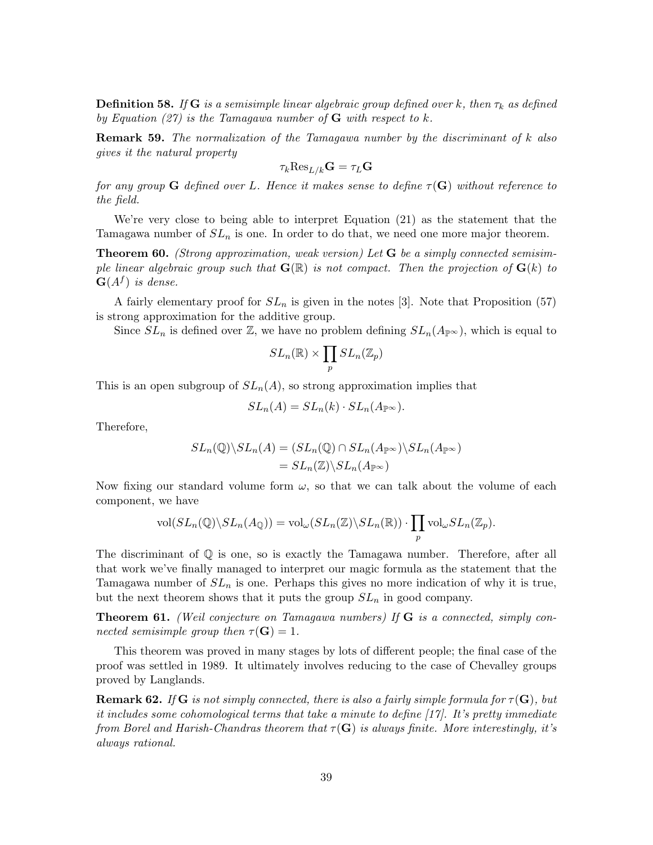**Definition 58.** If **G** is a semisimple linear algebraic group defined over k, then  $\tau_k$  as defined by Equation (27) is the Tamagawa number of  $G$  with respect to k.

**Remark 59.** The normalization of the Tamagawa number by the discriminant of k also gives it the natural property

$$
\tau_k {\rm Res}_{L/k} {\bf G} = \tau_L {\bf G}
$$

for any group **G** defined over L. Hence it makes sense to define  $\tau(G)$  without reference to the field.

We're very close to being able to interpret Equation (21) as the statement that the Tamagawa number of  $SL_n$  is one. In order to do that, we need one more major theorem.

**Theorem 60.** (Strong approximation, weak version) Let  $G$  be a simply connected semisimple linear algebraic group such that  $\mathbf{G}(\mathbb{R})$  is not compact. Then the projection of  $\mathbf{G}(k)$  to  $G(A^f)$  is dense.

A fairly elementary proof for  $SL_n$  is given in the notes [3]. Note that Proposition (57) is strong approximation for the additive group.

Since  $SL_n$  is defined over Z, we have no problem defining  $SL_n(A_{\mathbb{P}^{\infty}})$ , which is equal to

$$
SL_n(\mathbb{R})\times \prod_p SL_n(\mathbb{Z}_p)
$$

This is an open subgroup of  $SL_n(A)$ , so strong approximation implies that

$$
SL_n(A) = SL_n(k) \cdot SL_n(A_{\mathbb{P}^\infty}).
$$

Therefore,

$$
SL_n(\mathbb{Q})\backslash SL_n(A) = (SL_n(\mathbb{Q}) \cap SL_n(A_{\mathbb{P}^\infty})\backslash SL_n(A_{\mathbb{P}^\infty})
$$
  
= 
$$
SL_n(\mathbb{Z})\backslash SL_n(A_{\mathbb{P}^\infty})
$$

Now fixing our standard volume form  $\omega$ , so that we can talk about the volume of each component, we have

$$
\text{vol}(SL_n(\mathbb{Q})\backslash SL_n(A_{\mathbb{Q}})) = \text{vol}_{\omega}(SL_n(\mathbb{Z})\backslash SL_n(\mathbb{R})) \cdot \prod_p \text{vol}_{\omega}SL_n(\mathbb{Z}_p).
$$

The discriminant of Q is one, so is exactly the Tamagawa number. Therefore, after all that work we've finally managed to interpret our magic formula as the statement that the Tamagawa number of  $SL_n$  is one. Perhaps this gives no more indication of why it is true, but the next theorem shows that it puts the group  $SL_n$  in good company.

Theorem 61. (Weil conjecture on Tamagawa numbers) If G is a connected, simply connected semisimple group then  $\tau(\mathbf{G}) = 1$ .

This theorem was proved in many stages by lots of different people; the final case of the proof was settled in 1989. It ultimately involves reducing to the case of Chevalley groups proved by Langlands.

**Remark 62.** If G is not simply connected, there is also a fairly simple formula for  $\tau(G)$ , but it includes some cohomological terms that take a minute to define [17]. It's pretty immediate from Borel and Harish-Chandras theorem that  $\tau(G)$  is always finite. More interestingly, it's always rational.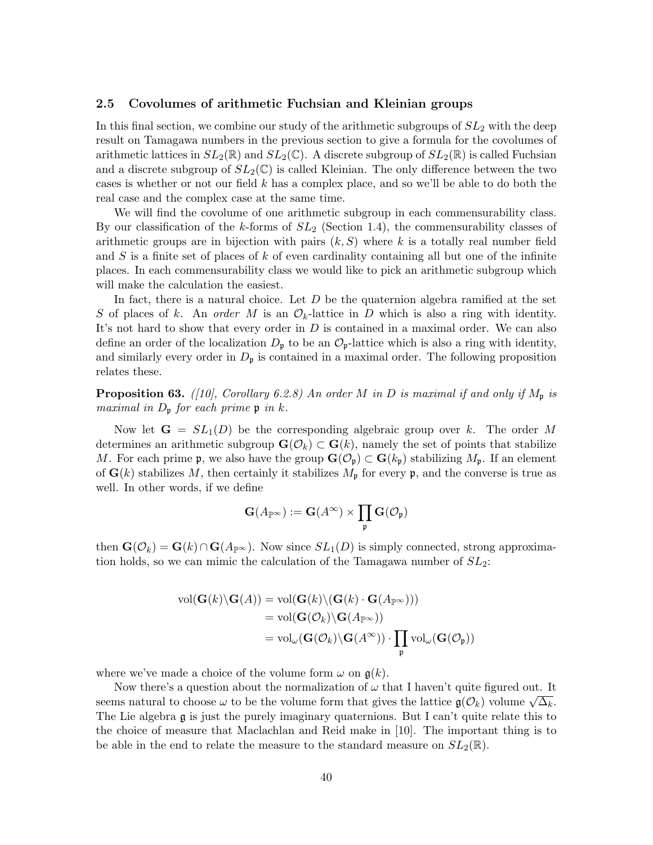### 2.5 Covolumes of arithmetic Fuchsian and Kleinian groups

In this final section, we combine our study of the arithmetic subgroups of  $SL<sub>2</sub>$  with the deep result on Tamagawa numbers in the previous section to give a formula for the covolumes of arithmetic lattices in  $SL_2(\mathbb{R})$  and  $SL_2(\mathbb{C})$ . A discrete subgroup of  $SL_2(\mathbb{R})$  is called Fuchsian and a discrete subgroup of  $SL_2(\mathbb{C})$  is called Kleinian. The only difference between the two cases is whether or not our field  $k$  has a complex place, and so we'll be able to do both the real case and the complex case at the same time.

We will find the covolume of one arithmetic subgroup in each commensurability class. By our classification of the k-forms of  $SL_2$  (Section 1.4), the commensurability classes of arithmetic groups are in bijection with pairs  $(k, S)$  where k is a totally real number field and  $S$  is a finite set of places of  $k$  of even cardinality containing all but one of the infinite places. In each commensurability class we would like to pick an arithmetic subgroup which will make the calculation the easiest.

In fact, there is a natural choice. Let  $D$  be the quaternion algebra ramified at the set S of places of k. An order M is an  $\mathcal{O}_k$ -lattice in D which is also a ring with identity. It's not hard to show that every order in  $D$  is contained in a maximal order. We can also define an order of the localization  $D_{\mathfrak{p}}$  to be an  $\mathcal{O}_{\mathfrak{p}}$ -lattice which is also a ring with identity, and similarly every order in  $D<sub>p</sub>$  is contained in a maximal order. The following proposition relates these.

**Proposition 63.** ([10], Corollary 6.2.8) An order M in D is maximal if and only if  $M_p$  is maximal in  $D_{\mathfrak{p}}$  for each prime  $\mathfrak{p}$  in k.

Now let  $G = SL_1(D)$  be the corresponding algebraic group over k. The order M determines an arithmetic subgroup  $\mathbf{G}(\mathcal{O}_k) \subset \mathbf{G}(k)$ , namely the set of points that stabilize M. For each prime p, we also have the group  $\mathbf{G}(\mathcal{O}_{\mathfrak{p}}) \subset \mathbf{G}(k_{\mathfrak{p}})$  stabilizing  $M_{\mathfrak{p}}$ . If an element of  $\mathbf{G}(k)$  stabilizes M, then certainly it stabilizes  $M_{\mathfrak{p}}$  for every p, and the converse is true as well. In other words, if we define

$$
\mathbf{G}(A_{\mathbb{P}^\infty}):=\mathbf{G}(A^\infty)\times\prod_\mathfrak{p}\mathbf{G}(\mathcal{O}_\mathfrak{p})
$$

then  $\mathbf{G}(\mathcal{O}_k) = \mathbf{G}(k) \cap \mathbf{G}(A_{\mathbb{P}^\infty})$ . Now since  $SL_1(D)$  is simply connected, strong approximation holds, so we can mimic the calculation of the Tamagawa number of  $SL_2$ :

$$
\text{vol}(\mathbf{G}(k)\backslash\mathbf{G}(A)) = \text{vol}(\mathbf{G}(k)\backslash(\mathbf{G}(k)\cdot\mathbf{G}(A_{\mathbb{P}^{\infty}})))
$$
  
= 
$$
\text{vol}(\mathbf{G}(\mathcal{O}_{k})\backslash\mathbf{G}(A_{\mathbb{P}^{\infty}}))
$$
  
= 
$$
\text{vol}_{\omega}(\mathbf{G}(\mathcal{O}_{k})\backslash\mathbf{G}(A^{\infty}))\cdot\prod_{\mathfrak{p}}\text{vol}_{\omega}(\mathbf{G}(\mathcal{O}_{\mathfrak{p}}))
$$

where we've made a choice of the volume form  $\omega$  on  $\mathfrak{g}(k)$ .

Now there's a question about the normalization of  $\omega$  that I haven't quite figured out. It seems natural to choose  $\omega$  to be the volume form that gives the lattice  $\mathfrak{g}(\mathcal{O}_k)$  volume  $\sqrt{\Delta_k}$ . The Lie algebra g is just the purely imaginary quaternions. But I can't quite relate this to the choice of measure that Maclachlan and Reid make in [10]. The important thing is to be able in the end to relate the measure to the standard measure on  $SL_2(\mathbb{R})$ .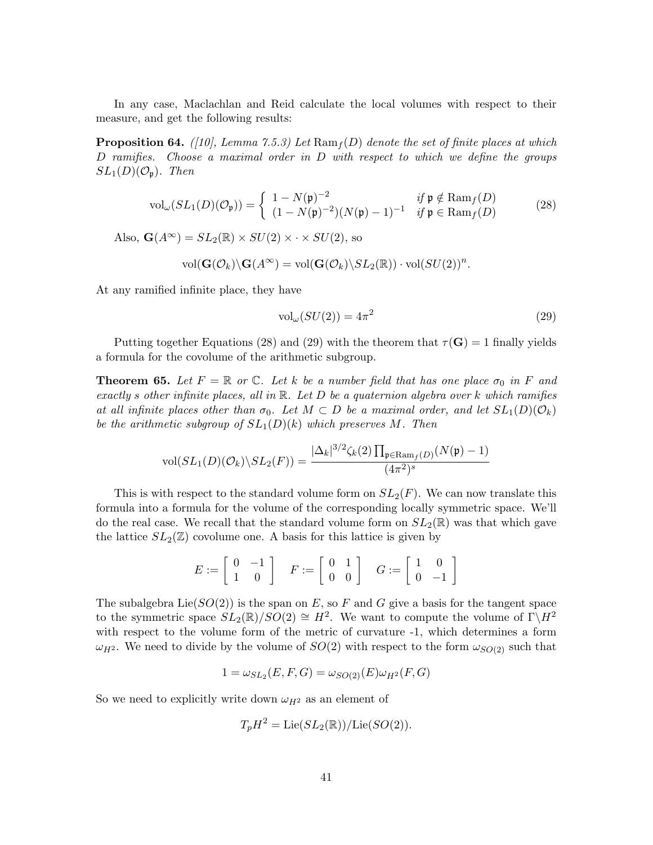In any case, Maclachlan and Reid calculate the local volumes with respect to their measure, and get the following results:

**Proposition 64.** ([10], Lemma 7.5.3) Let  $\text{Ram}_f(D)$  denote the set of finite places at which D ramifies. Choose a maximal order in D with respect to which we define the groups  $SL_1(D)(\mathcal{O}_{\mathfrak{p}})$ . Then

$$
\text{vol}_{\omega}(SL_1(D)(\mathcal{O}_{\mathfrak{p}})) = \begin{cases} 1 - N(\mathfrak{p})^{-2} & \text{if } \mathfrak{p} \notin \text{Ram}_f(D) \\ (1 - N(\mathfrak{p})^{-2})(N(\mathfrak{p}) - 1)^{-1} & \text{if } \mathfrak{p} \in \text{Ram}_f(D) \end{cases} \tag{28}
$$

Also,  $\mathbf{G}(A^{\infty}) = SL_2(\mathbb{R}) \times SU(2) \times \cdot \times SU(2)$ , so

$$
\text{vol}(\mathbf{G}(\mathcal{O}_k)\backslash\mathbf{G}(A^\infty)=\text{vol}(\mathbf{G}(\mathcal{O}_k)\backslash SL_2(\mathbb{R}))\cdot \text{vol}(SU(2))^n.
$$

At any ramified infinite place, they have

$$
vol_{\omega}(SU(2)) = 4\pi^2
$$
\n(29)

Putting together Equations (28) and (29) with the theorem that  $\tau(G) = 1$  finally yields a formula for the covolume of the arithmetic subgroup.

**Theorem 65.** Let  $F = \mathbb{R}$  or  $\mathbb{C}$ . Let k be a number field that has one place  $\sigma_0$  in F and exactly s other infinite places, all in  $\mathbb R$ . Let D be a quaternion algebra over k which ramifies at all infinite places other than  $\sigma_0$ . Let  $M \subset D$  be a maximal order, and let  $SL_1(D)(\mathcal{O}_k)$ be the arithmetic subgroup of  $SL_1(D)(k)$  which preserves M. Then

$$
\text{vol}(SL_1(D)(\mathcal{O}_k)\backslash SL_2(F)) = \frac{|\Delta_k|^{3/2}\zeta_k(2)\prod_{\mathfrak{p}\in\text{Ram}_f(D)}(N(\mathfrak{p})-1)}{(4\pi^2)^s}
$$

This is with respect to the standard volume form on  $SL_2(F)$ . We can now translate this formula into a formula for the volume of the corresponding locally symmetric space. We'll do the real case. We recall that the standard volume form on  $SL_2(\mathbb{R})$  was that which gave the lattice  $SL_2(\mathbb{Z})$  covolume one. A basis for this lattice is given by

$$
E := \left[ \begin{array}{cc} 0 & -1 \\ 1 & 0 \end{array} \right] \quad F := \left[ \begin{array}{cc} 0 & 1 \\ 0 & 0 \end{array} \right] \quad G := \left[ \begin{array}{cc} 1 & 0 \\ 0 & -1 \end{array} \right]
$$

The subalgebra  $Lie(SO(2))$  is the span on E, so F and G give a basis for the tangent space to the symmetric space  $SL_2(\mathbb{R})/SO(2) \cong H^2$ . We want to compute the volume of  $\Gamma \backslash H^2$ with respect to the volume form of the metric of curvature -1, which determines a form  $\omega_{H^2}$ . We need to divide by the volume of  $SO(2)$  with respect to the form  $\omega_{SO(2)}$  such that

$$
1 = \omega_{SL_2}(E, F, G) = \omega_{SO(2)}(E)\omega_{H^2}(F, G)
$$

So we need to explicitly write down  $\omega_{H^2}$  as an element of

$$
T_p H^2 = \text{Lie}(SL_2(\mathbb{R})) / \text{Lie}(SO(2)).
$$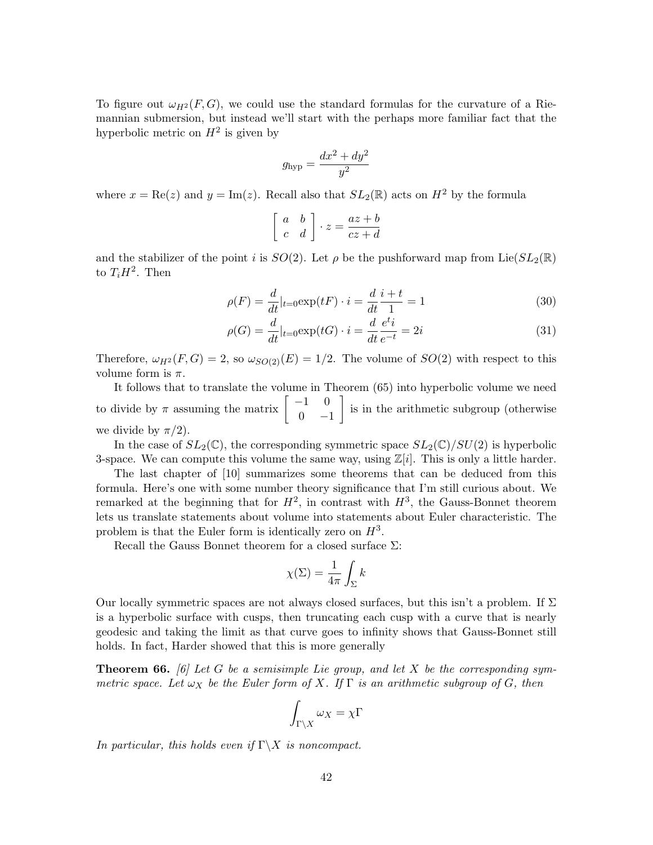To figure out  $\omega_{H^2}(F, G)$ , we could use the standard formulas for the curvature of a Riemannian submersion, but instead we'll start with the perhaps more familiar fact that the hyperbolic metric on  $H^2$  is given by

$$
g_{\rm hyp} = \frac{dx^2 + dy^2}{y^2}
$$

where  $x = \text{Re}(z)$  and  $y = \text{Im}(z)$ . Recall also that  $SL_2(\mathbb{R})$  acts on  $H^2$  by the formula

$$
\left[\begin{array}{cc} a & b \\ c & d \end{array}\right] \cdot z = \frac{az+b}{cz+d}
$$

and the stabilizer of the point i is  $SO(2)$ . Let  $\rho$  be the pushforward map from Lie $(SL_2(\mathbb{R}))$ to  $T_iH^2$ . Then

$$
\rho(F) = \frac{d}{dt}|_{t=0} \exp(tF) \cdot i = \frac{d}{dt}\frac{i+t}{1} = 1
$$
\n(30)

$$
\rho(G) = \frac{d}{dt}|_{t=0} \exp(tG) \cdot i = \frac{d}{dt}\frac{e^{t}i}{e^{-t}} = 2i
$$
\n(31)

Therefore,  $\omega_{H^2}(F, G) = 2$ , so  $\omega_{SO(2)}(E) = 1/2$ . The volume of  $SO(2)$  with respect to this volume form is  $\pi$ .

It follows that to translate the volume in Theorem (65) into hyperbolic volume we need to divide by  $\pi$  assuming the matrix  $\begin{bmatrix} -1 & 0 \\ 0 & 1 \end{bmatrix}$  $0 -1$  is in the arithmetic subgroup (otherwise we divide by  $\pi/2$ ).

In the case of  $SL_2(\mathbb{C})$ , the corresponding symmetric space  $SL_2(\mathbb{C})/SU(2)$  is hyperbolic 3-space. We can compute this volume the same way, using  $\mathbb{Z}[i]$ . This is only a little harder.

The last chapter of [10] summarizes some theorems that can be deduced from this formula. Here's one with some number theory significance that I'm still curious about. We remarked at the beginning that for  $H^2$ , in contrast with  $H^3$ , the Gauss-Bonnet theorem lets us translate statements about volume into statements about Euler characteristic. The problem is that the Euler form is identically zero on  $H^3$ .

Recall the Gauss Bonnet theorem for a closed surface  $\Sigma$ :

$$
\chi(\Sigma) = \frac{1}{4\pi} \int_{\Sigma} k
$$

Our locally symmetric spaces are not always closed surfaces, but this isn't a problem. If  $\Sigma$ is a hyperbolic surface with cusps, then truncating each cusp with a curve that is nearly geodesic and taking the limit as that curve goes to infinity shows that Gauss-Bonnet still holds. In fact, Harder showed that this is more generally

**Theorem 66.** [6] Let G be a semisimple Lie group, and let X be the corresponding symmetric space. Let  $\omega_X$  be the Euler form of X. If  $\Gamma$  is an arithmetic subgroup of G, then

$$
\int_{\Gamma\backslash X}\omega_X=\chi\Gamma
$$

In particular, this holds even if  $\Gamma \backslash X$  is noncompact.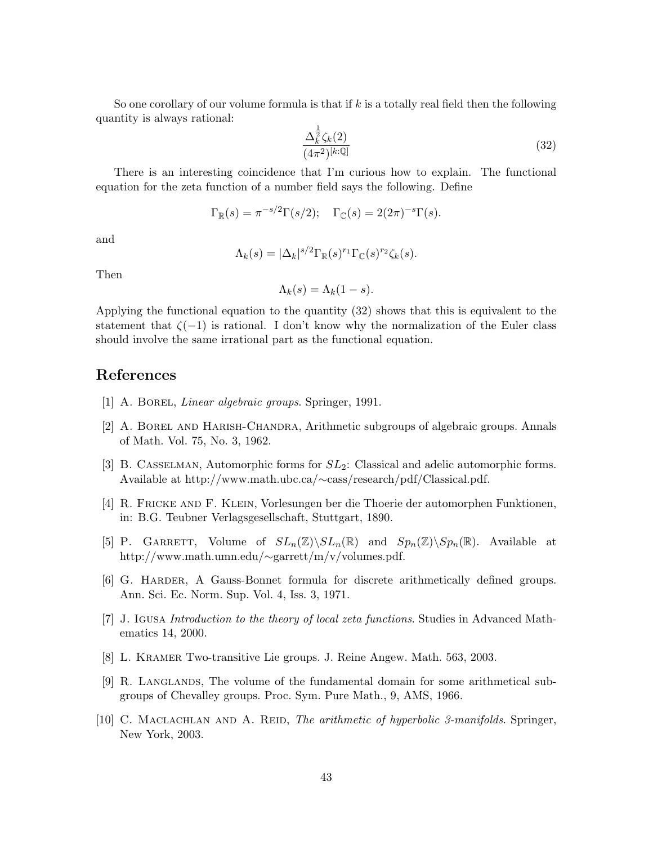So one corollary of our volume formula is that if  $k$  is a totally real field then the following quantity is always rational:

$$
\frac{\Delta_k^{\frac{1}{2}} \zeta_k(2)}{(4\pi^2)^{[k:\mathbb{Q}]}}
$$
\n(32)

There is an interesting coincidence that I'm curious how to explain. The functional equation for the zeta function of a number field says the following. Define

$$
\Gamma_{\mathbb{R}}(s) = \pi^{-s/2} \Gamma(s/2); \quad \Gamma_{\mathbb{C}}(s) = 2(2\pi)^{-s} \Gamma(s).
$$

and

$$
\Lambda_k(s) = |\Delta_k|^{s/2} \Gamma_{\mathbb{R}}(s)^{r_1} \Gamma_{\mathbb{C}}(s)^{r_2} \zeta_k(s).
$$

Then

$$
\Lambda_k(s) = \Lambda_k(1-s).
$$

Applying the functional equation to the quantity (32) shows that this is equivalent to the statement that  $\zeta(-1)$  is rational. I don't know why the normalization of the Euler class should involve the same irrational part as the functional equation.

### References

- [1] A. BOREL, *Linear algebraic groups*. Springer, 1991.
- [2] A. Borel and Harish-Chandra, Arithmetic subgroups of algebraic groups. Annals of Math. Vol. 75, No. 3, 1962.
- [3] B. CASSELMAN, Automorphic forms for  $SL_2$ : Classical and adelic automorphic forms. Available at http://www.math.ubc.ca/∼cass/research/pdf/Classical.pdf.
- [4] R. Fricke and F. Klein, Vorlesungen ber die Thoerie der automorphen Funktionen, in: B.G. Teubner Verlagsgesellschaft, Stuttgart, 1890.
- [5] P. GARRETT, Volume of  $SL_n(\mathbb{Z})\backslash SL_n(\mathbb{R})$  and  $Sp_n(\mathbb{Z})\backslash Sp_n(\mathbb{R})$ . Available at http://www.math.umn.edu/∼garrett/m/v/volumes.pdf.
- [6] G. Harder, A Gauss-Bonnet formula for discrete arithmetically defined groups. Ann. Sci. Ec. Norm. Sup. Vol. 4, Iss. 3, 1971.
- [7] J. Igusa Introduction to the theory of local zeta functions. Studies in Advanced Mathematics 14, 2000.
- [8] L. Kramer Two-transitive Lie groups. J. Reine Angew. Math. 563, 2003.
- [9] R. Langlands, The volume of the fundamental domain for some arithmetical subgroups of Chevalley groups. Proc. Sym. Pure Math., 9, AMS, 1966.
- [10] C. MACLACHLAN AND A. REID, *The arithmetic of hyperbolic 3-manifolds*. Springer, New York, 2003.